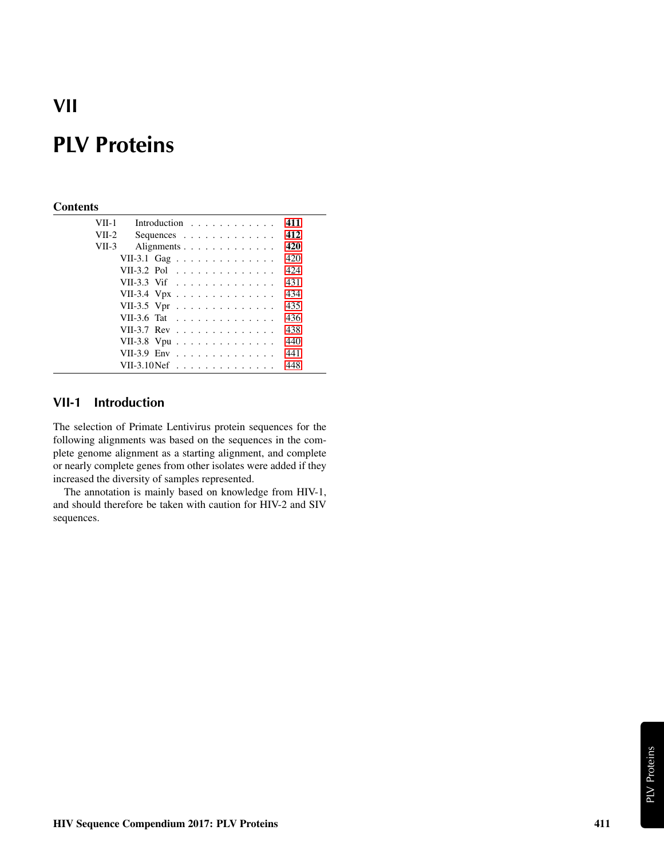## **VII**

# **PLV Proteins**

#### **Contents**

| VII-1   | Introduction                                              |  |  |  |  |  |  |  | 411 |
|---------|-----------------------------------------------------------|--|--|--|--|--|--|--|-----|
| $VII-2$ | Sequences                                                 |  |  |  |  |  |  |  | 412 |
| $VII-3$ | Alignments                                                |  |  |  |  |  |  |  | 420 |
|         | VII-3.1 Gag                                               |  |  |  |  |  |  |  | 420 |
|         | VII-3.2 Pol                                               |  |  |  |  |  |  |  | 424 |
|         | VII-3.3 Vif                                               |  |  |  |  |  |  |  | 431 |
|         | VII-3.4 Vpx                                               |  |  |  |  |  |  |  | 434 |
|         | VII-3.5 Vpr                                               |  |  |  |  |  |  |  | 435 |
|         | VII-3.6 Tat                                               |  |  |  |  |  |  |  | 436 |
|         | VII-3.7 Rev                                               |  |  |  |  |  |  |  | 438 |
|         | VII-3.8 Vpu                                               |  |  |  |  |  |  |  | 440 |
|         | VII-3.9 Env                                               |  |  |  |  |  |  |  | 441 |
|         | VII-3.10 Nef $\ldots$ $\ldots$ $\ldots$ $\ldots$ $\ldots$ |  |  |  |  |  |  |  | 448 |

#### <span id="page-0-0"></span>**VII-1 Introduction**

The selection of Primate Lentivirus protein sequences for the following alignments was based on the sequences in the complete genome alignment as a starting alignment, and complete or nearly complete genes from other isolates were added if they increased the diversity of samples represented.

The annotation is mainly based on knowledge from HIV-1, and should therefore be taken with caution for HIV-2 and SIV sequences.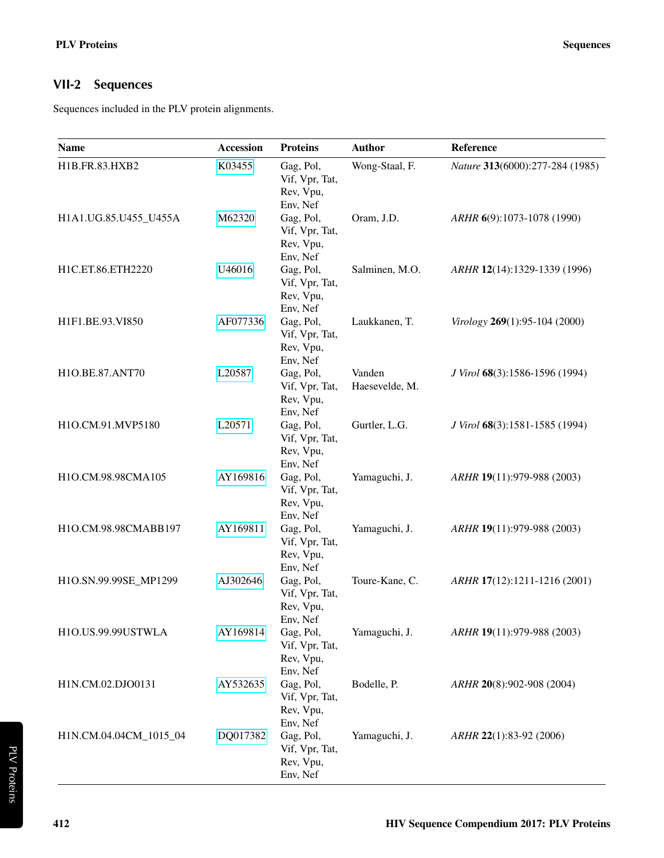### <span id="page-1-0"></span>**VII-2 Sequences**

Sequences included in the PLV protein alignments.

| <b>Name</b>            | <b>Accession</b> | <b>Proteins</b>                                                  | <b>Author</b>            | Reference                       |
|------------------------|------------------|------------------------------------------------------------------|--------------------------|---------------------------------|
| H1B.FR.83.HXB2         | K03455           | Gag, Pol,<br>Vif, Vpr, Tat,<br>Rev, Vpu,                         | Wong-Staal, F.           | Nature 313(6000):277-284 (1985) |
| H1A1.UG.85.U455_U455A  | M62320           | Env, Nef<br>Gag, Pol,<br>Vif, Vpr, Tat,<br>Rev, Vpu,             | Oram, J.D.               | ARHR 6(9):1073-1078 (1990)      |
| H1C.ET.86.ETH2220      | U46016           | Env, Nef<br>Gag, Pol,<br>Vif, Vpr, Tat,<br>Rev, Vpu,             | Salminen, M.O.           | ARHR 12(14):1329-1339 (1996)    |
| H1F1.BE.93.VI850       | AF077336         | Env, Nef<br>Gag, Pol,<br>Vif, Vpr, Tat,<br>Rev, Vpu,             | Laukkanen, T.            | Virology 269(1):95-104 (2000)   |
| H1O.BE.87.ANT70        | L20587           | Env, Nef<br>Gag, Pol,<br>Vif, Vpr, Tat,<br>Rev, Vpu,             | Vanden<br>Haesevelde, M. | J Virol 68(3):1586-1596 (1994)  |
| H1O.CM.91.MVP5180      | L20571           | Env, Nef<br>Gag, Pol,<br>Vif, Vpr, Tat,<br>Rev, Vpu,             | Gurtler, L.G.            | J Virol 68(3):1581-1585 (1994)  |
| H1O.CM.98.98CMA105     | AY169816         | Env, Nef<br>Gag, Pol,<br>Vif, Vpr, Tat,<br>Rev, Vpu,             | Yamaguchi, J.            | ARHR 19(11):979-988 (2003)      |
| H1O.CM.98.98CMABB197   | AY169811         | Env, Nef<br>Gag, Pol,<br>Vif, Vpr, Tat,<br>Rev, Vpu,             | Yamaguchi, J.            | ARHR 19(11):979-988 (2003)      |
| H1O.SN.99.99SE_MP1299  | AJ302646         | Env, Nef<br>Gag, Pol,<br>Vif, Vpr, Tat,<br>Rev, Vpu,             | Toure-Kane, C.           | ARHR 17(12):1211-1216 (2001)    |
| H1O.US.99.99USTWLA     | AY169814         | Env, Nef<br>Gag, Pol,<br>Vif, Vpr, Tat,<br>Rev, Vpu,             | Yamaguchi, J.            | ARHR 19(11):979-988 (2003)      |
| H1N.CM.02.DJO0131      | AY532635         | Env, Nef<br>Gag, Pol,<br>Vif, Vpr, Tat,<br>Rev, Vpu,             | Bodelle, P.              | ARHR 20(8):902-908 (2004)       |
| H1N.CM.04.04CM_1015_04 | DQ017382         | Env, Nef<br>Gag, Pol,<br>Vif, Vpr, Tat,<br>Rev, Vpu,<br>Env, Nef | Yamaguchi, J.            | ARHR 22(1):83-92 (2006)         |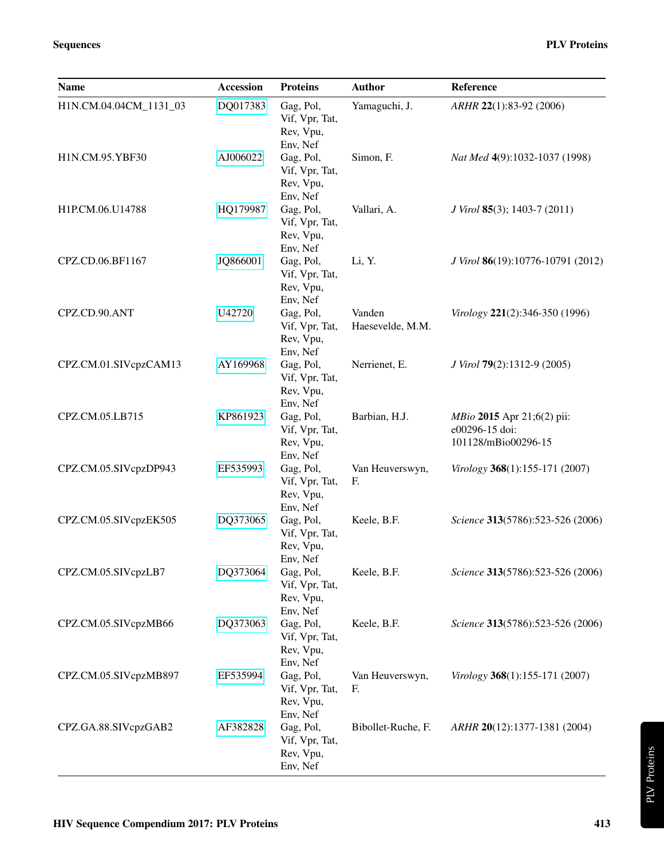| Name                   | <b>Accession</b> | <b>Proteins</b>                                      | <b>Author</b>              | Reference                                                                  |
|------------------------|------------------|------------------------------------------------------|----------------------------|----------------------------------------------------------------------------|
| H1N.CM.04.04CM_1131_03 | DQ017383         | Gag, Pol,<br>Vif, Vpr, Tat,<br>Rev, Vpu,<br>Env, Nef | Yamaguchi, J.              | ARHR 22(1):83-92 (2006)                                                    |
| H1N.CM.95.YBF30        | AJ006022         | Gag, Pol,<br>Vif, Vpr, Tat,<br>Rev, Vpu,<br>Env, Nef | Simon, F.                  | Nat Med 4(9):1032-1037 (1998)                                              |
| H1P.CM.06.U14788       | HQ179987         | Gag, Pol,<br>Vif, Vpr, Tat,<br>Rev, Vpu,<br>Env, Nef | Vallari, A.                | J Virol 85(3); 1403-7 (2011)                                               |
| CPZ.CD.06.BF1167       | JQ866001         | Gag, Pol,<br>Vif, Vpr, Tat,<br>Rev, Vpu,<br>Env, Nef | Li, Y.                     | J Virol 86(19):10776-10791 (2012)                                          |
| CPZ.CD.90.ANT          | U42720           | Gag, Pol,<br>Vif, Vpr, Tat,<br>Rev, Vpu,<br>Env, Nef | Vanden<br>Haesevelde, M.M. | Virology 221(2):346-350 (1996)                                             |
| CPZ.CM.01.SIVcpzCAM13  | AY169968         | Gag, Pol,<br>Vif, Vpr, Tat,<br>Rev, Vpu,<br>Env, Nef | Nerrienet, E.              | J Virol 79(2):1312-9 (2005)                                                |
| CPZ.CM.05.LB715        | KP861923         | Gag, Pol,<br>Vif, Vpr, Tat,<br>Rev, Vpu,<br>Env, Nef | Barbian, H.J.              | <i>MBio</i> 2015 Apr 21;6(2) pii:<br>e00296-15 doi:<br>101128/mBio00296-15 |
| CPZ.CM.05.SIVcpzDP943  | EF535993         | Gag, Pol,<br>Vif, Vpr, Tat,<br>Rev, Vpu,<br>Env, Nef | Van Heuverswyn,<br>F.      | Virology 368(1):155-171 (2007)                                             |
| CPZ.CM.05.SIVcpzEK505  | DQ373065         | Gag, Pol,<br>Vif, Vpr, Tat,<br>Rev, Vpu,<br>Env, Nef | Keele, B.F.                | Science 313(5786):523-526 (2006)                                           |
| CPZ.CM.05.SIVcpzLB7    | DQ373064         | Gag, Pol,<br>Vif, Vpr, Tat,<br>Rev, Vpu,<br>Env, Nef | Keele, B.F.                | Science 313(5786):523-526 (2006)                                           |
| CPZ.CM.05.SIVcpzMB66   | DQ373063         | Gag, Pol,<br>Vif, Vpr, Tat,<br>Rev, Vpu,<br>Env, Nef | Keele, B.F.                | Science 313(5786):523-526 (2006)                                           |
| CPZ.CM.05.SIVcpzMB897  | EF535994         | Gag, Pol,<br>Vif, Vpr, Tat,<br>Rev, Vpu,<br>Env, Nef | Van Heuverswyn,<br>F.      | Virology 368(1):155-171 (2007)                                             |
| CPZ.GA.88.SIVcpzGAB2   | AF382828         | Gag, Pol,<br>Vif, Vpr, Tat,<br>Rev, Vpu,<br>Env, Nef | Bibollet-Ruche, F.         | ARHR 20(12):1377-1381 (2004)                                               |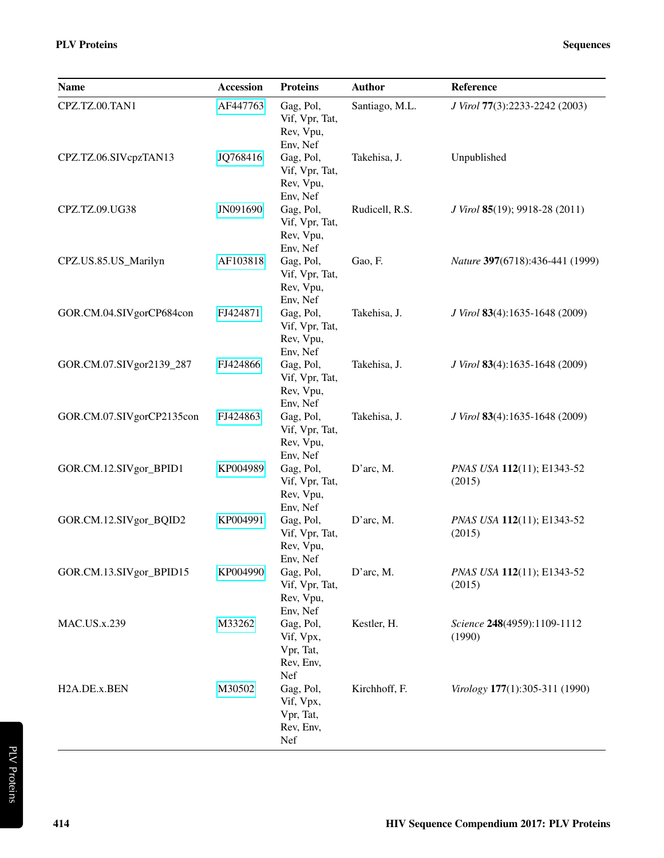| <b>Name</b>               | Accession | <b>Proteins</b>                                                                   | <b>Author</b>  | Reference                                     |
|---------------------------|-----------|-----------------------------------------------------------------------------------|----------------|-----------------------------------------------|
| CPZ.TZ.00.TAN1            | AF447763  | Gag, Pol,<br>Vif, Vpr, Tat,<br>Rev, Vpu,<br>Env, Nef                              | Santiago, M.L. | J Virol 77(3):2233-2242 (2003)                |
| CPZ.TZ.06.SIVcpzTAN13     | JQ768416  | Gag, Pol,<br>Vif, Vpr, Tat,<br>Rev, Vpu,<br>Env, Nef                              | Takehisa, J.   | Unpublished                                   |
| CPZ.TZ.09.UG38            | JN091690  | Gag, Pol,<br>Vif, Vpr, Tat,<br>Rev, Vpu,<br>Env, Nef                              | Rudicell, R.S. | <i>J Virol</i> <b>85</b> (19); 9918-28 (2011) |
| CPZ.US.85.US_Marilyn      | AF103818  | Gag, Pol,<br>Vif, Vpr, Tat,<br>Rev, Vpu,<br>Env, Nef                              | Gao, F.        | Nature 397(6718):436-441 (1999)               |
| GOR.CM.04.SIVgorCP684con  | FJ424871  | Gag, Pol,<br>Vif, Vpr, Tat,<br>Rev, Vpu,<br>Env, Nef                              | Takehisa, J.   | J Virol 83(4):1635-1648 (2009)                |
| GOR.CM.07.SIVgor2139_287  | FJ424866  | Gag, Pol,<br>Vif, Vpr, Tat,<br>Rev, Vpu,<br>Env, Nef                              | Takehisa, J.   | J Virol 83(4):1635-1648 (2009)                |
| GOR.CM.07.SIVgorCP2135con | FJ424863  | Gag, Pol,<br>Vif, Vpr, Tat,<br>Rev, Vpu,<br>Env, Nef                              | Takehisa, J.   | J Virol 83(4):1635-1648 (2009)                |
| GOR.CM.12.SIVgor_BPID1    | KP004989  | Gag, Pol,<br>Vif, Vpr, Tat,<br>Rev, Vpu,<br>Env, Nef                              | D'arc, M.      | PNAS USA 112(11); E1343-52<br>(2015)          |
| GOR.CM.12.SIVgor_BQID2    | KP004991  | Gag, Pol,<br>Vif, Vpr, Tat,<br>Rev, Vpu,<br>Env, Nef                              | D'arc, M.      | PNAS USA 112(11); E1343-52<br>(2015)          |
| GOR.CM.13.SIVgor_BPID15   | KP004990  | Gag, Pol,<br>Vif, Vpr, Tat,<br>Rev, Vpu,<br>Env, Nef                              | D'arc, M.      | PNAS USA 112(11); E1343-52<br>(2015)          |
| <b>MAC.US.x.239</b>       | M33262    | Gag, Pol,<br>Vif, Vpx,<br>Vpr, Tat,<br>Rev, Env,<br>Nef                           | Kestler, H.    | Science 248(4959):1109-1112<br>(1990)         |
| H <sub>2</sub> A.DE.x.BEN | M30502    | Gag, Pol,<br>Vif, Vpx,<br>Vpr, Tat,<br>Rev, Env,<br>$\operatorname{\mathsf{Nef}}$ | Kirchhoff, F.  | Virology 177(1):305-311 (1990)                |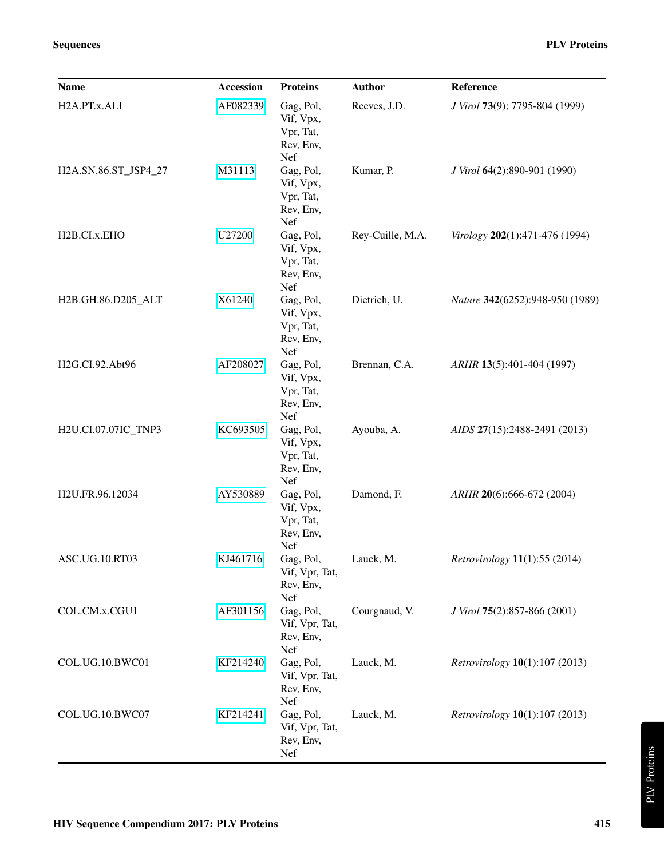| <b>Name</b>               | <b>Accession</b> | <b>Proteins</b>                                                | <b>Author</b>    | Reference                                     |
|---------------------------|------------------|----------------------------------------------------------------|------------------|-----------------------------------------------|
| H2A.PT.x.ALI              | AF082339         | Gag, Pol,<br>Vif, Vpx,<br>Vpr, Tat,<br>Rev, Env,               | Reeves, J.D.     | J Virol 73(9); 7795-804 (1999)                |
| H2A.SN.86.ST_JSP4_27      | M31113           | Nef<br>Gag, Pol,<br>Vif, Vpx,<br>Vpr, Tat,<br>Rev, Env,<br>Nef | Kumar, P.        | J Virol 64(2):890-901 (1990)                  |
| H <sub>2</sub> B.CI.x.EHO | U27200           | Gag, Pol,<br>Vif, Vpx,<br>Vpr, Tat,<br>Rev, Env,<br>Nef        | Rey-Cuille, M.A. | Virology 202(1):471-476 (1994)                |
| H2B.GH.86.D205_ALT        | X61240           | Gag, Pol,<br>Vif, Vpx,<br>Vpr, Tat,<br>Rev, Env,<br>Nef        | Dietrich, U.     | Nature 342(6252):948-950 (1989)               |
| H2G.CI.92.Abt96           | AF208027         | Gag, Pol,<br>Vif, Vpx,<br>Vpr, Tat,<br>Rev, Env,<br>Nef        | Brennan, C.A.    | ARHR 13(5):401-404 (1997)                     |
| H2U.CI.07.07IC_TNP3       | KC693505         | Gag, Pol,<br>Vif, Vpx,<br>Vpr, Tat,<br>Rev, Env,<br>Nef        | Ayouba, A.       | AIDS 27(15):2488-2491 (2013)                  |
| H2U.FR.96.12034           | AY530889         | Gag, Pol,<br>Vif, Vpx,<br>Vpr, Tat,<br>Rev, Env,<br>Nef        | Damond, F.       | ARHR 20(6):666-672 (2004)                     |
| ASC.UG.10.RT03            | KJ461716         | Gag, Pol,<br>Vif, Vpr, Tat,<br>Rev, Env,                       | Lauck, M.        | Retrovirology 11(1):55 (2014)                 |
| COL.CM.x.CGU1             | AF301156         | Nef<br>Gag, Pol,<br>Vif, Vpr, Tat,<br>Rev, Env,                | Courgnaud, V.    | J Virol 75(2):857-866 (2001)                  |
| COL.UG.10.BWC01           | KF214240         | Nef<br>Gag, Pol,<br>Vif, Vpr, Tat,<br>Rev, Env,                | Lauck, M.        | <i>Retrovirology</i> <b>10</b> (1):107 (2013) |
| COL.UG.10.BWC07           | KF214241         | Nef<br>Gag, Pol,<br>Vif, Vpr, Tat,<br>Rev, Env,<br>Nef         | Lauck, M.        | <i>Retrovirology</i> <b>10</b> (1):107 (2013) |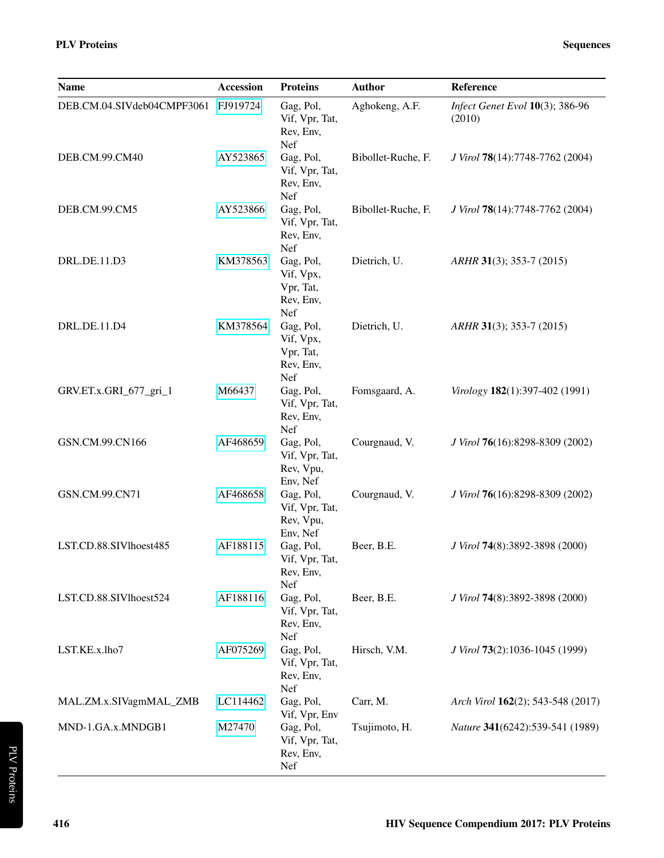| <b>Name</b>                         | <b>Accession</b> | <b>Proteins</b>                                                | <b>Author</b>      | <b>Reference</b>                          |
|-------------------------------------|------------------|----------------------------------------------------------------|--------------------|-------------------------------------------|
| DEB.CM.04.SIVdeb04CMPF3061 FJ919724 |                  | Gag, Pol,<br>Vif, Vpr, Tat,<br>Rev, Env,<br><b>Nef</b>         | Aghokeng, A.F.     | Infect Genet Evol 10(3); 386-96<br>(2010) |
| DEB.CM.99.CM40                      | AY523865         | Gag, Pol,<br>Vif, Vpr, Tat,<br>Rev, Env,<br><b>Nef</b>         | Bibollet-Ruche, F. | J Virol 78(14):7748-7762 (2004)           |
| DEB.CM.99.CM5                       | AY523866         | Gag, Pol,<br>Vif, Vpr, Tat,<br>Rev, Env,<br><b>Nef</b>         | Bibollet-Ruche, F. | J Virol 78(14):7748-7762 (2004)           |
| DRL.DE.11.D3                        | KM378563         | Gag, Pol,<br>Vif, Vpx,<br>Vpr, Tat,<br>Rev, Env,<br><b>Nef</b> | Dietrich, U.       | $ARHR$ 31(3); 353-7 (2015)                |
| DRL.DE.11.D4                        | KM378564         | Gag, Pol,                                                      | Dietrich, U.       | $ARHR$ 31(3); 353-7 (2015)                |

|                        |          | <b>Net</b>                                              |                    |                                 |
|------------------------|----------|---------------------------------------------------------|--------------------|---------------------------------|
| DEB.CM.99.CM5          | AY523866 | Gag, Pol,<br>Vif, Vpr, Tat,<br>Rev, Env,<br>Nef         | Bibollet-Ruche, F. | J Virol 78(14):7748-7762 (2004) |
| DRL.DE.11.D3           | KM378563 | Gag, Pol,<br>Vif, Vpx,<br>Vpr, Tat,<br>Rev, Env,<br>Nef | Dietrich, U.       | $ARHR$ 31(3); 353-7 (2015)      |
| DRL.DE.11.D4           | KM378564 | Gag, Pol,<br>Vif, Vpx,<br>Vpr, Tat,<br>Rev, Env,<br>Nef | Dietrich, U.       | ARHR 31(3); 353-7 (2015)        |
| GRV.ET.x.GRI_677_gri_1 | M66437   | Gag, Pol,<br>Vif, Vpr, Tat,<br>Rev, Env,<br>Nef         | Fomsgaard, A.      | Virology 182(1):397-402 (1991)  |
| GSN.CM.99.CN166        | AF468659 | Gag, Pol,<br>Vif, Vpr, Tat,<br>Rev, Vpu,<br>Env, Nef    | Courgnaud, V.      | J Virol 76(16):8298-8309 (2002) |
| GSN.CM.99.CN71         | AF468658 | Gag, Pol,<br>Vif, Vpr, Tat,<br>Rev, Vpu,<br>Env, Nef    | Courgnaud, V.      | J Virol 76(16):8298-8309 (2002) |
| LST.CD.88.SIVlhoest485 | AF188115 | Gag, Pol,<br>Vif, Vpr, Tat,<br>Rev, Env,<br>Nef         | Beer, B.E.         | J Virol 74(8):3892-3898 (2000)  |
| LST.CD.88.SIVlhoest524 | AF188116 | Gag, Pol,<br>Vif, Vpr, Tat,                             | Beer, B.E.         | J Virol 74(8):3892-3898 (2000)  |

Rev, Env, Nef

Vif, Vpr, Tat, Rev, Env, Nef

Vif, Vpr, Env

Vif, Vpr, Tat, Rev, Env, Nef

LST.KE.x.lho7 [AF075269](https://www.hiv.lanl.gov/components/sequence/HIV/search/d_search.comp?sa_genbankaccession=AF075269) Gag, Pol,

MAL.ZM.x.SIVagmMAL\_ZMB [LC114462](https://www.hiv.lanl.gov/components/sequence/HIV/search/d_search.comp?sa_genbankaccession=LC114462) Gag, Pol,

MND-1.GA.x.MNDGB1 [M27470](https://www.hiv.lanl.gov/components/sequence/HIV/search/d_search.comp?sa_genbankaccession=M27470) Gag, Pol,

Hirsch, V.M. *J Virol* 73(2):1036-1045 (1999)

Carr, M. *Arch Virol* 162(2); 543-548 (2017)

Tsujimoto, H. *Nature* 341(6242):539-541 (1989)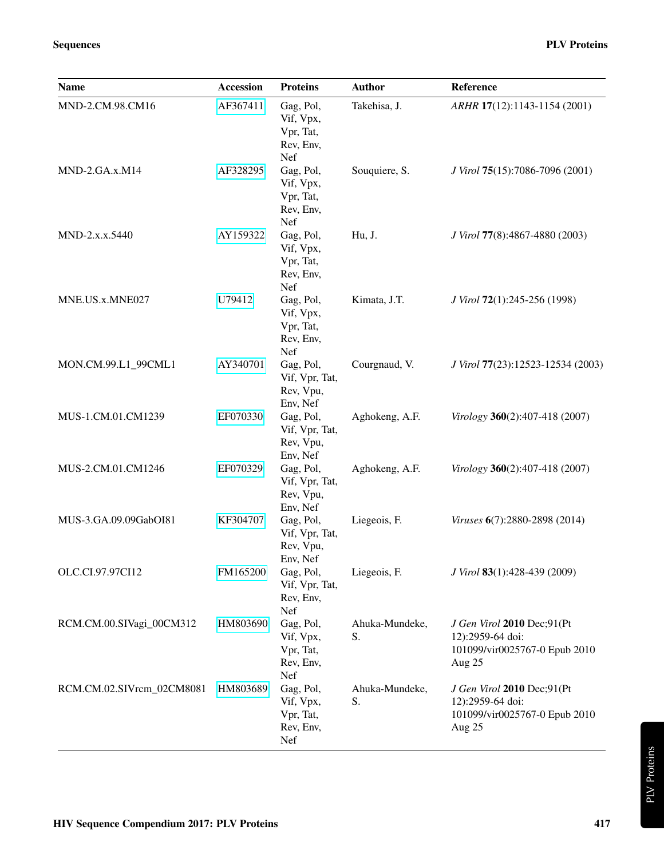HIV Sequence Compendium 2017: PLV Proteins 417

|                           |          | Vif, Vpx,<br>Vpr, Tat,<br>Rev, Env,<br>Nef              |                      |                                                                                             |
|---------------------------|----------|---------------------------------------------------------|----------------------|---------------------------------------------------------------------------------------------|
| $MND-2.GA.x.M14$          | AF328295 | Gag, Pol,<br>Vif, Vpx,<br>Vpr, Tat,<br>Rev, Env,<br>Nef | Souquiere, S.        | J Virol 75(15):7086-7096 (2001)                                                             |
| MND-2.x.x.5440            | AY159322 | Gag, Pol,<br>Vif, Vpx,<br>Vpr, Tat,<br>Rev, Env,<br>Nef | Hu, J.               | J Virol 77(8):4867-4880 (2003)                                                              |
| MNE.US.x.MNE027           | U79412   | Gag, Pol,<br>Vif, Vpx,<br>Vpr, Tat,<br>Rev, Env,<br>Nef | Kimata, J.T.         | J Virol 72(1):245-256 (1998)                                                                |
| MON.CM.99.L1_99CML1       | AY340701 | Gag, Pol,<br>Vif, Vpr, Tat,<br>Rev, Vpu,<br>Env, Nef    | Courgnaud, V.        | J Virol 77(23):12523-12534 (2003)                                                           |
| MUS-1.CM.01.CM1239        | EF070330 | Gag, Pol,<br>Vif, Vpr, Tat,<br>Rev, Vpu,<br>Env, Nef    | Aghokeng, A.F.       | Virology 360(2):407-418 (2007)                                                              |
| MUS-2.CM.01.CM1246        | EF070329 | Gag, Pol,<br>Vif, Vpr, Tat,<br>Rev, Vpu,<br>Env, Nef    | Aghokeng, A.F.       | Virology 360(2):407-418 (2007)                                                              |
| MUS-3.GA.09.09GabOI81     | KF304707 | Gag, Pol,<br>Vif, Vpr, Tat,<br>Rev, Vpu,<br>Env, Nef    | Liegeois, F.         | Viruses 6(7):2880-2898 (2014)                                                               |
| OLC.CI.97.97CI12          | FM165200 | Gag, Pol,<br>Vif, Vpr, Tat,<br>Rev, Env,<br>Nef         | Liegeois, F.         | J Virol 83(1):428-439 (2009)                                                                |
| RCM.CM.00.SIVagi_00CM312  | HM803690 | Gag, Pol,<br>Vif, Vpx,<br>Vpr, Tat,<br>Rev, Env,<br>Nef | Ahuka-Mundeke,<br>S. | J Gen Virol 2010 Dec;91(Pt<br>12):2959-64 doi:<br>101099/vir0025767-0 Epub 2010<br>Aug $25$ |
| RCM.CM.02.SIVrcm_02CM8081 | HM803689 | Gag, Pol,<br>Vif, Vpx,<br>Vpr, Tat,<br>Rev, Env,<br>Nef | Ahuka-Mundeke,<br>S. | J Gen Virol 2010 Dec;91(Pt<br>12):2959-64 doi:<br>101099/vir0025767-0 Epub 2010<br>Aug $25$ |

Name **Accession** Proteins Author Reference

MND-2.CM.98.CM16 [AF367411](https://www.hiv.lanl.gov/components/sequence/HIV/search/d_search.comp?sa_genbankaccession=AF367411) Gag, Pol,

Takehisa, J. *ARHR* 17(12):1143-1154 (2001)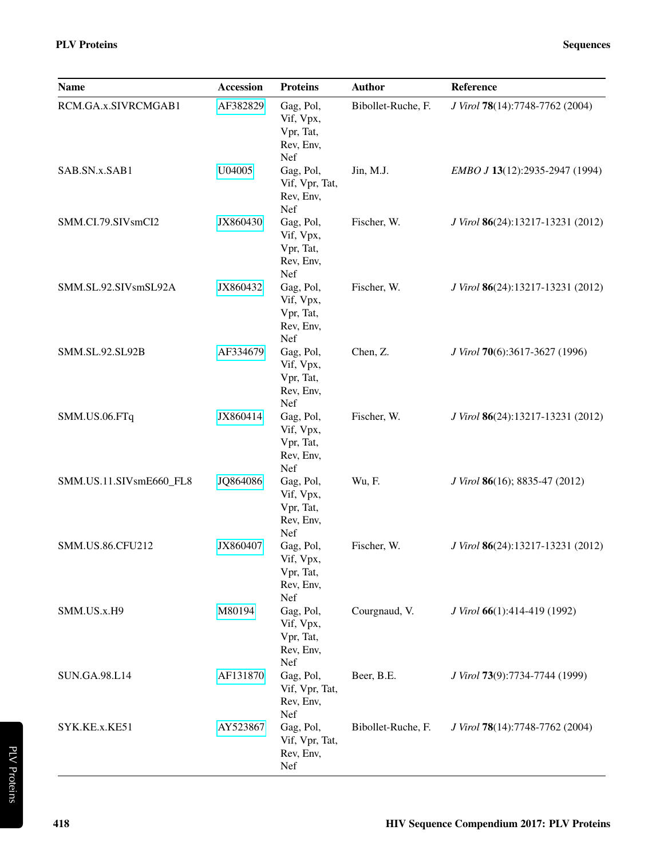| <b>Name</b>             | <b>Accession</b> | <b>Proteins</b>                                         | <b>Author</b>      | Reference                         |
|-------------------------|------------------|---------------------------------------------------------|--------------------|-----------------------------------|
| RCM.GA.x.SIVRCMGAB1     | AF382829         | Gag, Pol,<br>Vif, Vpx,<br>Vpr, Tat,<br>Rev, Env,<br>Nef | Bibollet-Ruche, F. | J Virol 78(14):7748-7762 (2004)   |
| SAB.SN.x.SAB1           | U04005           | Gag, Pol,<br>Vif, Vpr, Tat,<br>Rev, Env,<br>Nef         | Jin, M.J.          | EMBO J 13(12):2935-2947 (1994)    |
| SMM.CI.79.SIVsmCI2      | JX860430         | Gag, Pol,<br>Vif, Vpx,<br>Vpr, Tat,<br>Rev, Env,<br>Nef | Fischer, W.        | J Virol 86(24):13217-13231 (2012) |
| SMM.SL.92.SIVsmSL92A    | JX860432         | Gag, Pol,<br>Vif, Vpx,<br>Vpr, Tat,<br>Rev, Env,<br>Nef | Fischer, W.        | J Virol 86(24):13217-13231 (2012) |
| SMM.SL.92.SL92B         | AF334679         | Gag, Pol,<br>Vif, Vpx,<br>Vpr, Tat,<br>Rev, Env,<br>Nef | Chen, Z.           | J Virol 70(6):3617-3627 (1996)    |
| SMM.US.06.FTq           | JX860414         | Gag, Pol,<br>Vif, Vpx,<br>Vpr, Tat,<br>Rev, Env,<br>Nef | Fischer, W.        | J Virol 86(24):13217-13231 (2012) |
| SMM.US.11.SIVsmE660_FL8 | JQ864086         | Gag, Pol,<br>Vif, Vpx,<br>Vpr, Tat,<br>Rev, Env,<br>Nef | Wu, F.             | J Virol 86(16); 8835-47 (2012)    |
| SMM.US.86.CFU212        | JX860407         | Gag, Pol,<br>Vif, Vpx,<br>Vpr, Tat,<br>Rev, Env,<br>Nef | Fischer, W.        | J Virol 86(24):13217-13231 (2012) |
| SMM.US.x.H9             | M80194           | Gag, Pol,<br>Vif, Vpx,<br>Vpr, Tat,<br>Rev, Env,<br>Nef | Courgnaud, V.      | J Virol 66(1):414-419 (1992)      |
| <b>SUN.GA.98.L14</b>    | AF131870         | Gag, Pol,<br>Vif, Vpr, Tat,<br>Rev, Env,<br>Nef         | Beer, B.E.         | J Virol 73(9):7734-7744 (1999)    |
| SYK.KE.x.KE51           | AY523867         | Gag, Pol,<br>Vif, Vpr, Tat,<br>Rev, Env,<br>Nef         | Bibollet-Ruche, F. | J Virol 78(14):7748-7762 (2004)   |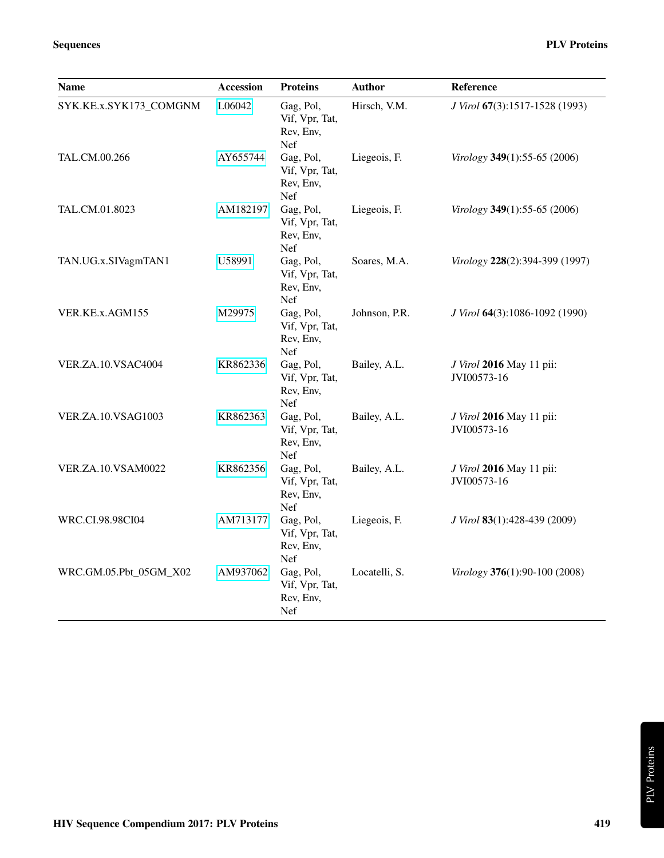| <b>Name</b>               | <b>Accession</b> | <b>Proteins</b>                                 | <b>Author</b> | Reference                               |
|---------------------------|------------------|-------------------------------------------------|---------------|-----------------------------------------|
| SYK.KE.x.SYK173_COMGNM    | L06042           | Gag, Pol,<br>Vif, Vpr, Tat,<br>Rev, Env,<br>Nef | Hirsch, V.M.  | J Virol 67(3):1517-1528 (1993)          |
| TAL.CM.00.266             | AY655744         | Gag, Pol,<br>Vif, Vpr, Tat,<br>Rev, Env,<br>Nef | Liegeois, F.  | Virology 349(1):55-65 (2006)            |
| TAL.CM.01.8023            | AM182197         | Gag, Pol,<br>Vif, Vpr, Tat,<br>Rev, Env,<br>Nef | Liegeois, F.  | Virology 349(1):55-65 (2006)            |
| TAN.UG.x.SIVagmTAN1       | U58991           | Gag, Pol,<br>Vif, Vpr, Tat,<br>Rev, Env,<br>Nef | Soares, M.A.  | Virology 228(2):394-399 (1997)          |
| VER.KE.x.AGM155           | M29975           | Gag, Pol,<br>Vif, Vpr, Tat,<br>Rev, Env,<br>Nef | Johnson, P.R. | J Virol 64(3):1086-1092 (1990)          |
| VER.ZA.10.VSAC4004        | KR862336         | Gag, Pol,<br>Vif, Vpr, Tat,<br>Rev, Env,<br>Nef | Bailey, A.L.  | J Virol 2016 May 11 pii:<br>JVI00573-16 |
| <b>VER.ZA.10.VSAG1003</b> | KR862363         | Gag, Pol,<br>Vif, Vpr, Tat,<br>Rev, Env,<br>Nef | Bailey, A.L.  | J Virol 2016 May 11 pii:<br>JVI00573-16 |
| <b>VER.ZA.10.VSAM0022</b> | KR862356         | Gag, Pol,<br>Vif, Vpr, Tat,<br>Rev, Env,<br>Nef | Bailey, A.L.  | J Virol 2016 May 11 pii:<br>JVI00573-16 |
| WRC.CI.98.98CI04          | AM713177         | Gag, Pol,<br>Vif, Vpr, Tat,<br>Rev, Env,<br>Nef | Liegeois, F.  | J Virol 83(1):428-439 (2009)            |
| WRC.GM.05.Pbt_05GM_X02    | AM937062         | Gag, Pol,<br>Vif, Vpr, Tat,<br>Rev, Env,<br>Nef | Locatelli, S. | Virology 376(1):90-100 (2008)           |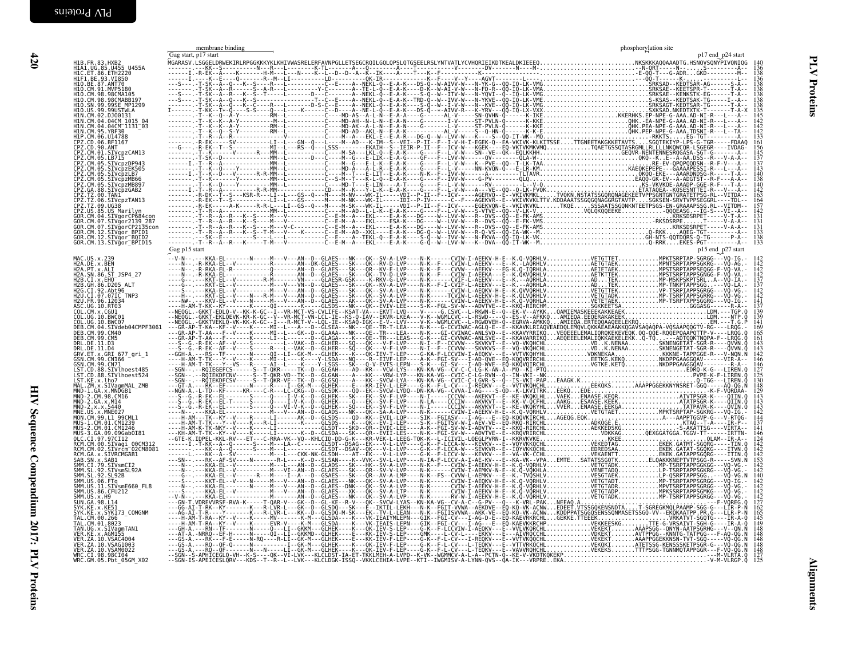<span id="page-9-1"></span><span id="page-9-0"></span>

|                                                                                                                                                           | membrane binding | phosphorylation site                                    |
|-----------------------------------------------------------------------------------------------------------------------------------------------------------|------------------|---------------------------------------------------------|
| H1B.FR.83.HXB2<br>H1A1.UG.85.U455 U455A<br>H1C.ET.86.ETH2220<br>H1D.BE.93.VI850<br>H1O.BE.87.ANT70<br>H1O.CM.91.MVP5180                                   |                  |                                                         |
|                                                                                                                                                           |                  | $\frac{138}{136}$<br>136                                |
|                                                                                                                                                           |                  |                                                         |
| H10.CM.98.98CMA105<br>H10.CM.98.98CMA105<br>H10.CM.98.98CMABB197<br>H10.SN.99.9995E MP1299<br>H10.US.99.99USTWLA                                          |                  |                                                         |
|                                                                                                                                                           |                  |                                                         |
| HIN.CM.02.DJ00131<br>H1N.CM.04.04CM 1015 04                                                                                                               |                  |                                                         |
| HIN. CM. 04. 04CM 1131-03<br>HIN. CM. 04. 04CM 1131-03<br>HIN. CM. 05. YBF30<br>HIP. CM. 06. U14788<br>CPZ. CD. 06. BF1167                                |                  | 138<br>138<br>135<br>145<br>142<br>142<br>142<br>133    |
|                                                                                                                                                           |                  |                                                         |
|                                                                                                                                                           |                  |                                                         |
| CPZ.CD.90.ANT<br>CPZ.CD.90.ANT<br>CPZ.CM.01.SIVcpzCAM13<br>CPZ.CM.05.SIVcpzDP943<br>CPZ.CM.05.SIVcpzEK505                                                 |                  |                                                         |
|                                                                                                                                                           |                  |                                                         |
| CPZ.CM.05.SIVCp2EK305<br>CPZ.CM.05.SIVCp2LB7<br>CPZ.CM.05.SIVCp2MB66<br>CPZ.CM.05.SIVCp2MB897<br>CPZ.GA.88.SIVCp2GAB2<br>CPZ.TZ.00.TAN1<br>CPZ.TZ.00.TAN1 |                  | $\frac{140}{142}$<br>$\frac{142}{163}$                  |
|                                                                                                                                                           |                  |                                                         |
| CPZ.TZ.09.UG38<br>CPZ.US.85.US_Marilyn                                                                                                                    |                  |                                                         |
| GOR.CM.04.SIVgorCP684con<br>GOR.CM.07.SIVgor2139 287                                                                                                      |                  | $\frac{131}{131}$                                       |
| GOR.CM.07.SIVgorCP2135con<br>GOR.CM.07.SIVgorCP2135con                                                                                                    |                  |                                                         |
| GOR.CM.12.SIVgor BOID2<br>GOR.CM.13.SIVgor BPID15                                                                                                         | Gag p15 start    | $\frac{138}{133}$<br>p15 end p27 start                  |
| MAC.US.x.239<br>H2A.DE.x.BEN                                                                                                                              |                  |                                                         |
| H2A.PT.x.ALI<br>H2A.SN.86.ST_JSP4_27                                                                                                                      |                  | $\begin{array}{c} 142 \\ 142 \\ 142 \\ 142 \end{array}$ |
| H2B.CI.x.EHO <sup>-</sup><br>H2B.CI.x.EHO <sup>-</sup>                                                                                                    |                  | 137                                                     |
| H2G.CI.92.Abt96<br>H2G.CI.92.Abt96<br>H2U.CI.07.07IC_TNP3                                                                                                 |                  |                                                         |
| H2U. FR. 96. 12034<br>ASC. UG. 10. RT03<br>COL. CM. x. CGU1                                                                                               |                  |                                                         |
| COL. UG. 10. BWC01                                                                                                                                        |                  |                                                         |
| COL.UG.10.BWC07                                                                                                                                           |                  | 169                                                     |
| DEB.CM.04.SIVdeb04CMPF3061<br>DEB.CM.99.CM40<br>DEB.CM.99.CM5                                                                                             |                  | $\frac{165}{161}$                                       |
| DRL.DE.11.D3<br>DRL.DE.11.D4                                                                                                                              |                  | 143<br>142                                              |
| GRV.ET.x.GRI 677_gri_1<br>GSN.CM.99.CNI66<br>GSN.CM.99.CNI66<br>LST.CD.88.SIVlhoest485                                                                    |                  | 146                                                     |
| LST.CD.88.SIVlhoest524                                                                                                                                    |                  | $\frac{146}{127}$<br>$\frac{125}{130}$                  |
| LST. KE.X. Lho7<br>MAL. ZM.x. SIVagmMAL_ZMB<br>MND-1.GA.x. MNDGB1                                                                                         |                  | $\frac{148}{129}$                                       |
| MND-1.GA.x.MNDGB1<br>MND-2.CM.98.CM16<br>MND-2.GA.x.M14<br>MND-2.x.x.5440<br>MNE.US.x.MNE027<br>MON.CM.99.L1_99CML1<br>MUS-1.CM.01.CM1230                 |                  |                                                         |
|                                                                                                                                                           |                  |                                                         |
|                                                                                                                                                           |                  |                                                         |
| MUS-2.CM.01.CM1246<br>MUS-3.GA.09.09Gab0I81                                                                                                               |                  |                                                         |
| 0LC.C1.97.97C112<br>RCM.CM.00.SIVagi_00CM312<br>RCM.CM.02.SIVrcm_02CM8081                                                                                 |                  | $\begin{array}{c} 124 \\ 142 \\ 142 \end{array}$        |
| RCM. GA. x. SIVRCMGAB1                                                                                                                                    |                  |                                                         |
| SAB. SN. x. SAB1<br>SMM. CI. 79. SIVSMCI2<br>SMM. SL. 92. SIVSMSL92A<br>SMM. SL. 92. SL92B                                                                |                  |                                                         |
|                                                                                                                                                           |                  | 140                                                     |
| SMM. US. 06. FTq<br>SMM. US. 11. SIVsmE660_FL8<br>SMM. US. 86. CFU212                                                                                     |                  | $142$<br>$142$<br>$142$<br>$142$<br>$142$               |
| $\overline{SMM}$ . US . x . H9<br>SUN. GA. 98. L14<br>SYK. KE. x. KE51                                                                                    |                  | $\frac{127}{162}$                                       |
| SYK.KE.x.SYK173 COMGNM                                                                                                                                    |                  |                                                         |
| TAL.CM.00.266<br>TAL.CM.01.8023                                                                                                                           |                  |                                                         |
| TAN.UG.x.SIVagmTAN1<br>VER.KE.x.AGM155<br>VER.ZA.10.VSAC4004                                                                                              |                  | 148<br>148                                              |
| VER.ZA.10.VSAG1003                                                                                                                                        |                  | 148                                                     |
| VER. ZA. 10. VSAM0022<br>WRC.CI.98.98CI04<br>WRC.GM.05.Pbt_05GM_X02                                                                                       |                  | 148<br>$\frac{127}{125}$                                |
|                                                                                                                                                           |                  |                                                         |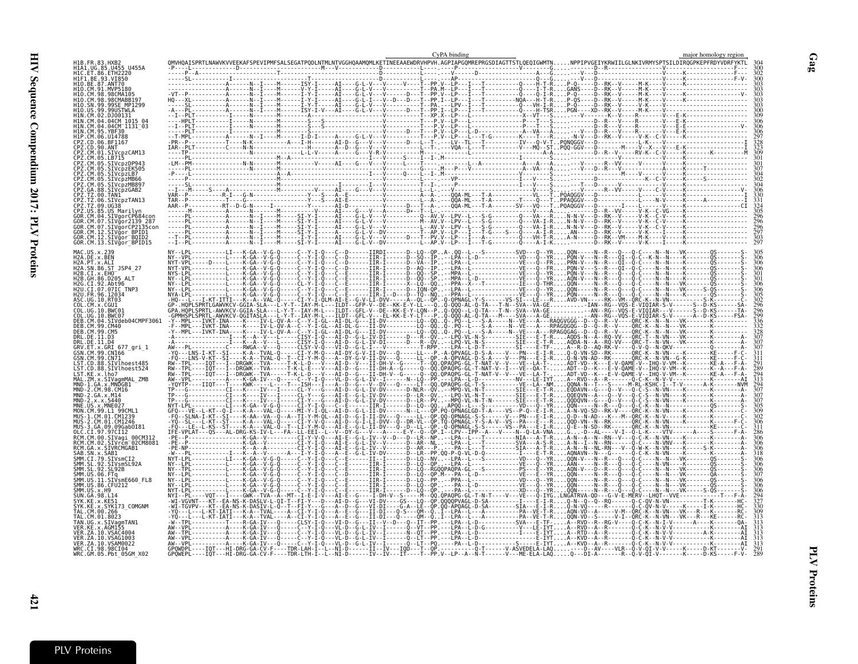|                                                      |                                                                                                                                                                                                                                                                                                                                                                                                                                                                                                     |  |  | CyPA binding |  |  | major homology region |  |
|------------------------------------------------------|-----------------------------------------------------------------------------------------------------------------------------------------------------------------------------------------------------------------------------------------------------------------------------------------------------------------------------------------------------------------------------------------------------------------------------------------------------------------------------------------------------|--|--|--------------|--|--|-----------------------|--|
| H1A1.UG.85.U455 U455A                                |                                                                                                                                                                                                                                                                                                                                                                                                                                                                                                     |  |  |              |  |  |                       |  |
| H1C.ET.86.ETH2220<br>H1F1.BE.93.VI850                |                                                                                                                                                                                                                                                                                                                                                                                                                                                                                                     |  |  |              |  |  |                       |  |
| H10.BE.87.ANT70<br>H10.CM.91.MVP5186<br>98 98CMA105  |                                                                                                                                                                                                                                                                                                                                                                                                                                                                                                     |  |  |              |  |  |                       |  |
| 98CMARR197                                           |                                                                                                                                                                                                                                                                                                                                                                                                                                                                                                     |  |  |              |  |  |                       |  |
| .99.99USTWLA                                         |                                                                                                                                                                                                                                                                                                                                                                                                                                                                                                     |  |  |              |  |  |                       |  |
|                                                      |                                                                                                                                                                                                                                                                                                                                                                                                                                                                                                     |  |  |              |  |  |                       |  |
| 1P.CM.06.U14788                                      |                                                                                                                                                                                                                                                                                                                                                                                                                                                                                                     |  |  |              |  |  |                       |  |
| CPZ.CD.06.BF1167<br>PZ.CD.90.ANT                     |                                                                                                                                                                                                                                                                                                                                                                                                                                                                                                     |  |  |              |  |  |                       |  |
| ČPŽ.CM.01.SIVcpzCAM13<br>CPZ.CM.05.LB715             |                                                                                                                                                                                                                                                                                                                                                                                                                                                                                                     |  |  |              |  |  |                       |  |
| .SIVcpzDP94<br>SIVcpzEK505                           |                                                                                                                                                                                                                                                                                                                                                                                                                                                                                                     |  |  |              |  |  |                       |  |
| SIVcpzLB7                                            |                                                                                                                                                                                                                                                                                                                                                                                                                                                                                                     |  |  |              |  |  |                       |  |
| .SIVcpzMB897<br>88.SIVcpzGAB2                        |                                                                                                                                                                                                                                                                                                                                                                                                                                                                                                     |  |  |              |  |  |                       |  |
| CPZ.TZ.00.TAN1                                       |                                                                                                                                                                                                                                                                                                                                                                                                                                                                                                     |  |  |              |  |  |                       |  |
| PZ.TZ.09.UG38<br>.85.US Marilvr                      |                                                                                                                                                                                                                                                                                                                                                                                                                                                                                                     |  |  |              |  |  |                       |  |
| GOR.CM.04.SIVgorCP684cc<br>CM.07.SIVgor2139 287      |                                                                                                                                                                                                                                                                                                                                                                                                                                                                                                     |  |  |              |  |  |                       |  |
| OR.CM.12.SIVğor BPID1                                |                                                                                                                                                                                                                                                                                                                                                                                                                                                                                                     |  |  |              |  |  |                       |  |
| GOR.CM.12.SIVgor BQID2<br>GOR.CM.13.SIVgor BPID15    |                                                                                                                                                                                                                                                                                                                                                                                                                                                                                                     |  |  |              |  |  |                       |  |
|                                                      | $\begin{array}{l} \mathbf{W} \cdot \cdot \cdot \mathbf{b} \cdot \ldots \cdot \mathbf{b} \cdot \ldots \cdot \mathbf{c} \cdot \mathbf{a} \cdot \ldots \cdot \mathbf{c} \cdot \mathbf{a} \cdot \mathbf{c} \cdot \mathbf{c} \cdot \mathbf{c} \cdot \mathbf{c} \cdot \mathbf{c} \cdot \mathbf{c} \cdot \mathbf{c} \cdot \mathbf{c} \cdot \mathbf{c} \cdot \mathbf{c} \cdot \mathbf{c} \cdot \mathbf{c} \cdot \mathbf{c} \cdot \mathbf{c} \cdot \mathbf{c} \cdot \mathbf{c} \cdot \mathbf{c} \cdot \math$ |  |  |              |  |  |                       |  |
| H2A.DE.x.BEN<br>H2A.PT.x.ALI<br>H2A.SN.86.ST JSP4 27 |                                                                                                                                                                                                                                                                                                                                                                                                                                                                                                     |  |  |              |  |  |                       |  |
| H2B.CI.x.EHO<br>12R GH 86 D205                       |                                                                                                                                                                                                                                                                                                                                                                                                                                                                                                     |  |  |              |  |  |                       |  |
| 12G.CT.92.Abt96<br>H2U.CI.07.07IC TNP3               |                                                                                                                                                                                                                                                                                                                                                                                                                                                                                                     |  |  |              |  |  |                       |  |
| H2U. FR. 96. 12034                                   |                                                                                                                                                                                                                                                                                                                                                                                                                                                                                                     |  |  |              |  |  |                       |  |
|                                                      |                                                                                                                                                                                                                                                                                                                                                                                                                                                                                                     |  |  |              |  |  |                       |  |
| 04.SIVdeb04CMPF3061                                  |                                                                                                                                                                                                                                                                                                                                                                                                                                                                                                     |  |  |              |  |  |                       |  |
|                                                      |                                                                                                                                                                                                                                                                                                                                                                                                                                                                                                     |  |  |              |  |  |                       |  |
| .DF.11.D3<br>.DE.11.D4                               |                                                                                                                                                                                                                                                                                                                                                                                                                                                                                                     |  |  |              |  |  |                       |  |
| GRI 677 gri 1<br>99.CN166                            |                                                                                                                                                                                                                                                                                                                                                                                                                                                                                                     |  |  |              |  |  |                       |  |
| GSN.CM.99.CN71<br>88.SIVlhoest485                    |                                                                                                                                                                                                                                                                                                                                                                                                                                                                                                     |  |  |              |  |  |                       |  |
| T.CD.88.SIVlhoest524<br>KF x 1ho7                    |                                                                                                                                                                                                                                                                                                                                                                                                                                                                                                     |  |  |              |  |  |                       |  |
| .ZM.x.SIVagmMAL ZMB                                  |                                                                                                                                                                                                                                                                                                                                                                                                                                                                                                     |  |  |              |  |  |                       |  |
| .CM 98.CM16                                          |                                                                                                                                                                                                                                                                                                                                                                                                                                                                                                     |  |  |              |  |  |                       |  |
|                                                      |                                                                                                                                                                                                                                                                                                                                                                                                                                                                                                     |  |  |              |  |  |                       |  |
|                                                      |                                                                                                                                                                                                                                                                                                                                                                                                                                                                                                     |  |  |              |  |  |                       |  |
| MUS-2.CM.01.CM1246<br>MUS-3.GA.09.09Gab0I81          |                                                                                                                                                                                                                                                                                                                                                                                                                                                                                                     |  |  |              |  |  |                       |  |
| CI.97.97CI12<br>RCM.CM.00.SIVagi 00CM312             |                                                                                                                                                                                                                                                                                                                                                                                                                                                                                                     |  |  |              |  |  |                       |  |
| .SIVrcm <sup>-</sup> 02CM8081<br>RCM.GA.x.SIVRCMGAB1 |                                                                                                                                                                                                                                                                                                                                                                                                                                                                                                     |  |  |              |  |  |                       |  |
| .STVsmSL92A                                          |                                                                                                                                                                                                                                                                                                                                                                                                                                                                                                     |  |  |              |  |  |                       |  |
|                                                      |                                                                                                                                                                                                                                                                                                                                                                                                                                                                                                     |  |  |              |  |  |                       |  |
| US.06.FTq<br>US.11.SIVsmE660_FL8<br>US.86.CFU212     |                                                                                                                                                                                                                                                                                                                                                                                                                                                                                                     |  |  |              |  |  |                       |  |
| SUN. GA. 98. 114                                     |                                                                                                                                                                                                                                                                                                                                                                                                                                                                                                     |  |  |              |  |  |                       |  |
| SYK173 COMGNM                                        |                                                                                                                                                                                                                                                                                                                                                                                                                                                                                                     |  |  |              |  |  |                       |  |
|                                                      |                                                                                                                                                                                                                                                                                                                                                                                                                                                                                                     |  |  |              |  |  |                       |  |
|                                                      |                                                                                                                                                                                                                                                                                                                                                                                                                                                                                                     |  |  |              |  |  |                       |  |
| VER. ZA. 10. VSAC4004<br>VER 7A 10 VSAG1003          |                                                                                                                                                                                                                                                                                                                                                                                                                                                                                                     |  |  |              |  |  |                       |  |
| VER.ZA.10.VSAM0022<br>WRC.CI.98.98C104               |                                                                                                                                                                                                                                                                                                                                                                                                                                                                                                     |  |  |              |  |  |                       |  |
| WRC.GM.05.Pbt 05GM X02                               |                                                                                                                                                                                                                                                                                                                                                                                                                                                                                                     |  |  |              |  |  |                       |  |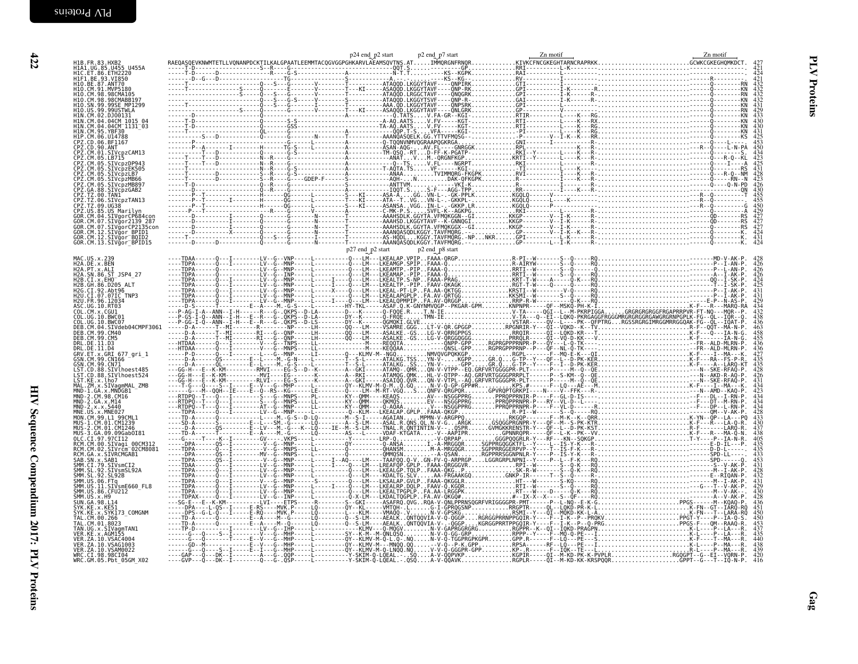| H1B.FR.83.HXB2<br>H1A1.UG.85.U455 U455A<br>H1C.ET.86.ETH2220<br>H1F1.BE.93.VI850                                                                                                                                                                             |  |  | $424$<br>$424$<br>$421$                                                                                                                                                                               |
|--------------------------------------------------------------------------------------------------------------------------------------------------------------------------------------------------------------------------------------------------------------|--|--|-------------------------------------------------------------------------------------------------------------------------------------------------------------------------------------------------------|
| H10.BE.87.ANT70<br>H10.BE.87.ANT70<br>H10.CM.91.MVP5180<br>H10.CM.98.98CMABB197<br>H10.SN.99.99SE_MP1299                                                                                                                                                     |  |  |                                                                                                                                                                                                       |
|                                                                                                                                                                                                                                                              |  |  |                                                                                                                                                                                                       |
| HTO: ISS - 99: 995E MPI229<br>HTO: US. 99: 99USTMLA<br>HTM: CM: 04: 04: 04: 04: 0131<br>HTM: CM: 04: 04: 04: 0131<br>HTM: CM: 04: 04: 04: 0131<br>HTM: CM: 05: 05: 01378<br>CPZ: CM: 06: 05: 05: 02: 02: 02: 02:<br>CPZ: CM: 05: 5.51VCp2DP943<br>CPZ:       |  |  | $429$<br>$433$<br>$430$<br>$430$<br>$431$                                                                                                                                                             |
|                                                                                                                                                                                                                                                              |  |  |                                                                                                                                                                                                       |
|                                                                                                                                                                                                                                                              |  |  |                                                                                                                                                                                                       |
|                                                                                                                                                                                                                                                              |  |  |                                                                                                                                                                                                       |
|                                                                                                                                                                                                                                                              |  |  |                                                                                                                                                                                                       |
|                                                                                                                                                                                                                                                              |  |  | $431$<br>$428$<br>$423$<br>$426$<br>$430$                                                                                                                                                             |
| CP2.CM.05.SIVcpzEK505<br>CP2.CM.05.SIVcpzLB7<br>CP2.CM.05.SIVcpzMB66<br>CP2.CM.05.SIVcpzMB68<br>CP2.CM.05.SIVcpzMB897<br>CP2.T2.00.SIVcpzVMB897<br>CP2.T2.00.SIVcpzTAN13<br>CP2.T2.00.SIVcpzTAN13<br>CP2.T2.09.UG38<br>GOR.CM.04.SIVgorCP684con<br>GOR.CM.04 |  |  |                                                                                                                                                                                                       |
|                                                                                                                                                                                                                                                              |  |  | $\begin{array}{r} 455 \\ 455 \\ 450 \\ 429 \\ 427 \\ 427 \\ 431 \\ 431 \\ 424 \end{array}$                                                                                                            |
|                                                                                                                                                                                                                                                              |  |  |                                                                                                                                                                                                       |
| GOR.CM.07.5IVgorCP2135con<br>GOR.CM.12.SIVgorCP2135con<br>GOR.CM.12.SIVgor_BPID1<br>GOR.CM.13.SIVgor_BQID2<br>GOR.CM.13.SIVgor_BPID15                                                                                                                        |  |  |                                                                                                                                                                                                       |
|                                                                                                                                                                                                                                                              |  |  |                                                                                                                                                                                                       |
| MAC.US.x.239<br>H2A.DE.x.BEN<br>H2A.PT.x.ALI<br>H2A.SN.86.ST_JSP4_27                                                                                                                                                                                         |  |  | $\begin{array}{c} 428 \\ 426 \\ 426 \\ 426 \end{array}$                                                                                                                                               |
|                                                                                                                                                                                                                                                              |  |  |                                                                                                                                                                                                       |
| H2B.CI.x.EH0<br>H2B.CI.x.EH0<br>H2B.GH.86.D205 ALT                                                                                                                                                                                                           |  |  | $\begin{smallmatrix} 424 \\ 4251 \\ 431 \\ 4431 \\ 4342 \\ 4350 \\ 4450 \\ 4456 \\ 4456 \\ 4456 \\ 4458 \\ 4433 \\ 4344 \\ 4334 \\ 4344 \\ 4334 \\ 4344 \\ 4334 \\ 4344 \\ 4333 \\ \end{smallmatrix}$ |
| H2G.CT.92.Abt96<br>H2U.CT.97.07IC_TNP3<br>H2U.CT.07.07IC_TNP3<br>H2U.FR.96.12034<br>COL.CM.x.CGU1                                                                                                                                                            |  |  |                                                                                                                                                                                                       |
|                                                                                                                                                                                                                                                              |  |  |                                                                                                                                                                                                       |
| COL.CO.1.06.10<br>COL.UG.10.BWC01<br>DEB.CM.04.SIVdeb04CMPF3061<br>DEB.CM.04.SIVdeb04CMPF3061                                                                                                                                                                |  |  |                                                                                                                                                                                                       |
| DEB. CM. 99. CM5                                                                                                                                                                                                                                             |  |  |                                                                                                                                                                                                       |
| DEB.C. 11.03<br>DRL.DE.11.03<br>DRL.DE.11.04<br>GSN.CM.99.CN166 -<br>GSN.CM.99.CN166<br>GSN.CM.99.CN71                                                                                                                                                       |  |  |                                                                                                                                                                                                       |
|                                                                                                                                                                                                                                                              |  |  |                                                                                                                                                                                                       |
| USN.CM.29.CM/1<br>LST.CD.88.SIVlhoest485<br>LST.CD.88.SIVlhoest524<br>LST.KE.x.lho7<br>MND-1.GA.x.MNQGB1<br>MND-1.GA.x.MNDGB1<br>MND-2.CM.98.CM16                                                                                                            |  |  |                                                                                                                                                                                                       |
| MND-2.GA.x.M14                                                                                                                                                                                                                                               |  |  |                                                                                                                                                                                                       |
| MND-2.x.x.5440<br>MND-2.x.x.5440<br>MNE.US.x.MNE027<br>MON.CM.99.L1 99CML1<br>MUS-1.CM.01.CM1239<br>MUS-2.CM.01.CM1246                                                                                                                                       |  |  |                                                                                                                                                                                                       |
|                                                                                                                                                                                                                                                              |  |  |                                                                                                                                                                                                       |
|                                                                                                                                                                                                                                                              |  |  |                                                                                                                                                                                                       |
| MUS-3.CA.09.09Gab0I81<br>OLC.CI.97.97CI12<br>RCM.CM.09.5IVagi_00CM312<br>RCM.CM.02.SIVrcm_02CM8081<br>RCM.CA.x.SIVRCMGAB1                                                                                                                                    |  |  |                                                                                                                                                                                                       |
| <b>SAB.SN.x.SAB1<br/>SAB.SN.x.SAB1<br/>SMM.CI.79.SIVSmCI2<br/>SMM.SL.92.SIVSmSL92A<br/>SMM.SL.92.SL92B</b>                                                                                                                                                   |  |  | $\begin{array}{r} 430 \\ 437 \\ 438 \\ 405 \\ 435 \\ 435 \\ 433 \\ 431 \\ 428 \\ 432 \end{array}$                                                                                                     |
|                                                                                                                                                                                                                                                              |  |  |                                                                                                                                                                                                       |
| SMM. US. 06. FTg<br>SMM. US. 11. STVsmE660_FL8<br>SMM. US. 11. STVsmE660_FL8<br>SMM. US. x. H9                                                                                                                                                               |  |  | $431$<br>$429$<br>$430$<br>$428$<br>$436$<br>$451$                                                                                                                                                    |
| SUN. GA. 98. L14<br>SYK. KE. x. KE51<br>SYK. KE. x. KE51<br>TAL. CM. 00. 266<br>TAL. CM. 01. 8023<br>TAL. CM. 01. 8023<br>TAL. CM. 01. 8023                                                                                                                  |  |  |                                                                                                                                                                                                       |
|                                                                                                                                                                                                                                                              |  |  |                                                                                                                                                                                                       |
| TAN.UG.x.SIVagmTAN1<br>VER.KE.x.AGM155<br>VER. ZA. 10. VSAC4004                                                                                                                                                                                              |  |  |                                                                                                                                                                                                       |
| VER.ZA.10.VSAG1003<br>VER. ZA. 10. VSAM0022                                                                                                                                                                                                                  |  |  | 439                                                                                                                                                                                                   |
| WRC.CI.98.98CI04<br>WRC.GM.05.Pbt_05GM_X02                                                                                                                                                                                                                   |  |  |                                                                                                                                                                                                       |

HIV Sequence Compendium 2017: PLV Proteins

422 HIV Sequence Compendium 2017: PLV Proteins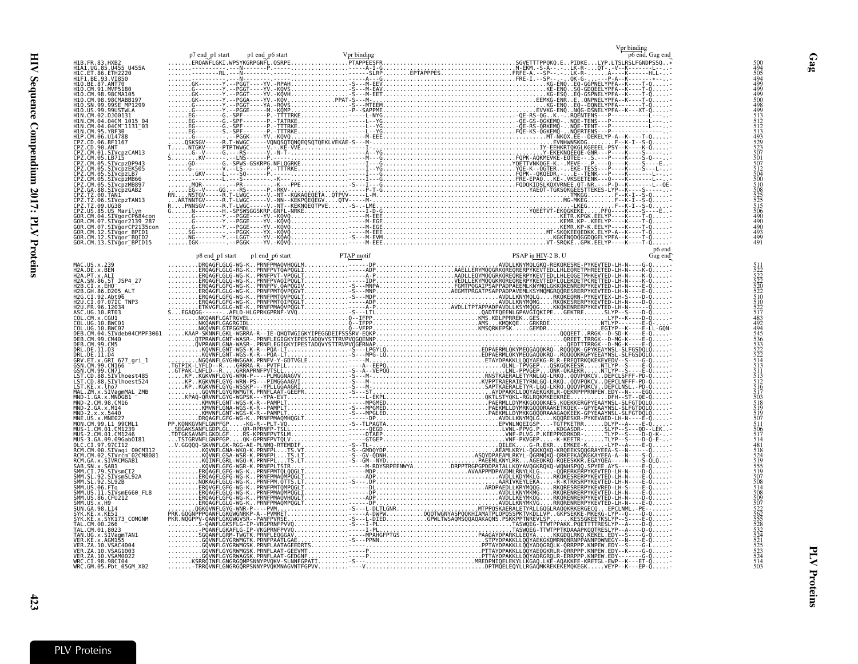|                                                                                                                                                                                                                                                                 |  |  |  | Vpr binding<br>p6 end, Gag end |  |
|-----------------------------------------------------------------------------------------------------------------------------------------------------------------------------------------------------------------------------------------------------------------|--|--|--|--------------------------------|--|
| H1B.FR.83.HXB2<br>H1A1.UG.85.U452<br>H1A1.UG.85.U452<br>H1F1.BE.93.V1252<br>H1F1.BE.93.V1258<br>H1O.CM.98.W1258<br>H1O.CM.98.W26704085<br>H1O.CM.98.99.9915TWLA<br>H1D.05N.99.9995EMP1299<br>H1D.05N.99.9995EMP1299<br>H1D.05N.99.9995EMP1299<br>H1N.CM.02.DJ00 |  |  |  |                                |  |
|                                                                                                                                                                                                                                                                 |  |  |  |                                |  |
|                                                                                                                                                                                                                                                                 |  |  |  |                                |  |
|                                                                                                                                                                                                                                                                 |  |  |  |                                |  |
|                                                                                                                                                                                                                                                                 |  |  |  |                                |  |
|                                                                                                                                                                                                                                                                 |  |  |  |                                |  |
|                                                                                                                                                                                                                                                                 |  |  |  |                                |  |
|                                                                                                                                                                                                                                                                 |  |  |  |                                |  |
|                                                                                                                                                                                                                                                                 |  |  |  |                                |  |
|                                                                                                                                                                                                                                                                 |  |  |  |                                |  |
|                                                                                                                                                                                                                                                                 |  |  |  |                                |  |
|                                                                                                                                                                                                                                                                 |  |  |  |                                |  |
|                                                                                                                                                                                                                                                                 |  |  |  |                                |  |
|                                                                                                                                                                                                                                                                 |  |  |  |                                |  |
|                                                                                                                                                                                                                                                                 |  |  |  |                                |  |
|                                                                                                                                                                                                                                                                 |  |  |  |                                |  |
|                                                                                                                                                                                                                                                                 |  |  |  |                                |  |
|                                                                                                                                                                                                                                                                 |  |  |  |                                |  |
| CP2.12.09.105.86<br>CP2.105.85.105 Marilyn<br>GOR.CM.04.5IVgorCP684con<br>GOR.CM.07.5IVgorCP684con<br>GOR.CM.07.5IVgorCP2135con<br>GOR.CM.12.5IVgor_B0ID2<br>GOR.CM.12.5IVgor_B0ID2<br>GOR.CM.13.5IVgor_BPID15                                                  |  |  |  |                                |  |
|                                                                                                                                                                                                                                                                 |  |  |  |                                |  |
|                                                                                                                                                                                                                                                                 |  |  |  |                                |  |
|                                                                                                                                                                                                                                                                 |  |  |  |                                |  |
|                                                                                                                                                                                                                                                                 |  |  |  |                                |  |
|                                                                                                                                                                                                                                                                 |  |  |  |                                |  |
|                                                                                                                                                                                                                                                                 |  |  |  |                                |  |
|                                                                                                                                                                                                                                                                 |  |  |  |                                |  |
|                                                                                                                                                                                                                                                                 |  |  |  |                                |  |
|                                                                                                                                                                                                                                                                 |  |  |  |                                |  |
|                                                                                                                                                                                                                                                                 |  |  |  |                                |  |
|                                                                                                                                                                                                                                                                 |  |  |  |                                |  |
|                                                                                                                                                                                                                                                                 |  |  |  |                                |  |
|                                                                                                                                                                                                                                                                 |  |  |  |                                |  |
|                                                                                                                                                                                                                                                                 |  |  |  |                                |  |
|                                                                                                                                                                                                                                                                 |  |  |  |                                |  |
|                                                                                                                                                                                                                                                                 |  |  |  |                                |  |
|                                                                                                                                                                                                                                                                 |  |  |  |                                |  |
|                                                                                                                                                                                                                                                                 |  |  |  |                                |  |
|                                                                                                                                                                                                                                                                 |  |  |  |                                |  |
|                                                                                                                                                                                                                                                                 |  |  |  |                                |  |
|                                                                                                                                                                                                                                                                 |  |  |  |                                |  |
|                                                                                                                                                                                                                                                                 |  |  |  |                                |  |
|                                                                                                                                                                                                                                                                 |  |  |  |                                |  |
|                                                                                                                                                                                                                                                                 |  |  |  |                                |  |
|                                                                                                                                                                                                                                                                 |  |  |  |                                |  |
|                                                                                                                                                                                                                                                                 |  |  |  |                                |  |
|                                                                                                                                                                                                                                                                 |  |  |  |                                |  |
|                                                                                                                                                                                                                                                                 |  |  |  |                                |  |
|                                                                                                                                                                                                                                                                 |  |  |  |                                |  |
|                                                                                                                                                                                                                                                                 |  |  |  |                                |  |
|                                                                                                                                                                                                                                                                 |  |  |  |                                |  |
|                                                                                                                                                                                                                                                                 |  |  |  |                                |  |
|                                                                                                                                                                                                                                                                 |  |  |  |                                |  |
|                                                                                                                                                                                                                                                                 |  |  |  |                                |  |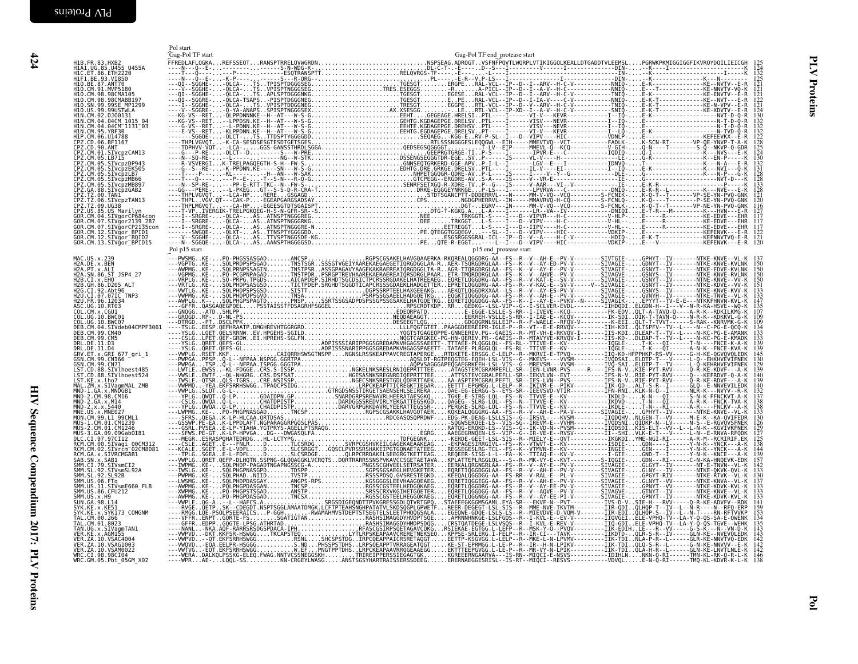<span id="page-13-0"></span>

|                                                                                                                                                                                                                          | Pol start<br>Gag-Pol TF start | Gag-Pol TF end_protease start |
|--------------------------------------------------------------------------------------------------------------------------------------------------------------------------------------------------------------------------|-------------------------------|-------------------------------|
| H1B.FR.83.HXB2<br>H1A1.UG.85.U455 U455A<br>H1C.ET.86.ETH2220<br>H1F1.BE.93.VI850                                                                                                                                         |                               |                               |
|                                                                                                                                                                                                                          |                               |                               |
| H10.BE.87.ANT70<br>H10.CM.91.MVP5180<br>H10.CM.98.98CMA105<br>H10.CM.98.98CMABB197                                                                                                                                       |                               |                               |
| H10.SN.99.99SE MP1299<br>H10.US.99.99USTWLA<br>H1N.CM.02.0100131                                                                                                                                                         |                               |                               |
| H1N.CM.04.04CM_1015_04<br>H1N.CM.04.04CM_1015_04                                                                                                                                                                         |                               |                               |
|                                                                                                                                                                                                                          |                               |                               |
|                                                                                                                                                                                                                          |                               |                               |
|                                                                                                                                                                                                                          |                               |                               |
|                                                                                                                                                                                                                          |                               |                               |
|                                                                                                                                                                                                                          |                               |                               |
|                                                                                                                                                                                                                          |                               |                               |
| GOR.CM.07.SIVgorCP2135con<br>GOR.CM.12.SIVgor_BPID1<br>GOR.CM.12.SIVgor_BPID1<br>GOR.CM.12.SIVgor_BQID2                                                                                                                  |                               |                               |
| GOR.CM.13.SIVgor BPID15                                                                                                                                                                                                  |                               |                               |
|                                                                                                                                                                                                                          |                               |                               |
| MAC.US.x.239<br>H2A.DE.x.BEN<br>H2A.PT.x.ALI<br>H2A.SN.86.ST_JSP4_27                                                                                                                                                     |                               |                               |
| H2B.CI.X.EHO<br>H2B.GI.X.EHO<br>H2B.GH.86.D205 ALT<br>H2G.CI.92.Abt96<br>H2U.CI.07.07IC_TNP3                                                                                                                             |                               |                               |
| H2U.FR.96.12034<br>ASC.UG.10.RT03                                                                                                                                                                                        |                               |                               |
| COL.CM.X.CGU1<br>COL.UG.10.BWC01<br>COL.UG.10.BWC01<br>DEB.CM.04.SIVdeb04CMPF3061                                                                                                                                        |                               |                               |
| DEB. CM. 99. CM40                                                                                                                                                                                                        |                               |                               |
| DEB.CM.99.CM40<br>DEB.CM.99.CM5<br>DRL.DE.11.D3<br>DRL.DE.11.D4<br>GSN.CM.99.CM766 -<br>GSN.CM.99.CM766 -<br>LST.CD.88.SIVlhoest485<br>LST.CD.88.SIVlhoest485<br>LST.CD.88.SIVlhoest524<br>LST.CD.88.SIVlhoest524        |                               |                               |
|                                                                                                                                                                                                                          |                               |                               |
|                                                                                                                                                                                                                          |                               |                               |
| LST.KE.x.1ho7<br>MAL.ZM.x.SIVagmMAL_ZMB<br>MMD-1.GA.x.MND6B1<br>MND-2.CM.98.CM16<br>MND-2.GA.x.M14<br>MND-2.GA.x.M14                                                                                                     |                               |                               |
| $MND - 2 \cdot x \cdot x \cdot 5440$                                                                                                                                                                                     |                               |                               |
| MNE-US-x-X-3449<br>MNE-US-x-MNE027<br>MON-CM-99.L1-99CML1<br>MUS-2.CM.01.CM1246<br>MUS-3.GA-09.09Gab0181                                                                                                                 |                               |                               |
|                                                                                                                                                                                                                          |                               |                               |
| MUS-3.04.09.090<br>RCM.CM.00.SIVagi_00CM312<br>RCM.CM.00.SIVagi_00CM312<br>RCM.CM.02.SIVrcm <sup>-</sup> 02CM8081<br>RCM.GA.x.SIVRCMGAB1                                                                                 |                               |                               |
|                                                                                                                                                                                                                          |                               |                               |
| RCM: GALX: SLUVRCMGAB1<br>SAB. SN. X: SAB1<br>SMM: CT. 79. STVSmCT2<br>SMM: SL. 92. STVSmC192A<br>SMM: SL. 92. STVSmC192A<br>SMM: US. 11. STVSmE660<br>SMM: US. 36. CFU212<br>SMM: US. 36. CFU212<br>SMM: US. 36. CFU212 |                               |                               |
|                                                                                                                                                                                                                          |                               |                               |
| SUN.GA.98.L14<br>SYK.KE.x.KE51<br>SYK.KE.x.SYK173_COMGNM                                                                                                                                                                 |                               |                               |
| TAL. CM. 00.266<br>TAL.CM.01.8023                                                                                                                                                                                        |                               |                               |
| TAN.UG.x.SIVagmTAN1<br>VER.KE.x.AGM155<br>VER.ZA.10.VSAC4004<br>VER. ZA. 10. VSAG1003                                                                                                                                    |                               |                               |
| VER. ZA. 10. VSAM0022<br>WRC.CI.98.98CI04<br>WRC.GM.05.Pbt_05GM_X02                                                                                                                                                      |                               |                               |
|                                                                                                                                                                                                                          |                               |                               |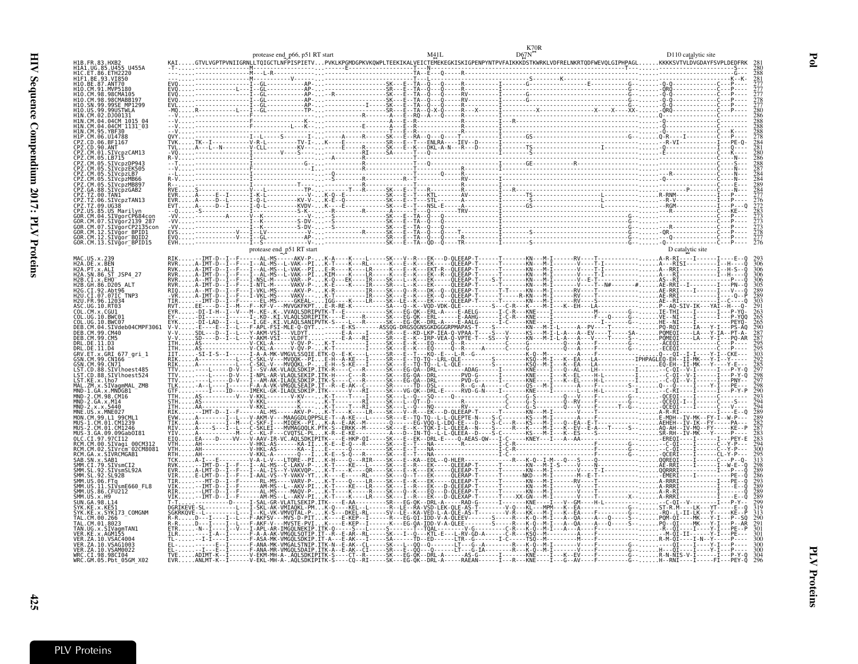| H1B.FR.83.HXB<br>HIA1.UG.85.U455 U455A<br>H1C. ET. 86. ETH2220                                                                                                           |                           |  |  |
|--------------------------------------------------------------------------------------------------------------------------------------------------------------------------|---------------------------|--|--|
| HIF1.BE.93.VI850<br>H10.BE.87.ANT70<br>H10.CM.91.MVP5180<br>H10.CM.98.98CMA105<br>110.CM.98.98CMARR197<br>0.SN.99.99SE MP1299<br>N.CM.02.D.100131                        |                           |  |  |
| 11N.CM.04.04CM 1131 03<br>95.YBF30<br>H1P (M 06 1114788<br>CPZ.CD.90.ANT<br>CPZ.CM.05.LB715<br>05.SIVcpzDP943                                                            |                           |  |  |
| CM.05.SIVcpzMB66<br>05.SIVcpzMB897<br>Z.TZ.09.UG38                                                                                                                       |                           |  |  |
| CM.07.SIVgor2139 287<br>.07.SIVğorCP2135con<br>GOR.CM.12.SIVğor_BPIDI<br>GOR.CM.I2.SIVgor_BOID2<br>GOR.CM.I3.SIVgor_BPID15                                               | protease end p51 RT start |  |  |
| H2A.DE.x.BEN<br>H2A.PT.x.ALI<br>H2A.SN.86.ST JSP4 27<br>H2B.CI.x.EHO<br>12B. GH. 86. D205<br>H2G.CI.92.Abt96<br>H2U.CI.07.07IC_TNP3<br>H2U.FR.96.12034<br>\SC.UG.10.RT03 |                           |  |  |
| 10 RWC07<br>SIVdeb04CMPF3061<br>DER (M.99.(M40<br>DRL.DE.11.D3<br>GRV.ET.x.GRI 677 gri 1                                                                                 |                           |  |  |
| GSN.CM.99.CN71<br>88.SIVlhoest485<br>.88.SIVlhoest524<br>ZM.x.SIVagmMAL ZMB<br>x.MNDGB1<br>CM.98.CM16                                                                    |                           |  |  |
| RCM.CM.02.SIVrčm <sup>-</sup> 02CM8081                                                                                                                                   |                           |  |  |
| RCM.GA.x.SIVRCMGAB1<br>92.SIVsmSL92A<br>92. SL92B<br>.<br>SIVsmE660 FL8<br>86.CFU212<br>SMM.US.x.H9                                                                      |                           |  |  |
| .SYK173 COMGNM<br>.01.8023<br>TAN.UG.x.SIVagmTAN1<br>VER.KE.x.AGM155<br>VER. ZA. 10. VSAC4004<br>/ER.ZA.10.VSAG1003                                                      |                           |  |  |
| VER.ZA.10.VSAM0022<br>WRC.CI.98.98CI04<br>WRC.GM.05.Pbt <sup>-</sup> 05GM X02                                                                                            |                           |  |  |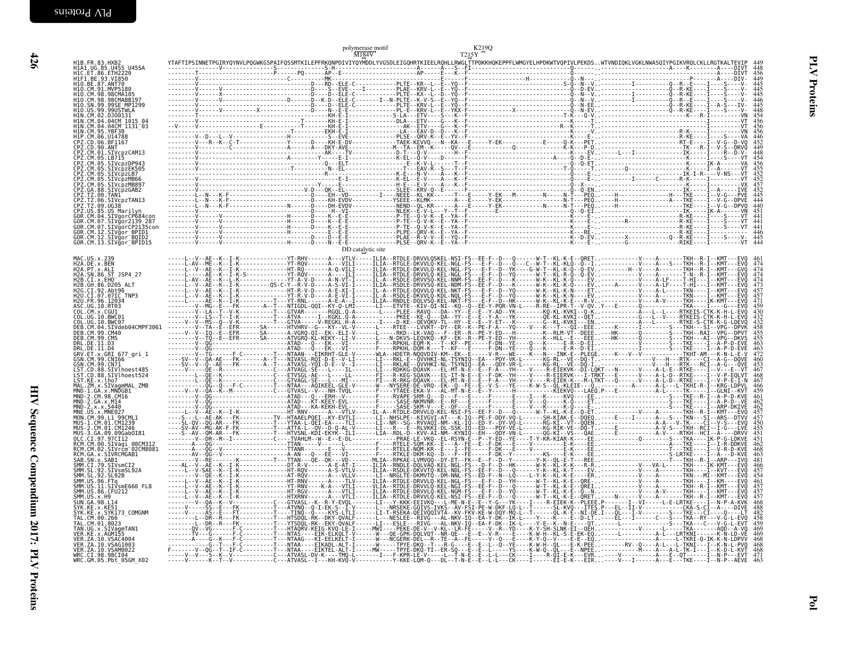| H1B.FR.83.HXB2<br>H1A1.UG.85.U455 U455A<br>H1C.ET.86.ETH2220<br>H1F1.BE.93.VI850                                                                                                                                                                                |  |                   | T215Y |                                                                                                          |
|-----------------------------------------------------------------------------------------------------------------------------------------------------------------------------------------------------------------------------------------------------------------|--|-------------------|-------|----------------------------------------------------------------------------------------------------------|
| H10.BE.87.ANT70<br>H10.CM.91.MVP5180<br>H10.CM.91.MVP5180<br>H10.CM.98.98CMABB197<br>H10.SN.99.99SE_MP1299                                                                                                                                                      |  |                   |       | 445                                                                                                      |
| H10.US.99.99USTWLA                                                                                                                                                                                                                                              |  |                   |       |                                                                                                          |
| HIN.CM.02.DJ00131<br>HIN.CM.04.04CM_1015_04<br>HIN.CM.04.04CM_1131_03<br>HIN.CM.95.YBF30_                                                                                                                                                                       |  |                   |       | 448<br>454<br>456<br>456                                                                                 |
| H1P.CM.06.U14788                                                                                                                                                                                                                                                |  |                   |       | 446<br>452<br>449<br>448                                                                                 |
|                                                                                                                                                                                                                                                                 |  |                   |       | $454$<br>$456$<br>$455$<br>$452$<br>$452$                                                                |
| H1P. CM. 06. U14788<br>CPZ. CD. 06. BF1167<br>CPZ. CM. 00. ANT<br>CPZ. CM. 01. STVcpzCAM13<br>CPZ. CM. 05. LBT15<br>CPZ. CM. 05. STVcpzER505<br>CPZ. CM. 05. STVcpzLB7<br>CPZ. CM. 05. STVcpzLB7<br>CPZ. CM. 05. STVcpzMB867<br>CPZ. CM. 05. STVcpzMB867<br>    |  |                   |       |                                                                                                          |
| CPZ.TZ.00.TAN1<br>CPZ.TZ.00.TAN1<br>CPZ.TZ.06.SIVcpzTAN13<br>CPZ.TZ.09.UG38<br>CPZ.US.85.US_Marilyn                                                                                                                                                             |  |                   |       | $\frac{457}{452}$                                                                                        |
| GOR.CM.04.SIVgorCP684con<br>GOR.CM.07.SIVgor2139_287                                                                                                                                                                                                            |  |                   |       | $\frac{441}{441}$                                                                                        |
| GOR.CM.07.SIVgorCP2135con<br>GOR.CM.07.SIVgorCP2135con<br>GOR.CM.12.SIVgor_BPID1<br>GOR.CM.13.SIVgor_BPID15                                                                                                                                                     |  |                   |       | $\frac{441}{446}$<br>445                                                                                 |
|                                                                                                                                                                                                                                                                 |  | DD catalytic site |       |                                                                                                          |
| MAC.US.x.239<br>H2A.DE.x.BEN<br>H2A.PT.x.ALI<br>H2A.SN.86 <u>.ST</u> _JSP4_27                                                                                                                                                                                   |  |                   |       | $\frac{474}{474}$                                                                                        |
| H2B.CI.x.EHO <sup>-</sup><br>H2B.C1.X.EHO<br>H2B.GH.86.D205 ALT<br>H2G.CI.92.Abt96<br>H2U.CI.07.07IC_TNP3                                                                                                                                                       |  |                   |       |                                                                                                          |
| H2U.FR.96.12034                                                                                                                                                                                                                                                 |  |                   |       |                                                                                                          |
| HZU.FR.90.12034<br>ASC.UG.10.RT03<br>COL.CM.X.CGUI<br>COL.UG.10.BWC01<br>DEB.CM.04.SIVdeb04CMPF3061<br>DEB.CM.04.SIVdeb04CMPF3061<br>DEB.CM.09.CM40                                                                                                             |  |                   |       | $\begin{array}{c} 474 \\ 473 \\ 457 \\ 457 \\ 430 \\ 432 \\ 432 \\ 455 \\ 455 \\ 455 \\ 463 \end{array}$ |
|                                                                                                                                                                                                                                                                 |  |                   |       |                                                                                                          |
| DEB.CM.99.CM40<br>DEB.CM.99.CM5<br>DRL.DE.11.D3<br>DRL.DE.11.D4<br>GRV.ET.X.GRI 677_gri_1<br>GSN.CM.99.CN10<br>GSN.CM.99.CN71<br>LST.CD.88.SIVlhoest485<br>LST.CD.88.SIVlhoest524<br>LST.CD.88.SIVlhoest524<br>LST.CD.88.SIVlhoest524<br>MAI ZM x SIVanmMAI ZMR |  |                   |       | $\frac{460}{453}$<br>467                                                                                 |
|                                                                                                                                                                                                                                                                 |  |                   |       |                                                                                                          |
| LƏ!.RE.X.LUO/<br>MAL.ZM.x.STVagmMAL_ZMB<br>MND-1.GA.x.MNDGB1<br>MND-2.GA.x.M14<br>MND-2.GA.x.M14<br>MND-1.x.x.X.5440<br>MND-1.x.x.X.5440                                                                                                                        |  |                   |       | $\frac{466}{459}$<br>462                                                                                 |
|                                                                                                                                                                                                                                                                 |  |                   |       | $462$<br>$457$<br>$457$<br>$450$<br>$455$                                                                |
| MND-2.x.x.5440<br>MNE-US.x.MNE027<br>MUS-1.CM.01.01.01239<br>MUS-1.CM.01.CM1239<br>MUS-2.CM.01.CM1239<br>MUS-3.64.09.096ab0181<br>MCM.CM.00.SIVagi-00CM312<br>RCM.CM.02.SIVAGM6081<br>RCM.CM.x.SAB1CMGAB1<br>RCM.CM.x.SAB1CMGAB1                                |  |                   |       |                                                                                                          |
|                                                                                                                                                                                                                                                                 |  |                   |       | $\frac{451}{451}$<br>$\frac{451}{462}$<br>463                                                            |
| SAB.SN.x.SAB1<br>3MB .3W. X .3MB1<br>SMM .CI .79 .SIVsmCI2<br>SMM .SL .92 .SIVsmSL92A<br>SMM .US .06 .FTq<br>SMM .US .11 .SIVsmE660_FL8<br>SMM .US .11 .SIVsmE660_FL8                                                                                           |  |                   |       | 466<br>457<br>454                                                                                        |
|                                                                                                                                                                                                                                                                 |  |                   |       | 461<br>457<br>457<br>457                                                                                 |
| 3:111-13:1-11-13:13:31<br>SMM .US .86 . CFU212<br>SMM .US .x . H9<br>SVK .KE .x . KE51<br>SYK .KE .x . SYK173_COMGNM                                                                                                                                            |  |                   |       | $\frac{468}{488}$<br>$482$                                                                               |
| TAL.CM.00.266<br>TAL.CM.00.266<br>TAL.CM.01.8023                                                                                                                                                                                                                |  |                   |       | 458<br>459                                                                                               |
| VER.ZA.10.VSAG1003                                                                                                                                                                                                                                              |  |                   |       | $\frac{469}{469}$<br>468                                                                                 |
| VER.ZA.10.VSAM0022<br>WRC.CI.98.98CI04<br>WRC.CI.98.98CI04<br>WRC.GM.05.Pbt_05GM_X02                                                                                                                                                                            |  |                   |       | 468<br>471<br>463                                                                                        |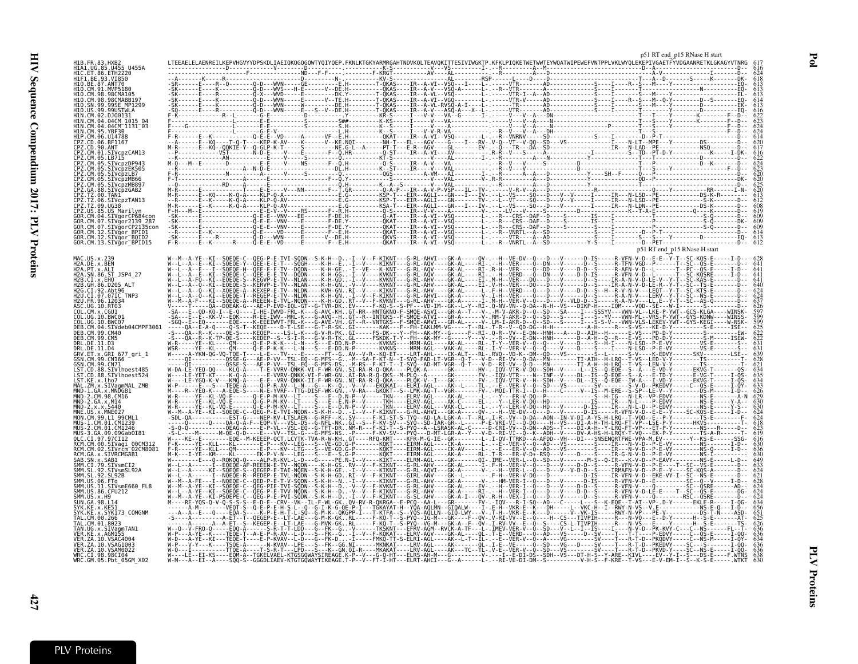|                                                                    |  | p51 RT end p15 RNase H start |  |
|--------------------------------------------------------------------|--|------------------------------|--|
|                                                                    |  |                              |  |
|                                                                    |  |                              |  |
| H10.BE.87.ANT70<br>91 MVP5186                                      |  |                              |  |
| CM 98 98CMA105                                                     |  |                              |  |
|                                                                    |  |                              |  |
|                                                                    |  |                              |  |
| M.04.04CM 1015<br>M.04.04CM 1131 03                                |  |                              |  |
| M 95 YRF30                                                         |  |                              |  |
| .06.1114788<br>ՐՌ.06.BF1167                                        |  |                              |  |
| $90.$ ANT<br>CM.01.SIVcpzCAM13                                     |  |                              |  |
| CM.05.LB715                                                        |  |                              |  |
|                                                                    |  |                              |  |
| IVcpzMB66                                                          |  |                              |  |
| IVcpzMB897                                                         |  |                              |  |
|                                                                    |  |                              |  |
|                                                                    |  |                              |  |
| .US Marilvn<br>04.SIVgorCP684cor                                   |  |                              |  |
| SIVgorCP2135con                                                    |  |                              |  |
| M.12.SIVğor BPID1                                                  |  |                              |  |
| .SIVăor <sup>-</sup> BOID2<br>GOR.CM.13.SIVgor <sup>-</sup> BPID15 |  |                              |  |
|                                                                    |  |                              |  |
| MAC.US.x.239                                                       |  |                              |  |
| H2A.DE.x.BEN<br>H2A.PT.x.ALI                                       |  |                              |  |
| H2A.SN.86.ST JSP4 27<br>H2B.CI.x.EHO                               |  |                              |  |
| GH.86.D205 ALT<br>CI.92.Abt96                                      |  |                              |  |
| CI.07.07IC TNP3                                                    |  |                              |  |
| 96 12032<br>IG 10 RT03                                             |  |                              |  |
| IIG 10 BWC01                                                       |  |                              |  |
|                                                                    |  |                              |  |
| M.04.SIVdeb04CMPF3061                                              |  |                              |  |
|                                                                    |  |                              |  |
| ĒT.x.GRI 677_gri_1                                                 |  |                              |  |
| 99. CN166                                                          |  |                              |  |
| .99.CN71<br>.88.SIVlhoest485                                       |  |                              |  |
| CD.88.SIVlhoest524                                                 |  |                              |  |
|                                                                    |  |                              |  |
| $.98.$ $CM16$                                                      |  |                              |  |
|                                                                    |  |                              |  |
| .x.MNE027                                                          |  |                              |  |
|                                                                    |  |                              |  |
| GA 09.09Gab0I81                                                    |  |                              |  |
| T 97.97CI12<br>RCM.CM.00.SIVagi 00CM312                            |  |                              |  |
| :M.02.SIVrčm <sup>-</sup> 02CM8081<br>.x.SIVRCMGAB1                |  |                              |  |
| .x.SAB1                                                            |  |                              |  |
| 92.SIVsmSL92A                                                      |  |                              |  |
| 92. SL 92B                                                         |  |                              |  |
| 11.SIVsmE660 FL8<br>.86.CFU212                                     |  |                              |  |
| x.H9                                                               |  |                              |  |
|                                                                    |  |                              |  |
| x.SYK173 COMGNM                                                    |  |                              |  |
|                                                                    |  |                              |  |
| .x.SIVaomTAN1<br>x AGM155                                          |  |                              |  |
| A.10.VSAC4004<br>.10.VSAG1003                                      |  |                              |  |
| VER.ZA.10.VSAM0022<br>WRC.CI.98.98CI04                             |  |                              |  |
| WRC.GM.05.Pbt 05GM X02                                             |  |                              |  |

Pol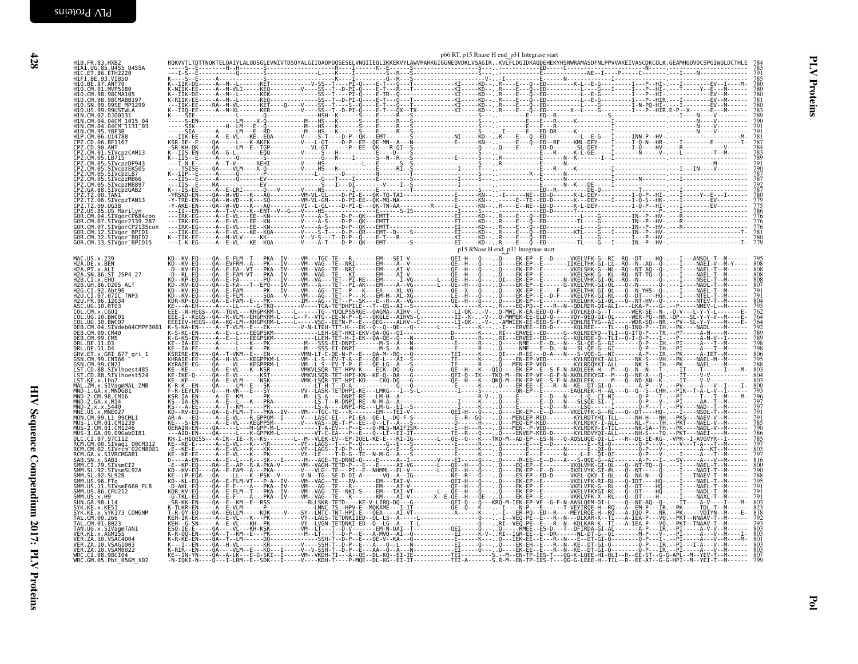| H1B.FR.83.HXB2<br>H1A1.UG.85.U455 U455A<br>H1C.ET.86.ETH2220                                                                                           |  |                                     |  |                            |
|--------------------------------------------------------------------------------------------------------------------------------------------------------|--|-------------------------------------|--|----------------------------|
| HIF1.BE.93.VI850<br>H10.BE.87.ANT70                                                                                                                    |  |                                     |  |                            |
| H10.CM.91.MVP5180<br>H10. CM. 98. 98CMA105<br>H10. CM. 98. 98CMABB197<br>H10. CM. 99. 99SE_MP1299<br>H10. US. 99. 99USTWLA                             |  |                                     |  |                            |
| HIN.CM.02.DJ00131                                                                                                                                      |  |                                     |  |                            |
| H.N.CM.04.04CM 1015 04<br>H.N.CM.04.04CM 1015 04<br>H.N.CM.04.04CM 1131-03<br>H.N.CM.05.YBF30<br>CPZ.CD.06.U14788<br>CPZ.CD.06.BF1167<br>CPZ.CD.09.ANT |  |                                     |  |                            |
|                                                                                                                                                        |  |                                     |  |                            |
| CPZ.CM.01.SIVcpzCAM13<br>CPZ.CM.05.LB715                                                                                                               |  |                                     |  |                            |
| CPZ.CM.05.EB715<br>CPZ.CM.05.SIVcpzDP943<br>CPZ.CM.05.SIVcpzEK505<br>CPZ.CM.05.SIVcpzLB7<br>CPZ.CM.05.SIVcpzMB66<br>CPZ.CM.05.SIVcpzMB66               |  |                                     |  |                            |
| CPZ.GA.88.SIVcpzGAB2                                                                                                                                   |  |                                     |  |                            |
| CPZ.TZ.00.TAN1<br>CPZ.TZ.00.TAN1<br>CPZ.TZ.06.SIVcpzTAN13<br>CPZ.US.85.US_Marilyn                                                                      |  |                                     |  |                            |
| GOR.CM.04.SIVgorCP684con<br>GOR.CM.04.SIVgorCP684con<br>GOR.CM.07.SIVğorCP2135con                                                                      |  |                                     |  |                            |
| GOR.CM.12.STVgor_BPID1<br>GOR.CM.12.STVgor_BPID1<br>GOR.CM.12.STVgor_BOID2<br>GOR.CM.13.STVgor_BPID15                                                  |  |                                     |  |                            |
| MAC.US.x.239                                                                                                                                           |  | p15 RNase H end_p31 Integrase start |  |                            |
| H2A.DE.x.BEN<br>H2A.PT.x.ALI<br>H2A.SN.86.ST_JSP4_27                                                                                                   |  |                                     |  | $\frac{808}{808}$          |
| H2B.CI.x.EHO<br>H2B.CI.x.EHO<br>H2B.GH.86.D205 ALT<br>H2G.CI.92.Abt96                                                                                  |  |                                     |  | 808                        |
| H2U.CI.07.071C TNP3                                                                                                                                    |  |                                     |  |                            |
| ASC.UG.10.RT03<br>COL.CM.x.CGU1<br>COL.UG.10.BWC01<br>COL. UG. 10. BWC07                                                                               |  |                                     |  |                            |
| DEB.CM.04.SIVdeb04CMPF3061<br>DEB.CM.99.CM40<br>DEB.CM.99.CM5                                                                                          |  |                                     |  | 789<br>789                 |
| DRL.DE.11.D3<br>DRL.DE.11.D4<br>GRV.ET.x.GRI 677_gri_1<br>GSN.CM.99.CN166                                                                              |  |                                     |  | 798<br>$\frac{806}{795}$   |
| GSN.CM.99.CN71                                                                                                                                         |  |                                     |  |                            |
| UST.CD.88.SIVlhoest485<br>LST.CD.88.SIVlhoest524<br>LST.KE.x.lho7<br>MAL.ZM.x.SIVagmMAL_ZMB                                                            |  |                                     |  | $\frac{803}{804}$<br>$803$ |
| MND-1.GA.x.MNDGB1<br>MND-2.CM.98.CM16<br>MND-2.GA.x.M14                                                                                                |  |                                     |  | 793<br>796<br>797          |
| MND-2.x.x.5440<br>MNE.US.x.MNE027<br>MON.CM.99.L1_99CML1                                                                                               |  |                                     |  | 797<br>791                 |
| MUS-1.CM.01.CM1239<br>MUS-2.CM.01.CM1239<br>MUS-3.GA.09.09Gab0I81                                                                                      |  |                                     |  | 785<br>790                 |
| OLC.CI.97.97CI12<br>RCM.CM.00.SIVagi_00CM312<br>RCM.CM.02.SIVrcm_02CM8081                                                                              |  |                                     |  |                            |
| RCM.GA.x.SIVRCMGAB1<br>SAB.SN.x.SAB1<br>SAB.SN.x.SAB1<br>SMM.CI.79.SIVsmCI2                                                                            |  |                                     |  | 800                        |
| SMM. SL. 92. STVSMSL92A<br>SMM. SL. 92. STVSMSL92A<br>SMM. US. 96. FTq<br>SMM. US. 11. STVSME660_FL8                                                   |  |                                     |  | 790<br>788                 |
| SMM.US.86.CFU212<br>SMM.US.x.H9                                                                                                                        |  |                                     |  |                            |
| SUN. GA. 98. L14<br>ŠÝK.KE.X.KE51<br>SYK.KE.x.SYK173_COMGNM<br>TAL.CM.00.266_                                                                          |  |                                     |  | 803<br>823<br>818<br>792   |
| TAL. CM. 01.8023<br>TAN.UG.x.SIVagmTAN1<br>VER.KE.x.AGM155                                                                                             |  |                                     |  |                            |
| VER. ZA. 10. VSAC4004<br>VER. ZA. 10. VSAG1003                                                                                                         |  |                                     |  | 801<br>$\frac{803}{803}$   |
| VER. ZA. 10. VSAM0022<br>WRC. CI. 98. 98CI04<br>WRC.GM.05.Pbt 05GM X02                                                                                 |  |                                     |  | 807                        |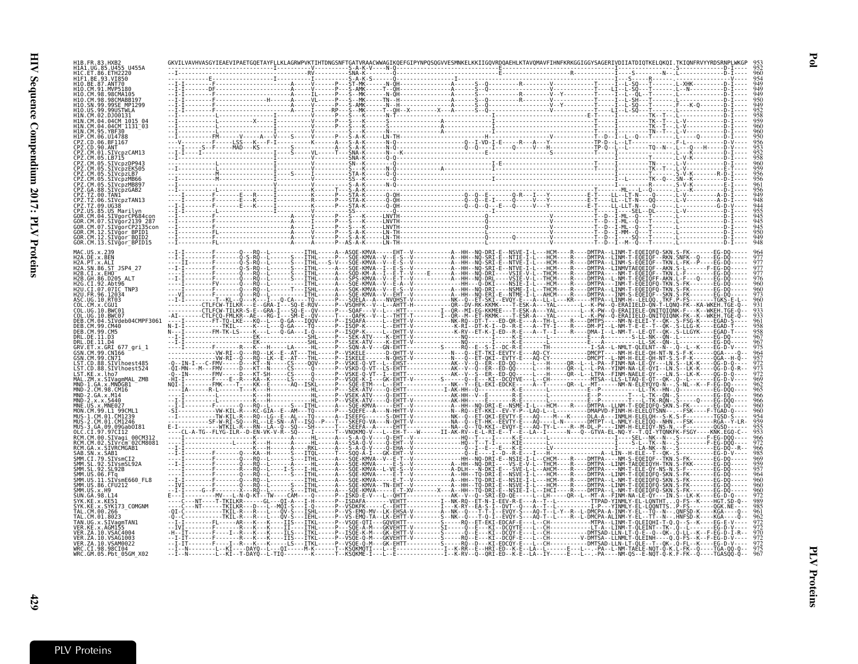| 110.BE.87.ANT70                                                            |                                                                                                |                                                                                |                                                     |                                                                                                                                                                                            |  |
|----------------------------------------------------------------------------|------------------------------------------------------------------------------------------------|--------------------------------------------------------------------------------|-----------------------------------------------------|--------------------------------------------------------------------------------------------------------------------------------------------------------------------------------------------|--|
|                                                                            |                                                                                                |                                                                                |                                                     |                                                                                                                                                                                            |  |
| 1N CM 04 04CM 1015                                                         |                                                                                                |                                                                                |                                                     |                                                                                                                                                                                            |  |
| CM.95.YBF30                                                                | CM.04.04CM 1131 03                                                                             |                                                                                |                                                     |                                                                                                                                                                                            |  |
|                                                                            | 05 LB715                                                                                       |                                                                                |                                                     |                                                                                                                                                                                            |  |
|                                                                            | SIVcpzDP943<br>SIVcpzEK505                                                                     |                                                                                |                                                     |                                                                                                                                                                                            |  |
|                                                                            | SIVcpzMB89<br>SIVcpzGAB2                                                                       |                                                                                |                                                     |                                                                                                                                                                                            |  |
|                                                                            |                                                                                                |                                                                                |                                                     |                                                                                                                                                                                            |  |
|                                                                            | US Mari<br>M.07.SIVaor2139 28.<br>CM.07. STVgorCP2135cou                                       |                                                                                |                                                     |                                                                                                                                                                                            |  |
|                                                                            | .CM.12.SIVaor BPID1<br>CM.12.SIVgor <sup>-</sup> BQID2<br>GOR.CM.13.SIVgor <sup>-</sup> BPID15 |                                                                                |                                                     |                                                                                                                                                                                            |  |
|                                                                            |                                                                                                |                                                                                |                                                     |                                                                                                                                                                                            |  |
| H2A.PT.x.ALI<br>H2A.SN.86.ST JSP4 27<br>H2R CT x FHO<br>12R GH 86 D205 ALT |                                                                                                |                                                                                |                                                     |                                                                                                                                                                                            |  |
|                                                                            | .07.07IC TNP3                                                                                  |                                                                                |                                                     |                                                                                                                                                                                            |  |
|                                                                            |                                                                                                |                                                                                |                                                     |                                                                                                                                                                                            |  |
|                                                                            | SIVdeb04CMPF3061                                                                               |                                                                                |                                                     |                                                                                                                                                                                            |  |
|                                                                            | x.GRI 677 gri 1                                                                                |                                                                                |                                                     |                                                                                                                                                                                            |  |
|                                                                            | .88.SIVlhoest485                                                                               |                                                                                |                                                     |                                                                                                                                                                                            |  |
| ST.KE.x.lho7                                                               | D.88.SIVlhoest524<br>MAL.ZM.x.SIVagmMAL ZMB                                                    |                                                                                |                                                     |                                                                                                                                                                                            |  |
|                                                                            | GA.x.MNDGB1<br>.CM.98.CM16                                                                     |                                                                                |                                                     |                                                                                                                                                                                            |  |
|                                                                            |                                                                                                |                                                                                |                                                     |                                                                                                                                                                                            |  |
|                                                                            |                                                                                                |                                                                                |                                                     |                                                                                                                                                                                            |  |
|                                                                            | .00.SIVagı<br>.CM.02.SIVrcm <sup>-</sup> 02CM808<br>.x.SIVRCMGAB1                              |                                                                                |                                                     |                                                                                                                                                                                            |  |
|                                                                            | SIVsmSL92A                                                                                     |                                                                                |                                                     |                                                                                                                                                                                            |  |
|                                                                            | .11.SIVsmE660 FL8                                                                              |                                                                                |                                                     |                                                                                                                                                                                            |  |
| .US.x.H9<br>GA.98.L14                                                      | 86.CFU212                                                                                      |                                                                                |                                                     |                                                                                                                                                                                            |  |
|                                                                            |                                                                                                |                                                                                |                                                     |                                                                                                                                                                                            |  |
|                                                                            | 10. VSAC4004                                                                                   |                                                                                |                                                     |                                                                                                                                                                                            |  |
| FR ZA 10 VSAM0022<br>WRC.CI.98.98CI04                                      | WRC.GM.05.Pbt 05GM X02                                                                         | -------L--KI--T-DAYQ--L-TIQ--------K------T--KSQKME-I---L--E--------------I--K | -LS---ITKL-----P--VSQE-Q-M---GK-EHTT----------S---- | -------L--KI----DAYO--L---OI-----M-K-----T--KSÒKMÒTI---L--E-------------I--K-RR--E--HRI-ED--K-E--LA--L-----E---L--.-PA--L-NM-TAÈLE-NOT-Ô-K.<br>- ORT - FD - - K - F - - I A - - TY - - - - |  |

Pol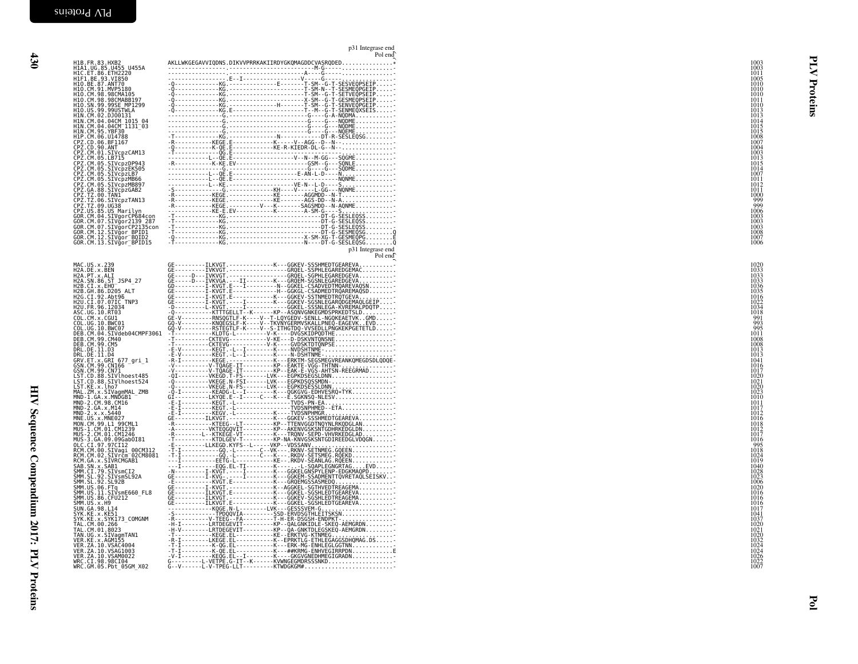|                                                                                                                                                                                                                      | p31 Integrase end<br>Pol end                                                                                                                                                                                                                                                                                                                                                                                                                                                                                                                                        |                                                              |
|----------------------------------------------------------------------------------------------------------------------------------------------------------------------------------------------------------------------|---------------------------------------------------------------------------------------------------------------------------------------------------------------------------------------------------------------------------------------------------------------------------------------------------------------------------------------------------------------------------------------------------------------------------------------------------------------------------------------------------------------------------------------------------------------------|--------------------------------------------------------------|
| H1B.FR.83.HXB2<br>H1A1.UG.85.U455 U455A                                                                                                                                                                              | AKLLWKGEGAVVIQDNS.DIKVVPRRKAKIIRDYGKQMAGDDCVASRQDED*<br>${\small \begin{tabular}{@{c}c@{}}\hline \multicolumn{3}{c}{\begin{tabular}{@{}}c@{}} \hline \multicolumn{3}{c}{\begin{tabular}{@{}}c@{}} \hline \multicolumn{3}{c}{\begin{tabular}{@{}}c@{}} \hline \multicolumn{3}{c}{\begin{tabular}{@{}}c@{}} \hline \multicolumn{3}{c}{\begin{tabular}{@{}}c@{}} \hline \multicolumn{3}{c}{\begin{tabular}{@{}}c@{}} \hline \multicolumn{3}{c}{\begin{tabular}{@{}}c@{}} \hline \multicolumn{3}{c}{\begin{tabular}{@{}}c@{}} \hline \$                                 | 1003<br>1003                                                 |
| HIC.ET.86.ETH2220<br>HIF1.BE.93.VI850<br>H10.BE.87.ANT70<br>H10.CM.91.MVP5180                                                                                                                                        |                                                                                                                                                                                                                                                                                                                                                                                                                                                                                                                                                                     | $\frac{1011}{1005}$<br>1010<br>1010                          |
| H10.CM.98.98CMA105<br>H10.CM.98.98CMABB197<br>H10.SN.99.99SE MP1299                                                                                                                                                  |                                                                                                                                                                                                                                                                                                                                                                                                                                                                                                                                                                     | 1010<br>teins<br>1011<br>1010                                |
| H10. US. 99. 99USTWLA<br>H1N.CM.02.D300131<br>H1N.CM.04.04CM 1015 04<br>H1N.CM.04.04CM 1015 03                                                                                                                       |                                                                                                                                                                                                                                                                                                                                                                                                                                                                                                                                                                     | 1013<br>1013<br>1014                                         |
| H1N.CM.95.YBF30<br>HIP.CM.06.UI4788<br>CPZ.CD.06.BF1167                                                                                                                                                              |                                                                                                                                                                                                                                                                                                                                                                                                                                                                                                                                                                     | 1015<br>1015<br>1008                                         |
| CPZ.CD.90.ANT<br>CPZ.CM.01.SIVcpzCAM13                                                                                                                                                                               |                                                                                                                                                                                                                                                                                                                                                                                                                                                                                                                                                                     | 1007<br>1004<br>1003<br>1013                                 |
| CPZ.CM.05.LB715<br>CPZ.CM.05.SIVCpZPP943<br>CPZ.CM.05.SIVCpZEK50<br>CPZ.CM.05.SIVCpZEK50<br>CPZ.CM.05.SIVCpZH866<br>CPZ.CM.05.SIVCpZMB807<br>CPZ.CM.05.SIVCpZMB807<br>CPZ.CM.05.SIVCpZMB807<br>CPZ.CM.05.SIVCpZMB807 |                                                                                                                                                                                                                                                                                                                                                                                                                                                                                                                                                                     | 1015<br>1014<br>1007                                         |
|                                                                                                                                                                                                                      |                                                                                                                                                                                                                                                                                                                                                                                                                                                                                                                                                                     | 1011<br>1012<br>1011                                         |
| CPZ.TZ.00.TAN1<br>CPZ.TZ.06.SIVCpzTAN13<br>CPZ.TZ.09.UG38                                                                                                                                                            |                                                                                                                                                                                                                                                                                                                                                                                                                                                                                                                                                                     | 1000<br>999<br>999                                           |
| CPZ.US.85.US Marilyn<br>GOR.CM.04.SIVgorCP684con<br>GOR.CM.07.SIVgor2139_287                                                                                                                                         |                                                                                                                                                                                                                                                                                                                                                                                                                                                                                                                                                                     | 1006<br>1003<br>1003                                         |
| GOR.CM.07.SIVgorCP2135con<br>GOR.CM.12.SIVğor BPID1<br>GOR.CM.12.SIVgor <sup>-</sup> BQID2<br>GOR.CM.13.SIVgor BPID15                                                                                                |                                                                                                                                                                                                                                                                                                                                                                                                                                                                                                                                                                     | 1003<br>1008<br>1007<br>1006                                 |
|                                                                                                                                                                                                                      | p31 Integrase end<br>Pol end                                                                                                                                                                                                                                                                                                                                                                                                                                                                                                                                        |                                                              |
| MAC.US.x.239<br>H2A.DE.x.BEN<br>H2A.PT.x.ALI<br>H2A.SN.86.ST_JSP4_27                                                                                                                                                 |                                                                                                                                                                                                                                                                                                                                                                                                                                                                                                                                                                     | 1020<br>1033<br>1033<br>1033                                 |
| H2B.CI.X.EHO<br>H2B.GH.86.D205 ALT<br>H2G.CI.92.Abt96                                                                                                                                                                |                                                                                                                                                                                                                                                                                                                                                                                                                                                                                                                                                                     | 1036<br>1035                                                 |
| H2U.CI.07.07IC TNP3<br>H2U.FR.96.12034                                                                                                                                                                               |                                                                                                                                                                                                                                                                                                                                                                                                                                                                                                                                                                     | 1016<br>1022<br>1034                                         |
| ASC.UG.10.RT03<br>COL.CM.x.CGU1<br>COL.UG.10.BWC01<br>COL.UG.10.BWC07                                                                                                                                                |                                                                                                                                                                                                                                                                                                                                                                                                                                                                                                                                                                     | $\frac{1018}{991}$<br>995                                    |
| DEB.CM.04.SIVdeb04CMPF3061<br>DEB.CM.99.CM40<br>DEB.CM.99.CM5                                                                                                                                                        |                                                                                                                                                                                                                                                                                                                                                                                                                                                                                                                                                                     | 1011<br>1008<br>1008                                         |
| DRL.DE.11.D3<br>DRL.DE.11.D4<br>GRV.ET.x.GRI 677_gri_1<br>GSN.CM.99.CN166                                                                                                                                            |                                                                                                                                                                                                                                                                                                                                                                                                                                                                                                                                                                     | 1013<br>1013<br>1041<br>1016                                 |
| GSN.CM.99.CN71<br>LST.CD.88.SIVlhoest485<br>LST.CD.88.SIVlhoest524                                                                                                                                                   |                                                                                                                                                                                                                                                                                                                                                                                                                                                                                                                                                                     | 1017<br>1020<br>1021                                         |
| LST.KE.x.lho7<br>MAL.ZM.x.SIVagmMAL_ZMB<br>MND-1.GA.x.MNDGB1<br>MND-2.CM.98.CM16                                                                                                                                     |                                                                                                                                                                                                                                                                                                                                                                                                                                                                                                                                                                     | 1020<br>1023<br>1010                                         |
| MND-2.GA.x.M14<br>MND-2.x.x.5440                                                                                                                                                                                     |                                                                                                                                                                                                                                                                                                                                                                                                                                                                                                                                                                     | 1011<br>1017<br>1012                                         |
| MNE.US.X.MNE027<br>MON.CM.99.L1 99CML1<br>MUS-1.CM.01.CM1239<br>MUS-2.CM.01.CM1246<br>MUS-3.GA.09.09Gab0181                                                                                                          | -Ä----------VKTEQĞQVIT---------KP--AKENVGSKSNTGDHRKEDGLDN                                                                                                                                                                                                                                                                                                                                                                                                                                                                                                           | 1016<br>1018<br>1012<br>1017                                 |
| OLC.CI.97.97CI12                                                                                                                                                                                                     |                                                                                                                                                                                                                                                                                                                                                                                                                                                                                                                                                                     | 1016<br>995<br>1018                                          |
| RCM.CM.00.SIVagi_00CM312<br>RCM.CM.00.SIVagi_00CM312<br>RCM.GA.x.SIVRCMGAB1<br>SAB.SN.x.SAB1                                                                                                                         |                                                                                                                                                                                                                                                                                                                                                                                                                                                                                                                                                                     | 1024<br>1019<br>1040                                         |
| SMM.CI.79.SIVsmCI2<br>SMM. SL. 92. SIVSMSL92A<br>SMM. SL. 92. SL92B                                                                                                                                                  |                                                                                                                                                                                                                                                                                                                                                                                                                                                                                                                                                                     | 1028<br>1023<br>1006                                         |
| SMM. US. 06. FTq<br>SMM. US. 11. SIVsmE660_FL8<br>SMM. U.S. 86. CFU212                                                                                                                                               |                                                                                                                                                                                                                                                                                                                                                                                                                                                                                                                                                                     | 1020<br>1016<br>1016<br>1016                                 |
| SMM. US. x. H9<br>SUN. GA. 98. L14<br>SYK.KE.X.KE51<br>SYK.KE.X.SYK173_COMGNM<br>TAL.CM.00.266                                                                                                                       | $\begin{minipage}[t]{.01\textwidth}\begin{tabular}{0.9\textwidth}\begin{tabular}{0.9\textwidth}\begin{tabular}{0.9\textwidth}\begin{tabular}{0.9\textwidth}\begin{tabular}{0.9\textwidth}\begin{tabular}{0.9\textwidth}\begin{tabular}{0.9\textwidth}\begin{tabular}{0.9\textwidth}\begin{tabular}{0.9\textwidth}\begin{tabular}{0.9\textwidth}\begin{tabular}{0.9\textwidth}\begin{tabular}{0.9\textwidth}\begin{tabular}{0.9\textwidth}\begin{tabular}{0.9\textwidth}\begin{tabular}{0.9\textwidth}\begin{tabular}{0.9\textwidth}\begin{tabular}{0.9\textwidth}\$ | 1017<br>1041<br>1037                                         |
| TAL.CM.01.8023<br>TAN.UG.x.SIVagmTAN1                                                                                                                                                                                |                                                                                                                                                                                                                                                                                                                                                                                                                                                                                                                                                                     | 1020                                                         |
| VER.KE.x.AGM155<br>VER. ZA. 10. VSAC4004<br>VER. ZA. 10. VSAG1003                                                                                                                                                    | -T-I---------K-0G.EL-----------K---ERK-MG-ENHLEGLGGTNN<br>-T-I---------K-QE.EL----------K---##KRMG-ENHVEGIRRPDNE<br>-V-I---------KEQG.EL--I-------K----GKGVGNEDHMEGIGRADN                                                                                                                                                                                                                                                                                                                                                                                           | 1021<br>1020<br>1020<br>1024<br>1024<br>1026<br>1022<br>1007 |
| VER.ZA.10.VSAM0022<br>WRC.CI.98.98CI04<br>WRC.CI.98.98CI04<br>WRC.GM.05.Pbt_05GM_X02                                                                                                                                 | G---------L-VETPE.G-IT--K------KVWNGEGMDRSSSNKD<br>G--V------L-V-TPEG-LLT---------KTWDGKGM#                                                                                                                                                                                                                                                                                                                                                                                                                                                                         |                                                              |
|                                                                                                                                                                                                                      |                                                                                                                                                                                                                                                                                                                                                                                                                                                                                                                                                                     |                                                              |
|                                                                                                                                                                                                                      |                                                                                                                                                                                                                                                                                                                                                                                                                                                                                                                                                                     |                                                              |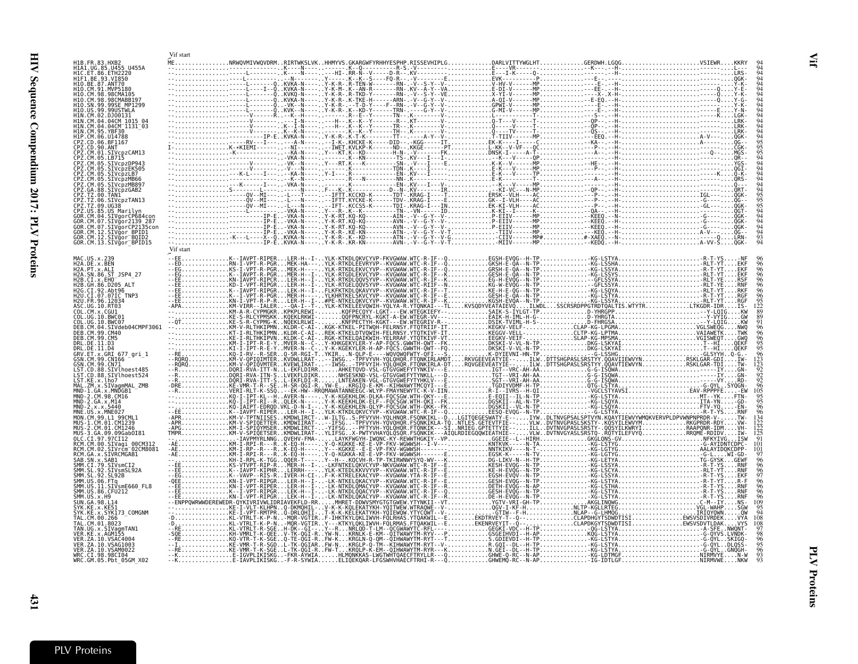<span id="page-20-0"></span>

|                                                                                                                                                                                                               | Vif start                                                         |  |  |  |
|---------------------------------------------------------------------------------------------------------------------------------------------------------------------------------------------------------------|-------------------------------------------------------------------|--|--|--|
| H1B.FR.83.HXB2<br>H1A1.UG.85.U455 U455A                                                                                                                                                                       |                                                                   |  |  |  |
|                                                                                                                                                                                                               |                                                                   |  |  |  |
| HIF1.BE.93.VI850<br>H10.BE.87.ANT70<br>H10.CM.91.MVP5180                                                                                                                                                      |                                                                   |  |  |  |
| H10.CM.98.98CMA105<br>98CMABB197<br>H1O.CM.98.                                                                                                                                                                |                                                                   |  |  |  |
| H10.SN.99<br>99SE MP1299<br>H10.US.99.99USTWLA                                                                                                                                                                |                                                                   |  |  |  |
| .02.DJ00131<br>04CM 1015                                                                                                                                                                                      |                                                                   |  |  |  |
| 04CM 1131 03<br>H1N.CM.95.YBF30                                                                                                                                                                               |                                                                   |  |  |  |
| CPZ.CD.06.BF1167                                                                                                                                                                                              |                                                                   |  |  |  |
| CPZ.CD.90.ANT<br>CPZ.CM.01.SIVcpzCAM13                                                                                                                                                                        |                                                                   |  |  |  |
| CPZ.CM.05.LB715<br>CPZ.CM.05.SIVcpzDP943                                                                                                                                                                      |                                                                   |  |  |  |
| ČPŽ.ČM.05.ŠIVCPZEK505<br>CPZ.CM.05.SIVCpzLB7                                                                                                                                                                  |                                                                   |  |  |  |
| CM.05.SIVcpzMB66<br>SIVcpzMB897                                                                                                                                                                               |                                                                   |  |  |  |
| SIVcpzGAB2                                                                                                                                                                                                    |                                                                   |  |  |  |
| SIVcpzTAN13<br>. 06<br>. 09<br>UG38                                                                                                                                                                           |                                                                   |  |  |  |
| CPZ.US.85.US Marilyn<br>CM.04<br>SIVgorCP684cor.                                                                                                                                                              |                                                                   |  |  |  |
| .CM.07.SIVăor2139 287<br>CM.07.SIVgorCP2135con                                                                                                                                                                |                                                                   |  |  |  |
| GOR.CM.12.SIVgor BPID1                                                                                                                                                                                        |                                                                   |  |  |  |
| GOR.CM.12.SIVgor BOID2<br>GOR.CM.13.SIVgor BPID15                                                                                                                                                             |                                                                   |  |  |  |
|                                                                                                                                                                                                               | .<br>--EEK--IAVPT-RIPERLER-H--I-YLK-KTKDLQKVCYVP-FKVGWAW.WTC-R-IF |  |  |  |
| MAC.US.x.239<br>H2A.DE.x.BEN<br>H2A.PT.x.ALI<br>H2A.SN.86.ST                                                                                                                                                  |                                                                   |  |  |  |
| JSP4 27<br>H2B.CI.X.EHO                                                                                                                                                                                       |                                                                   |  |  |  |
| H2B. GH. 86. D205_ALT<br>H2G.CI.92.Abt96                                                                                                                                                                      |                                                                   |  |  |  |
| H2U.CI.07.07IC TNP3<br>H2U.FR.96.12034                                                                                                                                                                        |                                                                   |  |  |  |
| ASC.UG.10.RT03<br>COL.CM.x.CGU1                                                                                                                                                                               |                                                                   |  |  |  |
| COL.UG.10.BWC01<br>COL.UG.10.BWC07                                                                                                                                                                            |                                                                   |  |  |  |
| DEB.CM.04.SIVdeb04CMPF3061<br>DEB. CM. 99. CM40                                                                                                                                                               |                                                                   |  |  |  |
|                                                                                                                                                                                                               |                                                                   |  |  |  |
|                                                                                                                                                                                                               |                                                                   |  |  |  |
| DEB.CM.99.CM40<br>DEB.CM.99.CM5<br>DRL.DE.11.D3<br>DRL.DE.11.D4<br>GSN.CM.99.CM766<br>GSN.CM.99.CM766<br>LST.CD.88.SIVlhoest485<br>LST.CD.88.SIVlhoest485<br>LST.CD.88.SIVlhoest485<br>LST.CD.88.SIVlhoest485 |                                                                   |  |  |  |
|                                                                                                                                                                                                               |                                                                   |  |  |  |
|                                                                                                                                                                                                               |                                                                   |  |  |  |
| LST.KE.x.1ho7<br>MAL.ZM.x.SIVagmMAL_ZMB<br>MND-1.GA.x.MND6B1<br>MND-2.CM.98.CM16<br>MND-2.GA.x.M14                                                                                                            |                                                                   |  |  |  |
|                                                                                                                                                                                                               |                                                                   |  |  |  |
| MNE.US.x.MNE027                                                                                                                                                                                               |                                                                   |  |  |  |
| MON.CM.99.LI 99CML1<br>MUS-1.CM.01.CM1239                                                                                                                                                                     |                                                                   |  |  |  |
| MUS-2.CM.01.CM1246<br>MUS-3.GA.09.09Gab0I81                                                                                                                                                                   |                                                                   |  |  |  |
|                                                                                                                                                                                                               |                                                                   |  |  |  |
| .GA.x.SIVRCMGAB1                                                                                                                                                                                              |                                                                   |  |  |  |
|                                                                                                                                                                                                               |                                                                   |  |  |  |
| RUPUS AN XIS 21 VR. HUNDER<br>SAB. SN. X. SAB1<br>SMM . SL. 92. STVSmCI2<br>SMM . SL. 92. STVSmCI2<br>SMM . US. 06. FTq<br>SMM . US. 11. STVSmE660_F<br>SMM . US. 36. CFU212<br>SMM . US. V. HQ               |                                                                   |  |  |  |
| SIVsmE660 FL8                                                                                                                                                                                                 |                                                                   |  |  |  |
| SMM.US.x.H9                                                                                                                                                                                                   |                                                                   |  |  |  |
|                                                                                                                                                                                                               |                                                                   |  |  |  |
| SPIP 1.03.38.<br>SVK.KE.X.KE51<br>SYK.KE.X.KE51<br>TAL.CM.00.266<br>TAL.CM.01.8023<br>.x.SYK173 COMGNM                                                                                                        |                                                                   |  |  |  |
| TAN.UG.x.SIVagmTAN1<br>VER.KE.x.AGM155                                                                                                                                                                        |                                                                   |  |  |  |
| VER. ZA. 10. VSAC4004                                                                                                                                                                                         |                                                                   |  |  |  |
| VER.ZA.10.VSAG1003<br>VER.ZA.10.VSAM0022                                                                                                                                                                      |                                                                   |  |  |  |
| WRC.CI.98.98CI04<br>WRC.GM.05.Pbt 05GM X02                                                                                                                                                                    |                                                                   |  |  |  |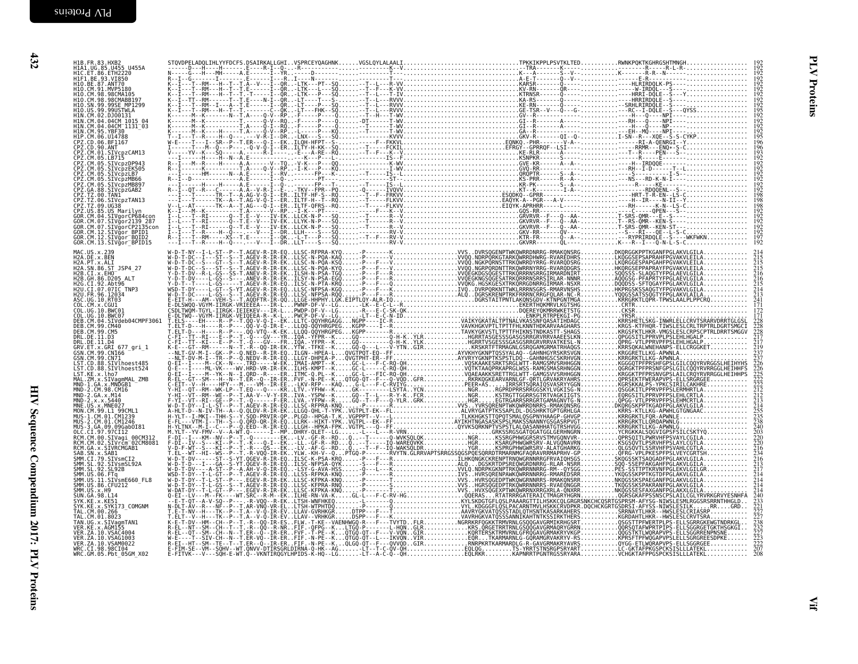| H1B. FR. 83, HXB2<br>H1C 1: FR. 83, H2C 125, H2C 1455<br>H1C 1: B6: 63, H7C 1785<br>H1O . CM 31, WP5188<br>H1O . CM 31, WP5188<br>H1O . CM 38, 98CMABB197<br>H1O . SN 39, 9905TWLA<br>H1N . CM 39, 9905TWLA<br>H1N . CM 39, 9905TWLA<br>H1N . CM 34, 94CM    |  |  |  |
|--------------------------------------------------------------------------------------------------------------------------------------------------------------------------------------------------------------------------------------------------------------|--|--|--|
|                                                                                                                                                                                                                                                              |  |  |  |
|                                                                                                                                                                                                                                                              |  |  |  |
|                                                                                                                                                                                                                                                              |  |  |  |
|                                                                                                                                                                                                                                                              |  |  |  |
| HIN.CM.95.YBF30                                                                                                                                                                                                                                              |  |  |  |
| n Pr. C. D. 06. BF1167<br>CPZ. CD. 90. ANT<br>CPZ. CD. 90. ANT<br>CPZ. CM. 05. LB715<br>CPZ. CM. 05. LB715<br>CPZ. CM. 05. SIVCPZDP943                                                                                                                       |  |  |  |
|                                                                                                                                                                                                                                                              |  |  |  |
| CPZ.CM.05.SIVCDZEK505<br>CPZ.CM.05.SIVcpzLB7                                                                                                                                                                                                                 |  |  |  |
|                                                                                                                                                                                                                                                              |  |  |  |
|                                                                                                                                                                                                                                                              |  |  |  |
| CPZ.CM.05.SIVCpzHB66<br>CPZ.CM.05.SIVCpzHB66<br>CPZ.CM.05.SIVCpzHB897<br>CPZ.TZ.00.TANI<br>CPZ.TZ.00.TANI<br>CPZ.TZ.09.DG38<br>CPZ.TZ.09.UG38<br>CPZ.US.85.USTMarilyn                                                                                        |  |  |  |
|                                                                                                                                                                                                                                                              |  |  |  |
|                                                                                                                                                                                                                                                              |  |  |  |
| CPZ.US.89.US Marillyn<br>GOR.CM.04.SIVgorCP684con<br>GOR.CM.07.SIVgorCP2139.287<br>GOR.CM.07.SIVgorCP2135con<br>GOR.CM.12.SIVgor_BDID1<br>COR.CM.13.SIVgor_BPID15                                                                                            |  |  |  |
| MAC.US.x.239<br>H2A.DE.x.BEN<br>H2A.PT.x.ALI<br>H2A.SN.86.ST_JSP4_27                                                                                                                                                                                         |  |  |  |
|                                                                                                                                                                                                                                                              |  |  |  |
| H2B.CI.X.EHO<br>H2B. GH. 86. D205 ALT                                                                                                                                                                                                                        |  |  |  |
| H2G.CI.92.Abt96<br>H2U.CI.07.07IC_TNP3                                                                                                                                                                                                                       |  |  |  |
|                                                                                                                                                                                                                                                              |  |  |  |
| H2U.FR.96.12034<br>ASC.UG.10.RT03<br>COL.CM.x.CGU1<br>COL.UG.10.BWC01<br>COL.UG.10.BWC07                                                                                                                                                                     |  |  |  |
| DEB.CM.04.SIVdeb04CMPF3061<br>DEB.CM.99.CM40                                                                                                                                                                                                                 |  |  |  |
| DEB.CM.99.CM5<br>DRL.DE.11.D3<br>DRL.DE.11.D3<br>GRV.ET.x.GRI 677_gri_1<br>GSN.CM.99.CN166                                                                                                                                                                   |  |  |  |
|                                                                                                                                                                                                                                                              |  |  |  |
| GSN. CM.99. CNIG6<br>CSN. CM.99. CN71<br>LST. CD. 88. SIVLNoest485<br>LST. CD.88. SIVLNoest485<br>LST. CD.88. SIVLNoest524<br>MAL. ZM.x. SIVagmMAL_ZMB<br>MND-2. CM.98. CM16<br>MND-2. CA.x. S440<br>MND-2. CA.x. S440<br>MND-2. CA.x. S440<br>MND. CS.x. MN |  |  |  |
|                                                                                                                                                                                                                                                              |  |  |  |
|                                                                                                                                                                                                                                                              |  |  |  |
|                                                                                                                                                                                                                                                              |  |  |  |
|                                                                                                                                                                                                                                                              |  |  |  |
|                                                                                                                                                                                                                                                              |  |  |  |
| MNR. US. X. MNEWS<br>MNR. CM. 99. L1 99CML1<br>MUS-2. CM. 01. CM1246<br>MUS-3. GA. 09. 09Gab0I81<br>OLC. CI. 97. 97CI12<br>RCM. CM. 00. SIVagi_00CM312<br>RCM. CM. 00. SIVagi_00CM312                                                                        |  |  |  |
| RCM.CM.02.SIVrcm 02CM8081                                                                                                                                                                                                                                    |  |  |  |
| RCM. GA. x. SIVRCMGAB1                                                                                                                                                                                                                                       |  |  |  |
|                                                                                                                                                                                                                                                              |  |  |  |
| RCM. GA. x. STURCMGAB1<br>SAB. SN. x. SAB1<br>SMM. CI. 79. STURCMGAB1<br>SMM. SL. 92. STURGMGAB2A<br>SMM. U.S. 03. STURGMGAB<br>SMM. U.S. 36. FC<br>SYM. U.S. 26. HOU<br>SMM. U.S. 26. HOU<br>SVN. CA. 98. L14<br>SVN. CA. 88. L14<br>SVN. CA. 28. KE51      |  |  |  |
|                                                                                                                                                                                                                                                              |  |  |  |
|                                                                                                                                                                                                                                                              |  |  |  |
| SYK.KE.x.KE51<br>SYK.KE.x.SYK173_COMGNM<br>TAL.CM.00.266<br>TAL.CM.01.8023_____                                                                                                                                                                              |  |  |  |
| TAN.UG.x.SIVagmTAN1<br>VER.KE.x.AGM155                                                                                                                                                                                                                       |  |  |  |
| VER. ZA. 10. VSAC4004                                                                                                                                                                                                                                        |  |  |  |
| VER.ZA.10.VSAG1003<br>VER.ZA.10.VSAG1003<br>VER.ZA.10.VSAM0022<br>WRC.GM.05.Pbt_05GM_X02                                                                                                                                                                     |  |  |  |
|                                                                                                                                                                                                                                                              |  |  |  |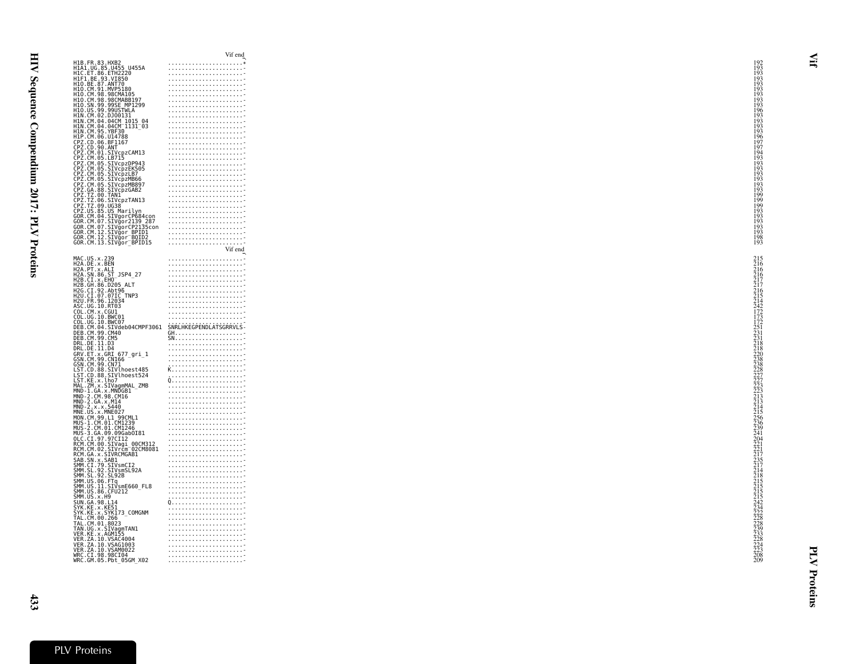|                                              | H1B.FR.83.HXB2<br>H1A1.UG.85.U455 U455A                                                                                                                                                                                          |                        |
|----------------------------------------------|----------------------------------------------------------------------------------------------------------------------------------------------------------------------------------------------------------------------------------|------------------------|
|                                              |                                                                                                                                                                                                                                  |                        |
| HIC.ET.86.ETHŽŽ20<br>H1F1.BE.93.VI850        |                                                                                                                                                                                                                                  |                        |
|                                              |                                                                                                                                                                                                                                  |                        |
|                                              | H10.BE.87.ANT70<br>H10.CM.91.MVP5180<br>H10.CM.98.98CMA105<br>H10.CM.98.98CMABB197<br>H10.SN.99.99SE_MP1299<br>H10.SN.99.99UETWL299                                                                                              |                        |
|                                              |                                                                                                                                                                                                                                  |                        |
|                                              |                                                                                                                                                                                                                                  |                        |
| H1N.CM.02.DJ00131                            | H10.US.99.99USTWLA                                                                                                                                                                                                               |                        |
|                                              | HIN.CM.04.04CM_1015_04<br>H1N.CM.04.04CM_1131_03                                                                                                                                                                                 |                        |
|                                              |                                                                                                                                                                                                                                  |                        |
| H1N.CM.95.YBF30<br>H1P.CM.06.U14788          |                                                                                                                                                                                                                                  |                        |
|                                              | CPZ.CD.06.BF1167<br>CPZ.CD.06.BF1167<br>CPZ.CD.90.ANT<br>CPZ.CM.01.SIVcpzCAM13<br>CPZ.CM.05.LB715                                                                                                                                |                        |
|                                              |                                                                                                                                                                                                                                  |                        |
|                                              |                                                                                                                                                                                                                                  |                        |
|                                              |                                                                                                                                                                                                                                  |                        |
|                                              |                                                                                                                                                                                                                                  |                        |
|                                              |                                                                                                                                                                                                                                  |                        |
|                                              | CPZ.CM.05.SIVCpzDP943<br>CPZ.CM.05.SIVCpzDP943<br>CPZ.CM.05.SIVCpzLB7<br>CPZ.CM.05.SIVCpzMB66<br>CPZ.CM.05.SIVCpzMB807                                                                                                           |                        |
|                                              |                                                                                                                                                                                                                                  |                        |
|                                              | CPZ.CM.05.SIVCpzMB66<br>CPZ.CM.05.SIVCpzMB897<br>CPZ.GA.88.SIVCpzGAB2<br>CPZ.TZ.00.TAN1<br>CPZ.TZ.00.SIVCpzTAN13<br>CPZ.TZ.09.UG38<br>CCR.US.82.USM                                                                              |                        |
|                                              |                                                                                                                                                                                                                                  |                        |
|                                              |                                                                                                                                                                                                                                  |                        |
|                                              |                                                                                                                                                                                                                                  |                        |
|                                              | GOR.CM.04.SIVgorCP684con<br>GOR.CM.07.SIVgor2139_287                                                                                                                                                                             |                        |
|                                              | GOR.CM.07.SIVğorCP2135con                                                                                                                                                                                                        |                        |
|                                              | GOR.CM.12.SIVgor_BPID1<br>GOR.CM.12.SIVgor_BQID2                                                                                                                                                                                 |                        |
|                                              |                                                                                                                                                                                                                                  |                        |
|                                              | GOR.CM.13.SIVgor BPID15                                                                                                                                                                                                          |                        |
|                                              |                                                                                                                                                                                                                                  | Vif end                |
| MAC.US.x.239                                 |                                                                                                                                                                                                                                  |                        |
| H2A.DE.x.BEN<br>H2A.DE.x.BEN<br>H2A.PT.x.ALI |                                                                                                                                                                                                                                  |                        |
|                                              | H2A.SN.86.ST_JSP4_27                                                                                                                                                                                                             |                        |
| H2B.CI.x.EHO                                 |                                                                                                                                                                                                                                  |                        |
|                                              | H2B.GH.86.D205 ALT<br>H2G.CI.92.Abt96<br>H2U.CI.07.07IC_TNP3                                                                                                                                                                     |                        |
|                                              |                                                                                                                                                                                                                                  |                        |
| H2U.FR.96.12034                              |                                                                                                                                                                                                                                  |                        |
|                                              |                                                                                                                                                                                                                                  |                        |
| ASC.UG.10.RT03<br>COL.CM.x.CGU1              |                                                                                                                                                                                                                                  |                        |
| COL.UG.10.BWC01                              |                                                                                                                                                                                                                                  |                        |
| COL.UG.10.BWC07                              | DEB.CM.04.SIVdeb04CMPF3061                                                                                                                                                                                                       | SNRLHKEGPENDLATSGRRVLS |
| DEB.CM.99.CM40                               |                                                                                                                                                                                                                                  |                        |
| DEB.CM.99.CM5                                |                                                                                                                                                                                                                                  |                        |
| DRL.DE.11.D3<br>DRL.DE.11.D4                 |                                                                                                                                                                                                                                  |                        |
|                                              |                                                                                                                                                                                                                                  |                        |
|                                              |                                                                                                                                                                                                                                  |                        |
|                                              |                                                                                                                                                                                                                                  |                        |
|                                              |                                                                                                                                                                                                                                  |                        |
|                                              |                                                                                                                                                                                                                                  |                        |
|                                              |                                                                                                                                                                                                                                  |                        |
|                                              | DRL.DE.II.D4<br>GRV.ET.x.GRI 677_gri_1<br>GSN.CM.99.CN166<br>LST.CD.88.SIVlhoest485<br>LST.CD.88.SIVlhoest485<br>LST.CD.88.SIVlhoest524<br>LST.CD.88.SIVlhoest524<br>MAI 7M × 5TVagmMAL 7MR                                      |                        |
|                                              | MAL.ZM.x.SIVagmMAL_ZMB<br>MND-1.GA.x.MNDGB1                                                                                                                                                                                      |                        |
| MND-2.CM.98.CM16                             |                                                                                                                                                                                                                                  |                        |
| MND-2.GA.x.M14                               |                                                                                                                                                                                                                                  |                        |
| $MND - 2 \cdot x \cdot x \cdot 5440$         |                                                                                                                                                                                                                                  |                        |
|                                              | MNĚ.ŪS.x.MNE0Ž7<br>MON.CM.99.L1 99CML1                                                                                                                                                                                           |                        |
|                                              | MUS-1.CM.01.CM1239                                                                                                                                                                                                               |                        |
|                                              | MUS-2.CM.01.CM1246                                                                                                                                                                                                               |                        |
|                                              |                                                                                                                                                                                                                                  |                        |
|                                              |                                                                                                                                                                                                                                  |                        |
|                                              |                                                                                                                                                                                                                                  |                        |
|                                              |                                                                                                                                                                                                                                  |                        |
|                                              |                                                                                                                                                                                                                                  |                        |
|                                              |                                                                                                                                                                                                                                  |                        |
|                                              |                                                                                                                                                                                                                                  |                        |
|                                              | ULC.CL.97.97.<br>RCM.CM.00.SIVagi_00CM312<br>RCM.CM.02.SIVrcm=02CM8081<br>RCM.CM.02.SIVRCMGAB1<br>SAB.SN.x.SAB1<br>SMM.SL.92.SIVsmSL92A<br>SMM.SL.92.SIVsmSL92A<br>SMM.SL.92.SIVsmSL92A<br>SMM.SL.92.SIVsmSL92A<br>SMM.IS.06.FTa |                        |
|                                              | SMM.US.06.FTq<br>SMM.US.11.SIVsmE660_FL8                                                                                                                                                                                         |                        |
| SMM.US.86.CFU212<br>SMM.US.x.H9              |                                                                                                                                                                                                                                  |                        |
| SUN. GA. 98. L14                             |                                                                                                                                                                                                                                  |                        |
|                                              |                                                                                                                                                                                                                                  |                        |
|                                              |                                                                                                                                                                                                                                  |                        |
|                                              | SYK.KE.X.KE51<br>SYK.KE.X.KE51<br>TAL.CM.00.266                                                                                                                                                                                  |                        |
|                                              |                                                                                                                                                                                                                                  |                        |
|                                              |                                                                                                                                                                                                                                  |                        |
|                                              | TAL.CM.00.200<br>TAL.CM.01.8023<br>TAN.UG.x.SIVagmTAN1<br>VER.ZA.10.VSAC4004<br>VER.ZA.10.VSAC4004                                                                                                                               |                        |
|                                              | VER.ZA.10.VSAG1003                                                                                                                                                                                                               |                        |
|                                              | VER.ZA.10.VSAM0022                                                                                                                                                                                                               |                        |
| WRC.CI.98.98CI04                             | WRC.GM.05.Pbt 05GM X02                                                                                                                                                                                                           |                        |

Vif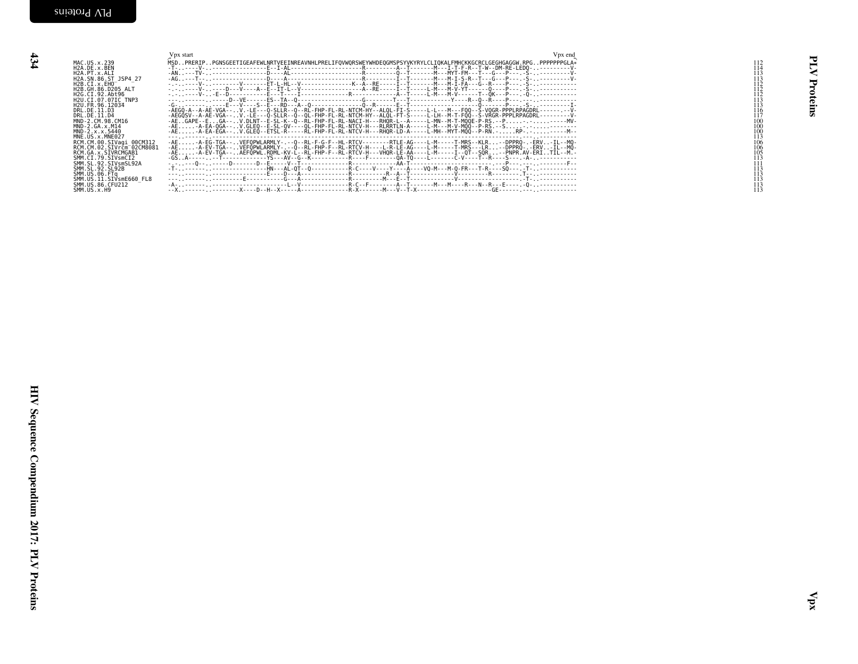<span id="page-23-0"></span>

| MAC.US.x.239<br>H2A.DE.x.259<br>H2A.PT.x.ALI<br>H2A.SN.86.ST_JSP4_27<br>H2B.CI.x.EH0______<br>H2B. GH. 86. D205_ALT<br>H2G.CI.92.Abt96<br>H2G.CI.92.Abt96<br>H2U.CI.07.07IC_TNP3<br>H2U.FR.96.12034<br>DRL.DE.11.D3<br>DRL. DE. 11.03<br>DRL. DE. 11.03<br>MND-2. CM. S. M. 2014<br>MND-2. CM. X. M14<br>MND-2. CM. X. M14<br>NNE. US. X. MNE027<br>RCM. CM. 22. STV. MCD-2014<br>RCM. CM. 22. STV. MCD-22.<br>SMM. SL. 92. STV. MCD2<br>SMM. SL. 92. STV. MCD2<br>SMM. SL. 92. STV<br>SMM.US.06.FTq<br>SMM.US.11.SIVsmE660_FL8<br>SMM.US.86.CFU212 | Vpx start | Vpx end<br>100<br>100<br>$\frac{100}{113}$<br>$\frac{106}{106}$<br>$\frac{105}{105}$<br>$\frac{113}{111}$ | ≷<br>Proteins |
|-----------------------------------------------------------------------------------------------------------------------------------------------------------------------------------------------------------------------------------------------------------------------------------------------------------------------------------------------------------------------------------------------------------------------------------------------------------------------------------------------------------------------------------------------------|-----------|-----------------------------------------------------------------------------------------------------------|---------------|
|                                                                                                                                                                                                                                                                                                                                                                                                                                                                                                                                                     |           |                                                                                                           | Й             |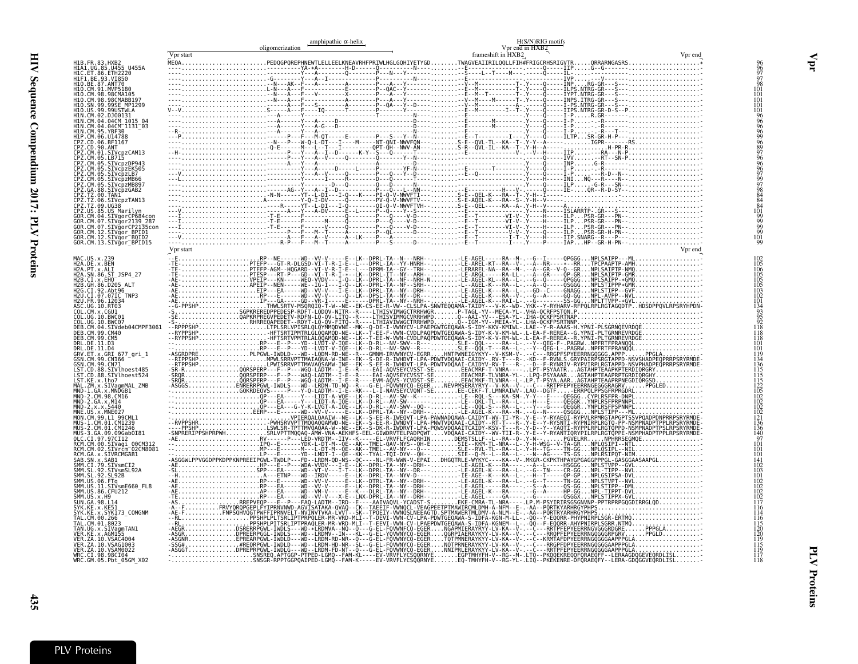<span id="page-24-0"></span>

|                                                                                                                                                                                                                                                                 | oligomerization | amphipathic $\alpha$ -helix | H(S/N)RIG motifs<br>Vpr end in HXB2 |         |
|-----------------------------------------------------------------------------------------------------------------------------------------------------------------------------------------------------------------------------------------------------------------|-----------------|-----------------------------|-------------------------------------|---------|
| H1B.FR.83.HXB2<br>H1A1.UG.85.U455 U455A                                                                                                                                                                                                                         | Vpr start       |                             | frameshift in HXB2                  | Vpr end |
| HIC.ET.86.ETH2220<br>H1F1.BE.93.VI850<br>H10.BE.87.ANT70                                                                                                                                                                                                        |                 |                             |                                     |         |
| H10.CM.91.MVP5180<br>H10.CM.98.98CMA105<br>H10.CM.98.98CMABB197<br>H10.SN.99.99SE MP1299                                                                                                                                                                        |                 |                             |                                     |         |
| H10.US.99.99USTWLA<br>H1N.CM.02.DJ00131                                                                                                                                                                                                                         |                 |                             |                                     |         |
| HIN.CM.04.04CM_1015_04<br>HIN.CM.04.04CM_1131_03                                                                                                                                                                                                                |                 |                             |                                     |         |
| H1N. CM. 04. 04CM" 1131_03<br>H1P. CM. 05. YBF30<br>CPZ. CD. 06. UH788<br>CPZ. CD. 06. BF1167<br>CPZ. CM. 05. LEV. CM. 200113<br>CPZ. CM. 05. STV.<br>CPZ. CM. 05. STV.<br>CPZ. CM. 05. STV.<br>CPZ. CM. 05. STV.<br>CPZ. CM. 05. STV.<br>CPZ. CM. 05. STV.<br> |                 |                             |                                     |         |
|                                                                                                                                                                                                                                                                 |                 |                             |                                     |         |
|                                                                                                                                                                                                                                                                 |                 |                             |                                     |         |
| L'E.LOM : S. SIVCPZMB89<br>CPZ.TZ.00.88.5IVCPZGAB2<br>CPZ.TZ.00.5IVCPZTAN13<br>CPZ.TZ.00.5IVCPZTAN13<br>CPZ.TZ.09.UGS8<br>CPZ.US.85.US Marilyn<br>GOR.CM.04.5IVGorCP139_287<br>GOR.CM.07.5IVGorCP139_287<br>GOR.CM.07.5IVGorCP139_287<br>GOR.CM.07.5IVGor       |                 |                             |                                     |         |
|                                                                                                                                                                                                                                                                 |                 |                             |                                     |         |
| GOR.CM.07.SIVGOTCP2ISSC<br>GOR.CM.12.SIVgor_BPID1<br>GOR.CM.12.SIVgor_BQID2<br>GOR.CM.13.SIVgor_BPID15                                                                                                                                                          |                 |                             |                                     |         |
|                                                                                                                                                                                                                                                                 | Vpr start       |                             |                                     |         |
| MAC.US.x.239<br>H2A.DE.x.BEN<br>H2A.PT.x.ALI                                                                                                                                                                                                                    |                 |                             |                                     |         |
| Н2A. PT. : X.ALT<br>H2B. CT. x. CHO – ST. 25P4_27<br>H2B. GH. 86. D205_ALT<br>H2B. GH. 86. D205_ALT<br>H2B. GH. 86. D205_ALT<br>H2U. CT. 97. 071C_TNP3<br>ASC. UG. 10. RT03<br>COL. UG. 10. RT03<br>COL. UG. 10. RT03<br>COL. UG. 10. RWC01<br>DEB. CM. 04.     |                 |                             |                                     |         |
|                                                                                                                                                                                                                                                                 |                 |                             |                                     |         |
|                                                                                                                                                                                                                                                                 |                 |                             |                                     |         |
|                                                                                                                                                                                                                                                                 |                 |                             |                                     |         |
| DEB. ČM. 99. ČM5                                                                                                                                                                                                                                                |                 |                             |                                     |         |
| <b>UEB.CM.99.CM<br/>DRL.DE.11.D3<br/>GRV.ET.x.GRI 677_gri_1<br/>GRV.ET.x.GRI 677_gri_1<br/>GSN.CM.99.CNT0<br/>LST.CD.88.SIVlhoest485<br/>LST.CD.88.SIVlhoest485<br/>LST.CD.88.SIVlhoest524<br/>LST.CE.8.2.lPo7.mmA1.7MR</b>                                     |                 |                             |                                     |         |
| MAL.ZM.x.SIVagmMAL ZMB                                                                                                                                                                                                                                          |                 |                             |                                     |         |
| MND-1.GA.x.MNDGB1<br>MND-2.CM.98.CM16<br>MND-2.GA.x.M14                                                                                                                                                                                                         |                 |                             |                                     |         |
| $MD - 2. x. x. 5440$<br>$MNE$ . US. $x$ . MNE027<br>MON.CM.99.L1 99CML1                                                                                                                                                                                         |                 |                             |                                     |         |
| MUS-1.CM.01.CM1239<br>MUS-2.CM.01.CM1246<br>MUS-3.GA.09.09Gab0I81                                                                                                                                                                                               |                 |                             |                                     |         |
| OLC.CI.97.97CI12<br>RCM.CM.00.SIVagi 00CM312<br>RCM.CM.02.SIVrcm <sup>-</sup> 02CM8081<br>RCM.GA.x.SIVRCMGAB1                                                                                                                                                   |                 |                             |                                     |         |
| <b>SAB.SN.x.SAB1<br/>SAB.SN.x.SAB1<br/>SMM.CI.79.SIVsmCI2<br/>SMM.SL.92.SIVsmSL92A<br/>SMM.SL.92.SL92B</b>                                                                                                                                                      |                 |                             |                                     |         |
|                                                                                                                                                                                                                                                                 |                 |                             |                                     |         |
| SMM.US.06.FTq<br>SMM.US.06.FTq<br>SMM.US.11.SIVsmE660_FL8<br>SMM.US.86.CFU212<br>SMM.US.x.H9                                                                                                                                                                    |                 |                             |                                     |         |
| SUN.GA.98.L14<br>SYK.KE.x.KE51                                                                                                                                                                                                                                  |                 |                             |                                     |         |
| SYK.KE.X.SYK173_COMGNM<br>TAL.CM.00.266<br>TAL.CM.01.8023 _<br>TAN.UG.x.SIVagmTAN1                                                                                                                                                                              |                 |                             |                                     |         |
| VER.ZA.10.VSAG1003<br>VER.ZA.10.VSAM0022                                                                                                                                                                                                                        |                 |                             |                                     |         |
|                                                                                                                                                                                                                                                                 |                 |                             |                                     |         |

Vpr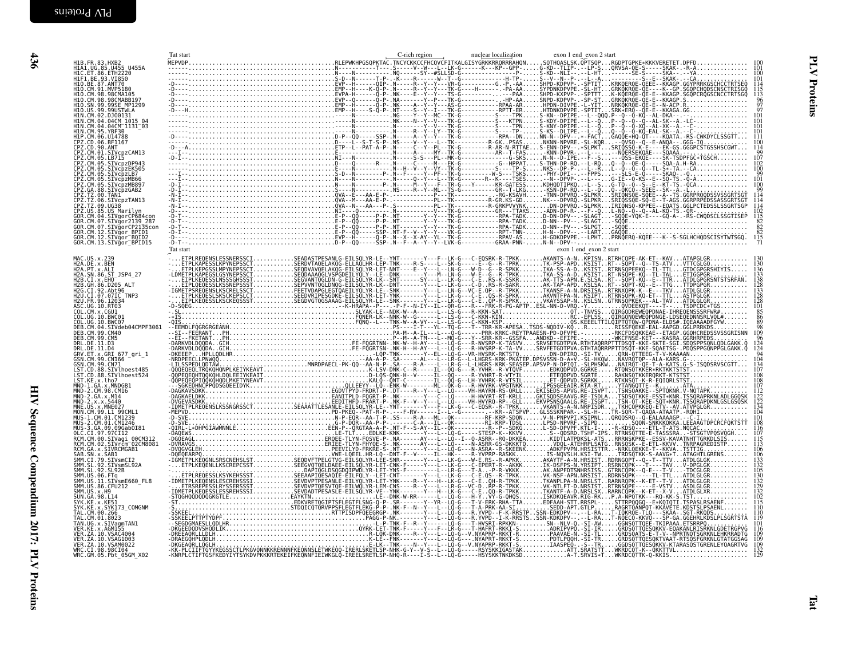<span id="page-25-0"></span>

|                                                                                                                                                                                                                                                           | Tat start | C-rich region | nuclear localization | exon 1 end exon 2 start |                                        |
|-----------------------------------------------------------------------------------------------------------------------------------------------------------------------------------------------------------------------------------------------------------|-----------|---------------|----------------------|-------------------------|----------------------------------------|
| H1B.FR.83.HXB2<br>H1A1.UG.85.U455 U455A<br>H1C.ET.86.ETH2220                                                                                                                                                                                              |           |               |                      |                         |                                        |
|                                                                                                                                                                                                                                                           |           |               |                      |                         |                                        |
| HIF1_BE_93_VI850<br>H10_BE_87_ANT70<br>H10_CM_91_MVP5180<br>H10_CM_98_98CMA105                                                                                                                                                                            |           |               |                      |                         | $\frac{114}{115}$<br>$\frac{115}{113}$ |
| H10.CM.98.98CMABB197<br>H10.SN.99.99SE MP1299                                                                                                                                                                                                             |           |               |                      |                         | $\frac{96}{97}$                        |
| H10 . US . 99 . 99USTWLA<br>H10 . US . 99 . 99USTWLA<br>H1N . CM . 04 . 04CM . 1015 . 04<br>H1N . CM . 04 . 04CM . 1131 . 03                                                                                                                              |           |               |                      |                         | 101                                    |
|                                                                                                                                                                                                                                                           |           |               |                      |                         |                                        |
| H1N.CM.95.YBF30                                                                                                                                                                                                                                           |           |               |                      |                         |                                        |
| HIN.CM.95.YBF30<br>CPZ.CD.06.BF1167<br>CPZ.CD.06.BF1167<br>CPZ.CD.90.ANT<br>CPZ.CM.01.SIVCpzCAM13<br>CPZ.CM.05.LB715<br>CPZ.CM.05.LB715<br>CPZ.CM.05.LIVCp2DP943                                                                                          |           |               |                      |                         | $^{114}_{99}$                          |
|                                                                                                                                                                                                                                                           |           |               |                      |                         |                                        |
|                                                                                                                                                                                                                                                           |           |               |                      |                         | 100                                    |
| CPZ.CM.05.SIVCPZEK505<br>CPZ.CM.05.SIVCPZLB7<br>CPZ.CM.05.SIVCPZMB66<br>CPZ.CM.05.SIVCPZMB897                                                                                                                                                             |           |               |                      |                         | $\frac{99}{101}$                       |
| CPZ.GA.88.SIVcpzGAB2                                                                                                                                                                                                                                      |           |               |                      |                         |                                        |
| CPZ.50.0.31<br>CPZ.TZ.00.TAN1<br>CPZ.TZ.00.SIVcpzTAN13<br>CPZ.TZ.09.UG38<br>CPZ.US.85.US Marilyn<br>GOR.CM.04.SIVgorCP684con                                                                                                                              |           |               |                      |                         | 114                                    |
|                                                                                                                                                                                                                                                           |           |               |                      |                         | $\frac{102}{115}$                      |
|                                                                                                                                                                                                                                                           |           |               |                      |                         | $\frac{82}{82}$                        |
| GOR.CM.07.51Vguricrum<br>GOR.CM.07.SIVgur2139_287<br>GOR.CM.07.SIVgurCP2135con<br>GOR.CM.12.SIVgur BPID1<br>COR.CM.13.SIVgur_BPID15                                                                                                                       |           |               |                      |                         | 115                                    |
|                                                                                                                                                                                                                                                           | Tat start |               |                      | exon 1 end_exon 2 start |                                        |
| MAC.US.x.239                                                                                                                                                                                                                                              |           |               |                      |                         |                                        |
| H2A.DE.x.BEN<br>H2A.PT.x.ALI<br>H2A.SN.86.ST JSP4 27                                                                                                                                                                                                      |           |               |                      |                         | 136<br>133                             |
| H2B.CI.X.EHO<br>H2B. GH. 86. D205 ALT                                                                                                                                                                                                                     |           |               |                      |                         | 138                                    |
| H2G.CI.92.Abt96<br>H2U.CI.07.07IC TNP3                                                                                                                                                                                                                    |           |               |                      |                         |                                        |
|                                                                                                                                                                                                                                                           |           |               |                      |                         | <b>28</b><br>101                       |
|                                                                                                                                                                                                                                                           |           |               |                      |                         | $\frac{85}{86}$<br>89                  |
|                                                                                                                                                                                                                                                           |           |               |                      |                         | 109                                    |
| H2U.CT.07.071<br>ASC.UG.10.CT.071<br>COL.CM.X.CGU1<br>COL.CM.X.CGU1<br>COL.UG.10.BWC01<br>COL.UG.10.BWC07<br>DEB.CM.99.CM40<br>DEB.CM.99.CM40<br>DEB.CM.99.CM40<br>DEB.CM.99.CM40<br>DRL.DE.11.D3                                                         |           |               |                      |                         |                                        |
| DRL.DE.11.D4<br>ORV.ET.x.GRI 677_gri_1<br>GRV.ET.x.GRI 677_gri_1<br>GSN.CM.99.CNI66<br>LST.CD.88.SIVlhoest485<br>LST.CD.88.SIVlhoest485<br>LST.CD.88.SIVlhoest524                                                                                         |           |               |                      |                         | $\frac{94}{104}$                       |
|                                                                                                                                                                                                                                                           |           |               |                      |                         | 134<br>107                             |
|                                                                                                                                                                                                                                                           |           |               |                      |                         |                                        |
| LST.KE.x.lho7<br>MND-1.GA.x.MNDGB1                                                                                                                                                                                                                        |           |               |                      |                         |                                        |
|                                                                                                                                                                                                                                                           |           |               |                      |                         | l 12<br>122<br>122                     |
| MID-1.GA.x.MNDGB1<br>MID-2.CM.98.CM16<br>MID-2.GA.x.X.5440<br>MID-2.GA.x.X.5440<br>MIDE.US.x.X.5440<br>MID-1.S.X.MED27<br>MUS-1.CM.01.CM1246<br>MUS-3.GA.09.09Gab0I81<br>MUS-3.GA.09.09Gab0I81<br>MUS-3.GA.09.09Gab0I81<br>RCM CM.00.STVaai.00CM          |           |               |                      |                         | 134                                    |
|                                                                                                                                                                                                                                                           |           |               |                      |                         | 108                                    |
|                                                                                                                                                                                                                                                           |           |               |                      |                         | 116<br>107                             |
| RCM.CM.00.SIVagi 00CM312<br>RCM.CM.02.SIVrcm 02CM8081                                                                                                                                                                                                     |           |               |                      |                         |                                        |
|                                                                                                                                                                                                                                                           |           |               |                      |                         |                                        |
| RCM. CM. 02. STVrCm (92CM808<br>SAME: SAN. x. STVRCMGAB1<br>SMM. CT. 79. STV8mCT2<br>SMM. CT. 79. STV8mCT2<br>SMM. CL. 79. STV8mCT2<br>SMM. US. 06. FTQ<br>SMM. US. 11. STV8mE660_FL8<br>SMM. US. 21. STV8mE660_FL8<br>SMM. US. 21. STV8mE660_FL8<br>SMM. |           |               |                      |                         |                                        |
|                                                                                                                                                                                                                                                           |           |               |                      |                         | 105<br>130<br>130<br>132<br>132        |
|                                                                                                                                                                                                                                                           |           |               |                      |                         |                                        |
| SUN. GA. 98. L14<br>SYK.KE.X.KE51<br>SYK.KE.X.SYK173 COMGNM                                                                                                                                                                                               |           |               |                      |                         | 115                                    |
| TAL. CM.00.266                                                                                                                                                                                                                                            |           |               |                      |                         |                                        |
| TAL . CM. 01 . 8023<br>TAN . UG . x . SIVagmTAN1<br>VER . KE . x . AGM155<br>VER . ZA . 10 . VSAC4004                                                                                                                                                     |           |               |                      |                         | 119                                    |
|                                                                                                                                                                                                                                                           |           |               |                      |                         | 116                                    |
| VER. ZA. 10. VSAG1003                                                                                                                                                                                                                                     |           |               |                      |                         | 109<br>$\frac{109}{132}$<br>129        |
| VER. ZA. 10. VSAM0022<br>WRC. CI.98.98CI04<br>WRC. GM.05. Pbt_05GM_X02                                                                                                                                                                                    |           |               |                      |                         |                                        |
|                                                                                                                                                                                                                                                           |           |               |                      |                         |                                        |
|                                                                                                                                                                                                                                                           |           |               |                      |                         |                                        |
|                                                                                                                                                                                                                                                           |           |               |                      |                         |                                        |
|                                                                                                                                                                                                                                                           |           |               |                      |                         |                                        |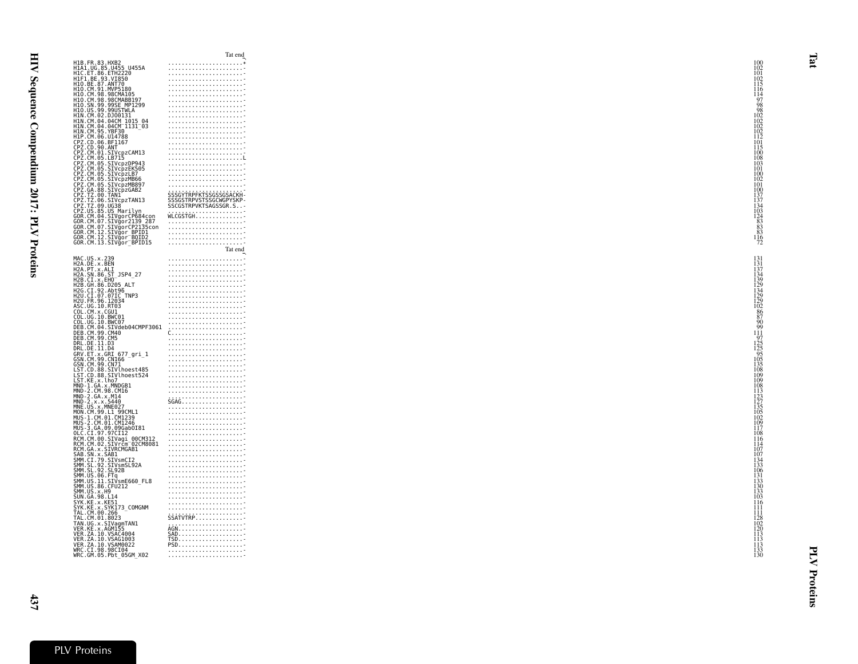|                                       |                                                                                                                                                                                                                                                          | тат спи                                                                                                                                                                                                                                                                                                                                                                                                                                            |                   |
|---------------------------------------|----------------------------------------------------------------------------------------------------------------------------------------------------------------------------------------------------------------------------------------------------------|----------------------------------------------------------------------------------------------------------------------------------------------------------------------------------------------------------------------------------------------------------------------------------------------------------------------------------------------------------------------------------------------------------------------------------------------------|-------------------|
|                                       | H1B.FR.83.HXB2<br>H1A1.UG.85.U455 U455A<br>H1C.ET.86.ETH2220<br>H1C.ET.86.ETH2220<br>H1O.BE.87.ANT70<br>H1O.CM.98.98CMA105<br>H1O.CM.98.98CMA105<br>H1O.CM.98.98CMA105<br>H1O.CM.98.98CMA105                                                             |                                                                                                                                                                                                                                                                                                                                                                                                                                                    | 100               |
|                                       |                                                                                                                                                                                                                                                          |                                                                                                                                                                                                                                                                                                                                                                                                                                                    |                   |
|                                       |                                                                                                                                                                                                                                                          |                                                                                                                                                                                                                                                                                                                                                                                                                                                    | 102               |
|                                       |                                                                                                                                                                                                                                                          |                                                                                                                                                                                                                                                                                                                                                                                                                                                    | 101               |
|                                       |                                                                                                                                                                                                                                                          |                                                                                                                                                                                                                                                                                                                                                                                                                                                    | $\frac{102}{115}$ |
|                                       |                                                                                                                                                                                                                                                          |                                                                                                                                                                                                                                                                                                                                                                                                                                                    |                   |
|                                       |                                                                                                                                                                                                                                                          |                                                                                                                                                                                                                                                                                                                                                                                                                                                    | $^{116}_{114}$    |
|                                       |                                                                                                                                                                                                                                                          |                                                                                                                                                                                                                                                                                                                                                                                                                                                    |                   |
|                                       |                                                                                                                                                                                                                                                          |                                                                                                                                                                                                                                                                                                                                                                                                                                                    | 97                |
|                                       | H10.SN.99.99SE MP1299                                                                                                                                                                                                                                    |                                                                                                                                                                                                                                                                                                                                                                                                                                                    | 98                |
|                                       | H10.US.99.99USTWLA                                                                                                                                                                                                                                       |                                                                                                                                                                                                                                                                                                                                                                                                                                                    | 98                |
|                                       |                                                                                                                                                                                                                                                          |                                                                                                                                                                                                                                                                                                                                                                                                                                                    |                   |
|                                       |                                                                                                                                                                                                                                                          |                                                                                                                                                                                                                                                                                                                                                                                                                                                    | 102               |
|                                       | H10.03.39.39031WL<br>H1N.CM.04.04CM_1015_04<br>H1N.CM.04.04CM_1015_04<br>H1N.CM.95.YBF30<br>H1N.CM.95.YBF30                                                                                                                                              |                                                                                                                                                                                                                                                                                                                                                                                                                                                    | 102               |
|                                       |                                                                                                                                                                                                                                                          |                                                                                                                                                                                                                                                                                                                                                                                                                                                    |                   |
|                                       |                                                                                                                                                                                                                                                          |                                                                                                                                                                                                                                                                                                                                                                                                                                                    | $\frac{102}{102}$ |
| H1P.CM.06.U14788                      |                                                                                                                                                                                                                                                          |                                                                                                                                                                                                                                                                                                                                                                                                                                                    | 112               |
|                                       |                                                                                                                                                                                                                                                          |                                                                                                                                                                                                                                                                                                                                                                                                                                                    | 101               |
|                                       |                                                                                                                                                                                                                                                          |                                                                                                                                                                                                                                                                                                                                                                                                                                                    | 115               |
|                                       |                                                                                                                                                                                                                                                          |                                                                                                                                                                                                                                                                                                                                                                                                                                                    | 100               |
|                                       |                                                                                                                                                                                                                                                          |                                                                                                                                                                                                                                                                                                                                                                                                                                                    | 108               |
|                                       |                                                                                                                                                                                                                                                          |                                                                                                                                                                                                                                                                                                                                                                                                                                                    | 10 <sup>3</sup>   |
|                                       |                                                                                                                                                                                                                                                          |                                                                                                                                                                                                                                                                                                                                                                                                                                                    | 101               |
|                                       |                                                                                                                                                                                                                                                          |                                                                                                                                                                                                                                                                                                                                                                                                                                                    |                   |
|                                       |                                                                                                                                                                                                                                                          |                                                                                                                                                                                                                                                                                                                                                                                                                                                    | $\frac{100}{102}$ |
|                                       |                                                                                                                                                                                                                                                          |                                                                                                                                                                                                                                                                                                                                                                                                                                                    |                   |
|                                       | CPZ.CM.05.5IVCDZDP943<br>CPZ.CM.05.SIVCDZDP943<br>CPZ.CM.05.SIVCDZEK505<br>CPZ.CM.05.SIVCDZMB66<br>CPZ.CM.05.SIVCDZMB897<br>CPZ.CM.05.SIVCDZMB897                                                                                                        |                                                                                                                                                                                                                                                                                                                                                                                                                                                    | 101               |
|                                       | CPZ.GA.88.SIVcpzGAB2<br>CPZ.TZ.00.TAN1                                                                                                                                                                                                                   |                                                                                                                                                                                                                                                                                                                                                                                                                                                    | 100               |
|                                       |                                                                                                                                                                                                                                                          |                                                                                                                                                                                                                                                                                                                                                                                                                                                    | 137               |
|                                       |                                                                                                                                                                                                                                                          |                                                                                                                                                                                                                                                                                                                                                                                                                                                    | 137               |
|                                       |                                                                                                                                                                                                                                                          | ŚŚŚĠŶŤŔPFKŤŚŚĠŚŚĠŚAĊKH-<br>SSSGSTRPVSTSSGCWGPYSKP-<br>SSCGSTRPVKTSAGSSGR.S-                                                                                                                                                                                                                                                                                                                                                                        | 134               |
|                                       |                                                                                                                                                                                                                                                          |                                                                                                                                                                                                                                                                                                                                                                                                                                                    | 103               |
|                                       |                                                                                                                                                                                                                                                          | WLCGSTGH                                                                                                                                                                                                                                                                                                                                                                                                                                           | 124               |
|                                       |                                                                                                                                                                                                                                                          |                                                                                                                                                                                                                                                                                                                                                                                                                                                    | 83                |
|                                       |                                                                                                                                                                                                                                                          |                                                                                                                                                                                                                                                                                                                                                                                                                                                    | 83                |
|                                       |                                                                                                                                                                                                                                                          |                                                                                                                                                                                                                                                                                                                                                                                                                                                    | 83                |
|                                       |                                                                                                                                                                                                                                                          |                                                                                                                                                                                                                                                                                                                                                                                                                                                    |                   |
|                                       | CPZ.IZ.00.IAN1<br>CPZ.TZ.00.SIVcpzTAN13<br>CPZ.US.85.US Marilyn<br>CPZ.US.85.US Marilyn<br>GOR.CM.04.SIVgorCPG84con<br>GOR.CM.07.SIVgorCP139_287<br>GOR.CM.12.SIVgor BPID1<br>GOR.CM.12.SIVgor BPID1<br>GOR.CM.12.SIVgor BPID1<br>COR.CM.12.SIVgor BPID1 |                                                                                                                                                                                                                                                                                                                                                                                                                                                    | $\frac{116}{72}$  |
|                                       | ĞŌR.CM.13.SIVğor_BPID15                                                                                                                                                                                                                                  |                                                                                                                                                                                                                                                                                                                                                                                                                                                    |                   |
|                                       |                                                                                                                                                                                                                                                          | Tat end                                                                                                                                                                                                                                                                                                                                                                                                                                            |                   |
|                                       |                                                                                                                                                                                                                                                          |                                                                                                                                                                                                                                                                                                                                                                                                                                                    |                   |
| MAC.US.x.239<br>H2A.D <u>E</u> .x.BEN |                                                                                                                                                                                                                                                          |                                                                                                                                                                                                                                                                                                                                                                                                                                                    | 131               |
|                                       |                                                                                                                                                                                                                                                          |                                                                                                                                                                                                                                                                                                                                                                                                                                                    | 131               |
| H2A.PT.x.ALI                          |                                                                                                                                                                                                                                                          |                                                                                                                                                                                                                                                                                                                                                                                                                                                    | 137               |
|                                       | H2A.SN.86.ST JSP4 27                                                                                                                                                                                                                                     |                                                                                                                                                                                                                                                                                                                                                                                                                                                    | 134               |
| H2B.CI.X.EHO                          |                                                                                                                                                                                                                                                          |                                                                                                                                                                                                                                                                                                                                                                                                                                                    | 139               |
|                                       | H2B.CL.X.EHO<br>H2B.CH.86.D205 ALT<br>H2G.CI.92.Abt96<br>H2U.CI.07.07IC TNP3<br>H2U.FR.96.12034                                                                                                                                                          |                                                                                                                                                                                                                                                                                                                                                                                                                                                    | 129               |
|                                       |                                                                                                                                                                                                                                                          |                                                                                                                                                                                                                                                                                                                                                                                                                                                    | 134<br>129<br>129 |
|                                       |                                                                                                                                                                                                                                                          |                                                                                                                                                                                                                                                                                                                                                                                                                                                    |                   |
|                                       |                                                                                                                                                                                                                                                          |                                                                                                                                                                                                                                                                                                                                                                                                                                                    |                   |
|                                       |                                                                                                                                                                                                                                                          |                                                                                                                                                                                                                                                                                                                                                                                                                                                    | 102               |
| ASC.UG.10.RT03<br>COL.CM.x.CGU1       |                                                                                                                                                                                                                                                          |                                                                                                                                                                                                                                                                                                                                                                                                                                                    |                   |
|                                       | COL.CM.x.CGU1<br>COL.CM.x.CGU1<br>DEB.CM.04.SIVG07<br>DEB.CM.04.SIVdeb04CMPF3061<br>DEB.CM.04.SIVdeb04CMPF3061<br>DEB.CM.99.CM5<br>DER.DE:11.D34<br>GRN.EM.30.CN156<br>CSN.EM.30.CN156<br>CSN.EM.30.CN156                                                |                                                                                                                                                                                                                                                                                                                                                                                                                                                    | 86<br>87          |
|                                       |                                                                                                                                                                                                                                                          |                                                                                                                                                                                                                                                                                                                                                                                                                                                    | 90                |
|                                       |                                                                                                                                                                                                                                                          |                                                                                                                                                                                                                                                                                                                                                                                                                                                    | ĝğ                |
|                                       |                                                                                                                                                                                                                                                          | $\begin{minipage}{0.5\textwidth} \begin{tabular}{ c c c } \hline \multicolumn{1}{ c }{\textbf{1}} & \multicolumn{1}{ c }{\textbf{2}} & \multicolumn{1}{ c }{\textbf{3}} & \multicolumn{1}{ c }{\textbf{4}} & \multicolumn{1}{ c }{\textbf{5}} & \multicolumn{1}{ c }{\textbf{6}} & \multicolumn{1}{ c }{\textbf{6}} & \multicolumn{1}{ c }{\textbf{6}} & \multicolumn{1}{ c }{\textbf{6}} & \multicolumn{1}{ c }{\textbf{6}} & \multicolumn{1}{ c$ |                   |
|                                       |                                                                                                                                                                                                                                                          |                                                                                                                                                                                                                                                                                                                                                                                                                                                    | 111               |
|                                       |                                                                                                                                                                                                                                                          |                                                                                                                                                                                                                                                                                                                                                                                                                                                    | 97                |
|                                       |                                                                                                                                                                                                                                                          |                                                                                                                                                                                                                                                                                                                                                                                                                                                    |                   |
|                                       |                                                                                                                                                                                                                                                          |                                                                                                                                                                                                                                                                                                                                                                                                                                                    | $\frac{125}{125}$ |
|                                       |                                                                                                                                                                                                                                                          |                                                                                                                                                                                                                                                                                                                                                                                                                                                    |                   |
|                                       |                                                                                                                                                                                                                                                          |                                                                                                                                                                                                                                                                                                                                                                                                                                                    | 105               |
| GSN.CM.99.CN71                        |                                                                                                                                                                                                                                                          |                                                                                                                                                                                                                                                                                                                                                                                                                                                    | 135               |
|                                       |                                                                                                                                                                                                                                                          |                                                                                                                                                                                                                                                                                                                                                                                                                                                    | 108               |
|                                       |                                                                                                                                                                                                                                                          |                                                                                                                                                                                                                                                                                                                                                                                                                                                    | 10 <sup>9</sup>   |
|                                       | USN.CD.88.SIVIhoest485<br>LST.CD.88.SIVlhoest524<br>LST.CD.88.SIVlhoest524<br>MND-1.GA.x.MNDGB1<br>MND-2.CM.98.CM16<br>MND-2.CM.98.CM16                                                                                                                  |                                                                                                                                                                                                                                                                                                                                                                                                                                                    | 109               |
|                                       |                                                                                                                                                                                                                                                          |                                                                                                                                                                                                                                                                                                                                                                                                                                                    | 108               |
|                                       |                                                                                                                                                                                                                                                          |                                                                                                                                                                                                                                                                                                                                                                                                                                                    | 113               |
|                                       |                                                                                                                                                                                                                                                          |                                                                                                                                                                                                                                                                                                                                                                                                                                                    | 123               |
| MND-2.GA.x.M14<br>MND-2.x.x.5440      |                                                                                                                                                                                                                                                          |                                                                                                                                                                                                                                                                                                                                                                                                                                                    | 127               |
| MNE.US.x.MNE027                       |                                                                                                                                                                                                                                                          | $SGAG \qquad \qquad \overbrace{ \qquad \qquad }^{GGAG}$                                                                                                                                                                                                                                                                                                                                                                                            | 135               |
|                                       |                                                                                                                                                                                                                                                          |                                                                                                                                                                                                                                                                                                                                                                                                                                                    | 105               |
|                                       |                                                                                                                                                                                                                                                          |                                                                                                                                                                                                                                                                                                                                                                                                                                                    |                   |
|                                       |                                                                                                                                                                                                                                                          |                                                                                                                                                                                                                                                                                                                                                                                                                                                    | 102               |
|                                       |                                                                                                                                                                                                                                                          |                                                                                                                                                                                                                                                                                                                                                                                                                                                    | $\frac{109}{117}$ |
|                                       |                                                                                                                                                                                                                                                          |                                                                                                                                                                                                                                                                                                                                                                                                                                                    |                   |
|                                       |                                                                                                                                                                                                                                                          |                                                                                                                                                                                                                                                                                                                                                                                                                                                    | 108               |
|                                       |                                                                                                                                                                                                                                                          |                                                                                                                                                                                                                                                                                                                                                                                                                                                    | 116               |
|                                       | MNE. US. x. MNE02/<br>MON. CM. 99.11 99CML1<br>MUS-2.CM. 01. CM1239<br>MUS-2.CM. 01. CM1246<br>OLC. CT. 97. 97CT12<br>CM. CM. 02. STV.<br>RCM. CM. 02. STV.<br>RCM. CM. 02. STV.<br>CM. GN. x. SABTCMGAB1<br>CAR. SN. x. SABTCMGAB1                      |                                                                                                                                                                                                                                                                                                                                                                                                                                                    | 114               |
|                                       |                                                                                                                                                                                                                                                          |                                                                                                                                                                                                                                                                                                                                                                                                                                                    | 107               |
|                                       | R.M. GA. x. S.1VR.MGAB1<br>SAB. SN. x. SAB1<br>SMM. CL. 79. STVsmGI.<br>SMM. SL. 92. SIVsmSI.92A<br>SMM. US. 10. FTq<br>SMM. US. 86. CFU.<br>SMM. US. 86. CFU.912<br>SMM. US. 86. CFU.912<br>SIN. GA. 88. I.14                                           |                                                                                                                                                                                                                                                                                                                                                                                                                                                    | 107               |
|                                       |                                                                                                                                                                                                                                                          |                                                                                                                                                                                                                                                                                                                                                                                                                                                    |                   |
|                                       |                                                                                                                                                                                                                                                          |                                                                                                                                                                                                                                                                                                                                                                                                                                                    | $\frac{134}{133}$ |
|                                       |                                                                                                                                                                                                                                                          |                                                                                                                                                                                                                                                                                                                                                                                                                                                    | 106               |
|                                       |                                                                                                                                                                                                                                                          |                                                                                                                                                                                                                                                                                                                                                                                                                                                    | 131               |
|                                       |                                                                                                                                                                                                                                                          |                                                                                                                                                                                                                                                                                                                                                                                                                                                    | 133               |
|                                       |                                                                                                                                                                                                                                                          |                                                                                                                                                                                                                                                                                                                                                                                                                                                    |                   |
|                                       |                                                                                                                                                                                                                                                          |                                                                                                                                                                                                                                                                                                                                                                                                                                                    | 130               |
|                                       |                                                                                                                                                                                                                                                          |                                                                                                                                                                                                                                                                                                                                                                                                                                                    | 133               |
| SUN.GA.98.L14                         |                                                                                                                                                                                                                                                          |                                                                                                                                                                                                                                                                                                                                                                                                                                                    | 103               |
|                                       | SYK.KE.x.KE51<br>SYK.KE.x.SYK173_COMGNM                                                                                                                                                                                                                  |                                                                                                                                                                                                                                                                                                                                                                                                                                                    | 116               |
|                                       |                                                                                                                                                                                                                                                          |                                                                                                                                                                                                                                                                                                                                                                                                                                                    | 111               |
|                                       |                                                                                                                                                                                                                                                          |                                                                                                                                                                                                                                                                                                                                                                                                                                                    | 111               |
|                                       |                                                                                                                                                                                                                                                          |                                                                                                                                                                                                                                                                                                                                                                                                                                                    |                   |
|                                       |                                                                                                                                                                                                                                                          |                                                                                                                                                                                                                                                                                                                                                                                                                                                    |                   |
|                                       |                                                                                                                                                                                                                                                          |                                                                                                                                                                                                                                                                                                                                                                                                                                                    |                   |
|                                       |                                                                                                                                                                                                                                                          |                                                                                                                                                                                                                                                                                                                                                                                                                                                    |                   |
|                                       |                                                                                                                                                                                                                                                          |                                                                                                                                                                                                                                                                                                                                                                                                                                                    | $\frac{128}{102}$ |
|                                       |                                                                                                                                                                                                                                                          | $\begin{array}{cccc}\n55 \text{ATV} & \text{R} & \text{R} & \text{R} & \text{R} \\ \hline\n66 \text{N} & \text{R} & \text{R} & \text{R} & \text{R} \\ \text{R} & \text{R} & \text{R} & \text{R} & \text{R} & \text{R} \\ \text{R} & \text{R} & \text{R} & \text{R} & \text{R} & \text{R} \\ \text{R} & \text{R} & \text{R} & \text{R} & \text{R} & \text{R} & \text{R}\n\end{array}$                                                               | 113               |
|                                       |                                                                                                                                                                                                                                                          |                                                                                                                                                                                                                                                                                                                                                                                                                                                    | 113               |
|                                       |                                                                                                                                                                                                                                                          |                                                                                                                                                                                                                                                                                                                                                                                                                                                    | 113               |
|                                       |                                                                                                                                                                                                                                                          |                                                                                                                                                                                                                                                                                                                                                                                                                                                    | 133               |
|                                       | STR.RE.X.STR173_CUMC<br>TAL.CM.00.266<br>TAL.CM.01.8023<br>VER.RE.X.AGM155<br>VER.ZA.10.VSAC4004<br>VER.ZA.10.VSAC4004<br>WER.ZA.10.VSAM0022<br>WRC.CM.05.Pht.050000<br>WRC.CM.05.Pht.05000<br>WRC.GM.05.Pbt 05GM X02                                    |                                                                                                                                                                                                                                                                                                                                                                                                                                                    | 130               |

Tat end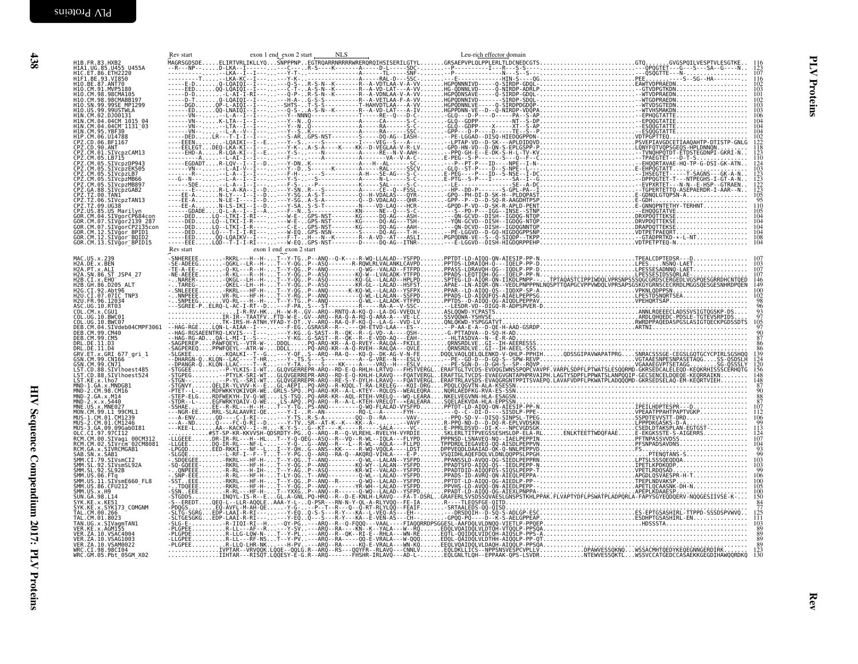<span id="page-27-0"></span>

| H1B.FR.83.HXB2<br>H1A1.UG.85.U455 U455A<br>H1C.ET.86.ETH2220                                                                                                                                     |                      |                         |  |  |  |
|--------------------------------------------------------------------------------------------------------------------------------------------------------------------------------------------------|----------------------|-------------------------|--|--|--|
| HIF1.BE.93.VI850<br>H10.BE.87.ANT70                                                                                                                                                              |                      |                         |  |  |  |
| H10.CM.91.MVP5180<br>H10.CM.98.98CMA105<br>H10.CM.98.98CMABB197<br>H10.SN.99.99SE_MP1299                                                                                                         |                      |                         |  |  |  |
| H10.US.99.99USTWLA                                                                                                                                                                               |                      |                         |  |  |  |
| HIN.CM.02.DJ00131                                                                                                                                                                                |                      |                         |  |  |  |
| HIN. CM. 04. 04CM<br>HIN. CM. 04. 04CM 1015_04<br>HIN. CM. 04. 04CM 1131_03<br>HIP. CM. 06. U14788<br>CPZ. CD. 06. BF1167                                                                        |                      |                         |  |  |  |
|                                                                                                                                                                                                  |                      |                         |  |  |  |
|                                                                                                                                                                                                  |                      |                         |  |  |  |
| CPZ.CD.00.BF116/<br>CPZ.CD.90.ANT<br>CPZ.CM.01.SIVcpzCAM13<br>CPZ.CM.05.LB715<br>CPZ.CM.05.SIVcpzDP943<br>CPZ.CM.05.SIVcpzEK505<br>CPZ.CM.05.SIVcpzEK505                                         |                      |                         |  |  |  |
| CPZ.CM.05.SIVcpzMB66<br>CPZ.CM.05.SIVcpzMB66<br>CPZ.CM.05.SIVcpzMB897                                                                                                                            |                      |                         |  |  |  |
| CPZ.CA.88.SIVCPZGAB2<br>CPZ.GA.88.SIVCPZGAB2<br>CPZ.TZ.00.TAN1<br>CPZ.TZ.00.SIVCPZTAN13<br>CPZ.TZ.09.UG38                                                                                        |                      |                         |  |  |  |
| ČPŽ.US.85.US Marilvn                                                                                                                                                                             |                      |                         |  |  |  |
| GOR.CM.04.SIVgorCP684con<br>GOR.CM.07.SIVgor2139-287<br>GOR.CM.07.SIVgorCP2135con                                                                                                                |                      |                         |  |  |  |
| 60R.CM.12.SIVgor_BPID1<br>GOR.CM.12.SIVgor_BPID1<br>GOR.CM.13.SIVgor_BPID15                                                                                                                      |                      |                         |  |  |  |
|                                                                                                                                                                                                  | $\frac{Rev}{}$ start | exon 1 end exon 2 start |  |  |  |
| MAC.US.x.239<br>H2A.DE.x.BEN                                                                                                                                                                     |                      |                         |  |  |  |
| H2A.PT.x.ALI<br>H2A.SN.86.ST JSP4 27                                                                                                                                                             |                      |                         |  |  |  |
| H2B.CI.x.EHO<br>H2B.CI.x.EHO<br>H2B.GH.86.D205 ALT                                                                                                                                               |                      |                         |  |  |  |
| H2G.CI.92.Abt96<br>H2G.CI.92.Abt96<br>H2U.CI.07.07IC TNP3<br>H2U.FR.96.12034                                                                                                                     |                      |                         |  |  |  |
| ASC.UG.10.RT03<br>COL.CM.x.CGU1<br>COL.UG.10.BWC01<br>COL.UG.10.BWC07                                                                                                                            |                      |                         |  |  |  |
| DEB.CM.04.SIVdeb04CMPF3061                                                                                                                                                                       |                      |                         |  |  |  |
| DEB.CM.99.CM40<br>DEB.CM.99.CM5                                                                                                                                                                  |                      |                         |  |  |  |
| DRL.DE.11.D3<br>DRL.DE.11.D3<br>DRL.DE.11.D4<br>GSN.CM.99.CN166<br>CSN.CM.99.CN166                                                                                                               |                      |                         |  |  |  |
| GSN.CM.99.CN71                                                                                                                                                                                   |                      |                         |  |  |  |
|                                                                                                                                                                                                  |                      |                         |  |  |  |
| USW.CM: 99:CN/I<br>LST.CD.88.SIVlhoest485<br>LST.CD.88.SIVlhoest524<br>LST.CD.88.SIVlhoest524<br>MND-2.CM.98.CM16<br>MND-2.CM.98.CM16<br>MND-2.GA.x.M14                                          |                      |                         |  |  |  |
| MND-2.x.x.5440<br>MND-2.x.x.5440<br>MNE.US.x.MNE027<br>MON.CM.99.Ll_99CML1                                                                                                                       |                      |                         |  |  |  |
|                                                                                                                                                                                                  |                      |                         |  |  |  |
| MUS-3.GA.09.09Gab0I81                                                                                                                                                                            |                      |                         |  |  |  |
| 10C.CI 97.97CI12<br>RCM.CM.00.SIVagi_00CM312<br>RCM.CM.00.SIVagi_00CM312<br>RCM.GA.x.SIVRCMGAB1<br>RCM.GA.x.SIVRCMGAB1                                                                           |                      |                         |  |  |  |
|                                                                                                                                                                                                  |                      |                         |  |  |  |
| RCM. GA : X. SIIVRCMGABI<br>SAB. SN. X. SAB1<br>SMM. CI. 79. SIVSmCI2<br>SMM. SL. 92. SIVSmSL92A<br>SMM. US. 06. FTq<br>SMM. US. 11. SIVSmE660_FL8<br>SMM. US. 36. GFU212<br>SMM. US. 86. GFU212 |                      |                         |  |  |  |
|                                                                                                                                                                                                  |                      |                         |  |  |  |
| SMM.US.x.H9<br>SUN. GA. 98. L14                                                                                                                                                                  |                      |                         |  |  |  |
| SYK.KE.x.KE51<br>SYK.KE.x.SYK173_COMGNM                                                                                                                                                          |                      |                         |  |  |  |
| TAL.CM.00.266<br>TAL.CM.01.8023<br>TAL.CM.01.8023<br>TAN.UG.x.SIVagmTAN1                                                                                                                         |                      |                         |  |  |  |
| VER.KE.x.AGM155<br>VER.ZA.10.VSAC4004<br>VER. ZA. 10. VSAG1003                                                                                                                                   |                      |                         |  |  |  |
| VER.ZA.10.VSAM0022<br>WRC.CI.98.98CI04<br>WRC.CI.98.98CI04<br>WRC.GM.05.Pbt_05GM_X02                                                                                                             |                      |                         |  |  |  |
|                                                                                                                                                                                                  |                      |                         |  |  |  |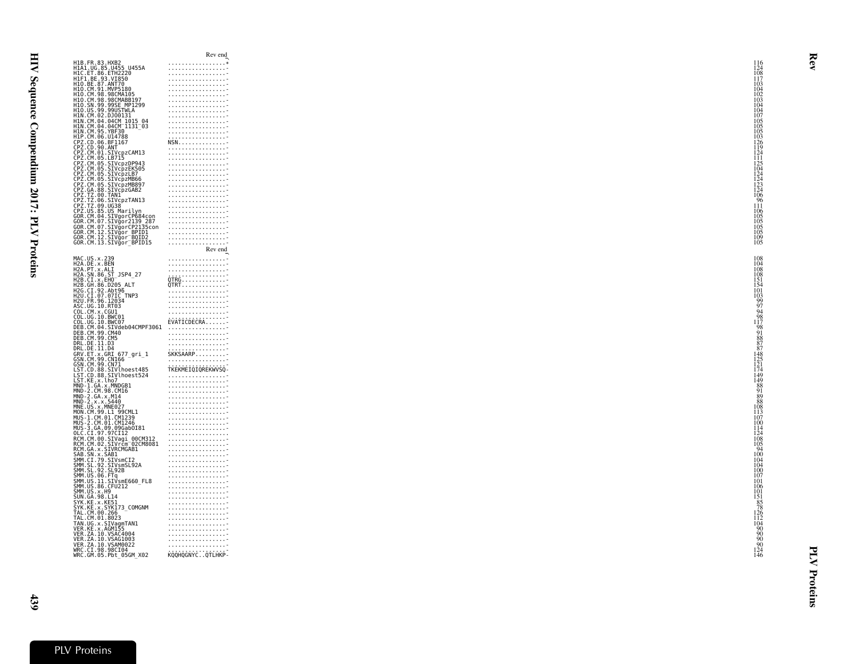|                                                                                                                                      |                                                                                                                                                                                      | Rev end                                                                                                                                   |
|--------------------------------------------------------------------------------------------------------------------------------------|--------------------------------------------------------------------------------------------------------------------------------------------------------------------------------------|-------------------------------------------------------------------------------------------------------------------------------------------|
|                                                                                                                                      | H1B.FR.83.HXB2<br>H1A1.UG.85.U455_U455A                                                                                                                                              | . *                                                                                                                                       |
|                                                                                                                                      |                                                                                                                                                                                      | . <del>.</del><br>. <del>.</del>                                                                                                          |
| HIC.ET.86.ETH2220<br>HIC.ET.86.ETH2220<br>HIF1.BE.93.VI850<br>HIO.CM.91.MVP5180                                                      |                                                                                                                                                                                      | . <del>.</del>                                                                                                                            |
|                                                                                                                                      |                                                                                                                                                                                      | . <del>.</del><br>. <del>.</del>                                                                                                          |
| H10.CM.98.98CMA105                                                                                                                   |                                                                                                                                                                                      | .                                                                                                                                         |
|                                                                                                                                      | H1O.CM.98.98CMABB197<br>H1O.SN.99.99SE_MP1299                                                                                                                                        | . <del>.</del>                                                                                                                            |
|                                                                                                                                      |                                                                                                                                                                                      |                                                                                                                                           |
| H10.US.99.99USTWLA<br>H1N.CM.02.DJ00131                                                                                              |                                                                                                                                                                                      |                                                                                                                                           |
|                                                                                                                                      | HIN.CM.02.DJ00131<br>HIN.CM.04.04CM_1015_04<br>HIN.CM.04.04CM_1131_03<br>HIP.CM.06.014788<br>CPZ.CD.06.BF1167<br>CPZ.CD.00.ANT<br>CPZ.CD.00.ANT<br>CPZ.CD.00.ANT                     | . <del>.</del>                                                                                                                            |
|                                                                                                                                      |                                                                                                                                                                                      | . <del>.</del>                                                                                                                            |
|                                                                                                                                      |                                                                                                                                                                                      | . <del>.</del>                                                                                                                            |
|                                                                                                                                      |                                                                                                                                                                                      |                                                                                                                                           |
|                                                                                                                                      |                                                                                                                                                                                      |                                                                                                                                           |
|                                                                                                                                      |                                                                                                                                                                                      | .                                                                                                                                         |
|                                                                                                                                      | CPZ.CM.05.LB715<br>CPZ.CM.05.SIVcpzDP943                                                                                                                                             |                                                                                                                                           |
|                                                                                                                                      |                                                                                                                                                                                      |                                                                                                                                           |
|                                                                                                                                      | CPZ.CM.05.SIVCPZEK505<br>CPZ.CM.05.SIVCPZEK505<br>CPZ.CM.05.SIVCPZMB66<br>CPZ.CM.05.SIVCPZMB897<br>CPZ.CM.05.SIVCPZMB897                                                             | . <del>.</del>                                                                                                                            |
|                                                                                                                                      |                                                                                                                                                                                      | .<br>. <del>.</del>                                                                                                                       |
|                                                                                                                                      |                                                                                                                                                                                      |                                                                                                                                           |
|                                                                                                                                      | CPZ.GA.88.SIVcpzGAB2<br>CPZ.TZ.00.TAN1                                                                                                                                               | . <del>.</del>                                                                                                                            |
|                                                                                                                                      |                                                                                                                                                                                      | . <del>.</del>                                                                                                                            |
|                                                                                                                                      |                                                                                                                                                                                      | . <del>.</del>                                                                                                                            |
|                                                                                                                                      |                                                                                                                                                                                      |                                                                                                                                           |
|                                                                                                                                      |                                                                                                                                                                                      |                                                                                                                                           |
|                                                                                                                                      |                                                                                                                                                                                      |                                                                                                                                           |
|                                                                                                                                      |                                                                                                                                                                                      | . <del>.</del>                                                                                                                            |
|                                                                                                                                      |                                                                                                                                                                                      | . <del>.</del><br>. <del>.</del>                                                                                                          |
|                                                                                                                                      |                                                                                                                                                                                      | Rev end                                                                                                                                   |
|                                                                                                                                      |                                                                                                                                                                                      |                                                                                                                                           |
| MAC.US.x.239<br>H2A.DE.x.BEN                                                                                                         |                                                                                                                                                                                      | .<br>.                                                                                                                                    |
| H2A.PT.x.ALI                                                                                                                         |                                                                                                                                                                                      | $\overbrace{ \begin{array}{c} \texttt{OTRG} \\ \texttt{QTRT} \end{array}}^{ \begin{array}{c} \texttt{OTRG} \\ \texttt{QTRT} \end{array}}$ |
|                                                                                                                                      | H2A.SN.86.ST_JSP4 27                                                                                                                                                                 |                                                                                                                                           |
| H2B.CI.x.60.31<br>H2B.CI.x.EHO<br>H2B.CH.86.D205 ALT<br>H2B.CI.92.Abt96<br>H2U.CI.97.07IC_TNP3<br>H2U.CI.96.12034<br>ASC.HR.96.12034 |                                                                                                                                                                                      |                                                                                                                                           |
|                                                                                                                                      |                                                                                                                                                                                      |                                                                                                                                           |
|                                                                                                                                      |                                                                                                                                                                                      | . <del>.</del>                                                                                                                            |
|                                                                                                                                      |                                                                                                                                                                                      | . <del>.</del>                                                                                                                            |
| ASC.UG.10.RT03<br>COL.CM.x.CGU1                                                                                                      |                                                                                                                                                                                      |                                                                                                                                           |
|                                                                                                                                      |                                                                                                                                                                                      |                                                                                                                                           |
| ČOL.UG.10.BWC01<br>COL.UG.10.BWC07                                                                                                   |                                                                                                                                                                                      |                                                                                                                                           |
|                                                                                                                                      |                                                                                                                                                                                      | .                                                                                                                                         |
|                                                                                                                                      |                                                                                                                                                                                      | .                                                                                                                                         |
|                                                                                                                                      |                                                                                                                                                                                      | .                                                                                                                                         |
|                                                                                                                                      |                                                                                                                                                                                      | . <del>.</del>                                                                                                                            |
|                                                                                                                                      | UUL.UU.10.BWC0/<br>DEB.CM.04.SIVdeb04CMPF3061<br>DEB.CM.99.CM40<br>DEB.CM.99.CM5<br>DRL.DE.11.D3<br>GRV.ET.x.GRI 677_gri_1<br>GRV.ET.x.GRI 677_gri_1<br>CSN.CM.90.CN167              | SKKSAARP                                                                                                                                  |
|                                                                                                                                      |                                                                                                                                                                                      | . <del>.</del>                                                                                                                            |
|                                                                                                                                      | GSN.CM.99.CN71<br>LST.CD.88.SIVlhoest485                                                                                                                                             | TKEKMEIQIQREKWVSQ-                                                                                                                        |
|                                                                                                                                      |                                                                                                                                                                                      | . <del>.</del>                                                                                                                            |
|                                                                                                                                      | LST.CD.88.SIVlhoest524<br>LST.KE.x.lho7                                                                                                                                              |                                                                                                                                           |
| L31.KL.A.WWDGB1<br>MND-2.CM.98.CM16<br>MND-2.GA.x.M14<br>MND-2.GA.x.M14                                                              |                                                                                                                                                                                      |                                                                                                                                           |
|                                                                                                                                      |                                                                                                                                                                                      | . <del>.</del>                                                                                                                            |
|                                                                                                                                      |                                                                                                                                                                                      | . <del>.</del><br>. <del>.</del>                                                                                                          |
|                                                                                                                                      |                                                                                                                                                                                      |                                                                                                                                           |
| MND-2.xx.x.5440<br>MND-2.x.x.5440<br>MNE.US.x.MNE027<br>MON.CM.99.L1 99CML1<br>MUS-1.CM.01.CM1239                                    |                                                                                                                                                                                      |                                                                                                                                           |
|                                                                                                                                      |                                                                                                                                                                                      |                                                                                                                                           |
| MUS-2.CM.01.CM1246                                                                                                                   | MUS-3.GA.09.09Gab0I81                                                                                                                                                                |                                                                                                                                           |
|                                                                                                                                      |                                                                                                                                                                                      | .                                                                                                                                         |
|                                                                                                                                      | .0LC.CI.97.97CI12<br>RCM.CM.00.SIVagi_00CM312<br>RCM.CM.02.SIVrcm_02CM8081                                                                                                           | . <del>.</del>                                                                                                                            |
|                                                                                                                                      |                                                                                                                                                                                      | .                                                                                                                                         |
|                                                                                                                                      | RCM.CM:NOZ.SIVPCM6221<br>RCM.GA.x.SIVRCMGAB1<br>SMM.CI.79.SIVRCMGAB1<br>SMM.CI.79.SIVSmC12<br>SMM.SL.92.SIVSmC12<br>SMM.US.06.FTq<br>SMM.US.06.FTq<br>SMM.US.06.FTq<br>SMM.US.06.FTq | . <del>.</del>                                                                                                                            |
|                                                                                                                                      |                                                                                                                                                                                      | . <del>.</del>                                                                                                                            |
|                                                                                                                                      |                                                                                                                                                                                      | . <del>.</del>                                                                                                                            |
|                                                                                                                                      |                                                                                                                                                                                      |                                                                                                                                           |
|                                                                                                                                      |                                                                                                                                                                                      | .                                                                                                                                         |
| SMM.US.86.CFU212                                                                                                                     |                                                                                                                                                                                      | . <del>.</del>                                                                                                                            |
| SMM.US.x.H9                                                                                                                          |                                                                                                                                                                                      | . <del>.</del>                                                                                                                            |
| SUN.GA.98.L14                                                                                                                        |                                                                                                                                                                                      |                                                                                                                                           |
|                                                                                                                                      |                                                                                                                                                                                      | . <del>.</del>                                                                                                                            |
|                                                                                                                                      |                                                                                                                                                                                      |                                                                                                                                           |
|                                                                                                                                      |                                                                                                                                                                                      | . <del>.</del>                                                                                                                            |
|                                                                                                                                      |                                                                                                                                                                                      |                                                                                                                                           |
|                                                                                                                                      |                                                                                                                                                                                      |                                                                                                                                           |
|                                                                                                                                      | SYN. KE. 3CET<br>SYK. KE. x. SYK173_COMGNM<br>TAL. CM. 00. 266<br>TAL. CM. 01. 8023<br>TAN. UG. x. SIVagmTAN1<br>TAN. UG. x. SIVagmTAN1                                              |                                                                                                                                           |
|                                                                                                                                      |                                                                                                                                                                                      | .                                                                                                                                         |
|                                                                                                                                      |                                                                                                                                                                                      | . <del>.</del>                                                                                                                            |
|                                                                                                                                      |                                                                                                                                                                                      | . <del>.</del>                                                                                                                            |
| VER.KE.x.AGM155<br>VER.ZA.10.VSAC4004<br>VER.ZA.10.VSAG1003                                                                          | VER.ZA.10.VSAM0022<br>WRC.CI.98.98CI04<br>WRC.CI.98.98CI04<br>WRC.GM.05.Pbt_05GM_X02                                                                                                 | KQQHQGNYC. QTLHKP-                                                                                                                        |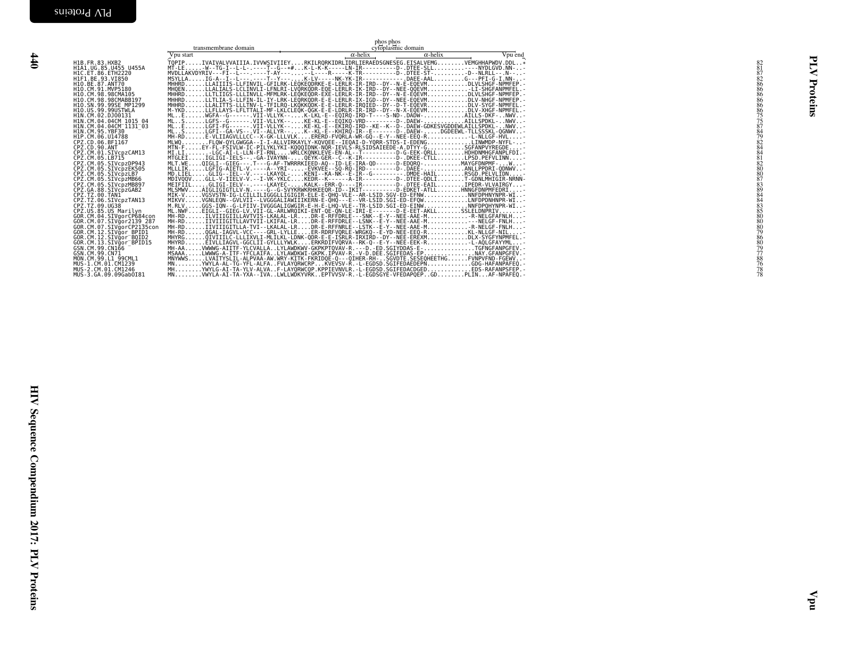<span id="page-29-0"></span>

| H1B.FR.83.HXB2<br>HIA1.UG.85.U455 U455A<br>H1C.ET.86.ETH2220<br>H1F1.BE.93.VI850<br>H10.BE.87.ANT70<br>H10.CM.91.MVP5180                                                                                                                                    |  |  |
|-------------------------------------------------------------------------------------------------------------------------------------------------------------------------------------------------------------------------------------------------------------|--|--|
| HIO.CM.98.98CMAIO5<br>H1O.CM.98.98CMABB197<br>H1O.SN.99.99SE MP1299<br>H10.US.99.99USTWLA<br>H1N.CM.02.DJ00131<br>HIN.CM.04.04CM_1015_04<br>HIN.CM.04.04CM_1131_03<br>HIN.CM.95.YBF30                                                                       |  |  |
| H1P.CM.06.U14788<br>CPZ.CD.06.BF1167<br>CPZ.CD.90.ANT<br>CPZ.CM.01.SIVcpzCAM13<br>CPZ.CM.05.LB715<br>CPZ.CM.05.SIVcpzDP943<br>CPZ.CM.05.SIVCpzEK505                                                                                                         |  |  |
| CPZ.CM.05.SIVcpzLB7<br>CPZ.CM.05.SIVCpzMB66<br>CPZ.CM.05.SIVCpzMB897<br>CPZ.GA.88.SIVCpzGAB2<br>CPZ.TZ.00.TAN1<br>ČPZ.TZ.06.SIVcpzTAN13<br>CPZ.TZ.09.UG38                                                                                                   |  |  |
| CPZ.US.85.US Marilyn<br>60R.CM.04.SIVgorCP684con<br>GOR.CM.07.SIVgorCP684con<br>GOR.CM.07.SIVgorCP2139_287<br>GOR.CM.07.SIVgorCP2135con<br>GOR.CM.12.SIVgor_BPID1<br>GOR.CM.12.SIVgor_BQID2<br>GÖR.CM.13.SİVğor_BPİDI5<br>GSN.CM.99.CN166<br>GSN.CM.99.CN71 |  |  |
| MON.CM.99.L1 99CML1<br>MUS-1.CM.01.CM1239<br>MUS-2.CM.01.CM1246<br>MUS-3.GA.09.09Gab0I81                                                                                                                                                                    |  |  |

|                                                                                                                                                                                                                                                                                                                                                                                                                                                                                                                                                                                                      | transmembrane domain | phos phos<br>cytoplasmic domain    |         |  |          |
|------------------------------------------------------------------------------------------------------------------------------------------------------------------------------------------------------------------------------------------------------------------------------------------------------------------------------------------------------------------------------------------------------------------------------------------------------------------------------------------------------------------------------------------------------------------------------------------------------|----------------------|------------------------------------|---------|--|----------|
| Vpu start<br>H1B.FR.83.HXB2<br>H1A1.UG.85.U455_U455A<br>H1C.ET.86.ETH2220<br>HIL: ET. 86. ETHZZZ9<br>HIE1. BE. 93. VIBS0<br>HIO. BE. 87. ANT70<br>HIO. CM. 91. AWP5180<br>HIO. CM. 98. 98CMABB197<br>HIO. SN. 99. 99SE_MP1299<br>HIO. SN. 99. 99SE_MP1299<br>HIO. SN. 99. 9905TWLA<br>HIO. IN. 92. 01081314<br>H10. SN, 99. 9955 MM<br>H10. US. 99. 99051WLA<br>H1N. CM. 04. 0406131<br>H1N. CM. 04. 0406131<br>H1N. CM. 04. 040611131-03<br>H1N. CM. 95. YBF30<br>H1N. CM. 95. YBF30<br>H1N. CM. 95. YBF30<br>CPZ. CM. 06. 511167<br>CPZ. CM. 06. 511167<br>CPZ. CM. 06. 5<br>MUS-3.GA.09.09Gab0I81 |                      | $\alpha$ -helix<br>$\alpha$ -helix | Vpu end |  | Proteins |
|                                                                                                                                                                                                                                                                                                                                                                                                                                                                                                                                                                                                      |                      |                                    |         |  |          |
|                                                                                                                                                                                                                                                                                                                                                                                                                                                                                                                                                                                                      |                      |                                    |         |  |          |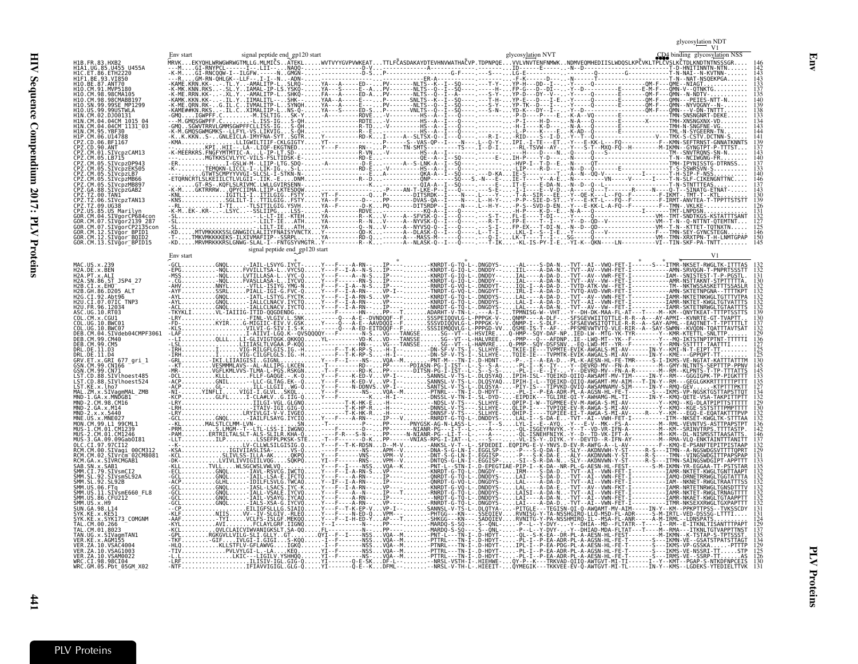HIV Sequence Compendium 2017: PLV Proteins  $HIN$  Sequence Compendium 2017: PLV  $PIN$  Proteins  $441$ 

|                                                         |           |                                |                                       |                                                                                                                                   |                                                               | glycosy <u>lati</u> on ND'<br>V1                                 |
|---------------------------------------------------------|-----------|--------------------------------|---------------------------------------|-----------------------------------------------------------------------------------------------------------------------------------|---------------------------------------------------------------|------------------------------------------------------------------|
|                                                         |           | signal peptide end gp120 start |                                       |                                                                                                                                   | glycosylation NVT                                             | CD4 binding glycosylation NSS                                    |
| H1B.FR.83.HXB2                                          |           |                                |                                       |                                                                                                                                   |                                                               |                                                                  |
| H1A1.UG.85.U455 U455A                                   |           |                                |                                       |                                                                                                                                   |                                                               |                                                                  |
| 93.VI850                                                |           |                                |                                       |                                                                                                                                   |                                                               |                                                                  |
| H10.BE.87.ANT70                                         |           |                                |                                       |                                                                                                                                   |                                                               |                                                                  |
|                                                         |           |                                |                                       |                                                                                                                                   |                                                               |                                                                  |
|                                                         |           |                                |                                       |                                                                                                                                   |                                                               |                                                                  |
|                                                         |           |                                |                                       |                                                                                                                                   |                                                               |                                                                  |
|                                                         |           |                                |                                       |                                                                                                                                   |                                                               |                                                                  |
|                                                         |           |                                |                                       |                                                                                                                                   |                                                               |                                                                  |
|                                                         |           |                                |                                       |                                                                                                                                   |                                                               |                                                                  |
| SIVcpzCAM13                                             |           |                                |                                       |                                                                                                                                   |                                                               |                                                                  |
|                                                         |           |                                |                                       |                                                                                                                                   |                                                               |                                                                  |
| TVcnzEK505                                              |           |                                |                                       |                                                                                                                                   |                                                               |                                                                  |
|                                                         |           |                                |                                       |                                                                                                                                   |                                                               |                                                                  |
| Z.CM.05.SIVcpzMB66<br>SIVcpzMB897                       |           |                                |                                       |                                                                                                                                   |                                                               |                                                                  |
| Z.GA.88.SIVcpzGAB2                                      |           |                                |                                       |                                                                                                                                   |                                                               |                                                                  |
| SIVCpzTAN13                                             |           |                                |                                       |                                                                                                                                   |                                                               |                                                                  |
| 85.US Marilvn                                           |           |                                |                                       |                                                                                                                                   |                                                               |                                                                  |
| SIVaorCP684cor                                          |           |                                |                                       |                                                                                                                                   |                                                               |                                                                  |
| SIVgor2139 287<br>SIVgorCP2135con<br>CM.12.SIVğor BPID1 |           |                                |                                       |                                                                                                                                   |                                                               |                                                                  |
| CM.12.SIVgor_BQID2                                      |           |                                |                                       |                                                                                                                                   |                                                               |                                                                  |
| GOR.CM.13.SIVgor BPID15                                 |           | signal peptide end gp120 start |                                       |                                                                                                                                   |                                                               |                                                                  |
|                                                         | Env start |                                |                                       |                                                                                                                                   |                                                               |                                                                  |
| H2A.DE.x.BEN                                            |           |                                |                                       |                                                                                                                                   |                                                               |                                                                  |
| 2A. PT. x. ALI<br>2A.SN.86.ST JSP4 27                   |           |                                |                                       |                                                                                                                                   |                                                               |                                                                  |
|                                                         |           |                                |                                       |                                                                                                                                   |                                                               |                                                                  |
|                                                         |           |                                |                                       |                                                                                                                                   |                                                               |                                                                  |
| U.FR.96.12034                                           |           |                                |                                       |                                                                                                                                   |                                                               |                                                                  |
| CM. x. CGU1                                             |           |                                |                                       |                                                                                                                                   |                                                               |                                                                  |
|                                                         |           |                                |                                       |                                                                                                                                   |                                                               |                                                                  |
| SIVdeb04CMPF3061                                        |           |                                |                                       |                                                                                                                                   |                                                               |                                                                  |
| DER CM 99 CM40<br>CM 99 CM5                             |           |                                |                                       |                                                                                                                                   |                                                               |                                                                  |
| .DE.11.D3                                               |           |                                |                                       |                                                                                                                                   |                                                               |                                                                  |
| RV.ET.x.GRI 677 gri 1                                   |           |                                |                                       |                                                                                                                                   |                                                               |                                                                  |
| N.CM.99.CN166<br>SN.CM.99.CN71                          |           |                                |                                       |                                                                                                                                   |                                                               |                                                                  |
| SIVlhoest485                                            |           |                                |                                       |                                                                                                                                   |                                                               |                                                                  |
| ST.CD.88.SIVlhoest524                                   |           |                                |                                       |                                                                                                                                   |                                                               |                                                                  |
|                                                         |           |                                |                                       |                                                                                                                                   |                                                               |                                                                  |
| MND-2.CM.98.CM16<br>2.GA.x.M14                          |           |                                |                                       |                                                                                                                                   |                                                               |                                                                  |
| 2. x. x. 5440                                           |           |                                |                                       |                                                                                                                                   |                                                               |                                                                  |
| $US \times MNE027$                                      |           |                                |                                       |                                                                                                                                   |                                                               |                                                                  |
|                                                         |           |                                |                                       |                                                                                                                                   |                                                               |                                                                  |
| 09.09Gab0I81<br>CT 97 97CT12                            |           |                                |                                       |                                                                                                                                   |                                                               |                                                                  |
| CM.00.SIVagi 00CM312                                    |           |                                |                                       |                                                                                                                                   |                                                               |                                                                  |
| SIVrčm <sup>-</sup> 02CM8081                            |           |                                |                                       |                                                                                                                                   |                                                               |                                                                  |
|                                                         |           |                                |                                       |                                                                                                                                   |                                                               |                                                                  |
| SIVsmSL92A<br>92.SL92B                                  |           |                                |                                       |                                                                                                                                   |                                                               |                                                                  |
|                                                         |           |                                |                                       |                                                                                                                                   |                                                               |                                                                  |
| 11.SIVsmE660 FL8<br>86.CFU212                           |           |                                |                                       |                                                                                                                                   |                                                               |                                                                  |
| IUN GA 98 L14                                           |           |                                |                                       |                                                                                                                                   |                                                               |                                                                  |
|                                                         |           |                                |                                       |                                                                                                                                   |                                                               |                                                                  |
| SYK173 COMGNM                                           |           |                                |                                       |                                                                                                                                   |                                                               |                                                                  |
|                                                         |           |                                |                                       |                                                                                                                                   |                                                               |                                                                  |
|                                                         |           |                                |                                       |                                                                                                                                   |                                                               |                                                                  |
|                                                         |           |                                | -------NSSVQA--M                      | PTTRL---TN-I-.D-HDYT-                                                                                                             |                                                               |                                                                  |
| ZA.10.VSAM0022<br>CI.98.98CI04                          |           |                                | $YI - F - - - - - - NS -  VQA - - M $ | - PTTRL - - - TN - I - . D - HDYT -<br>YI-------0-E-SKDF-L---NRSL-VSTH-I-.HIEHWE-.<br>YI-------Q-E--KDFML---NRSL-V-TH-L-.HIEEIT-. | PL-I--P-EA-ADR-PL-A-AESN-HL-FE-T-------S---IRMS-VE--SSRP-TTAS | -K---TRKVAD-QIIQ-AWTGVT-MI-TI------I--Y--KMT--PGAP-S-NTKDFNPCEIS |
| WRC.GM.05.Pbt 05GM X02                                  |           |                                |                                       |                                                                                                                                   |                                                               |                                                                  |

**PLV** Proteins PLV Proteins

<span id="page-30-0"></span> $\sharp$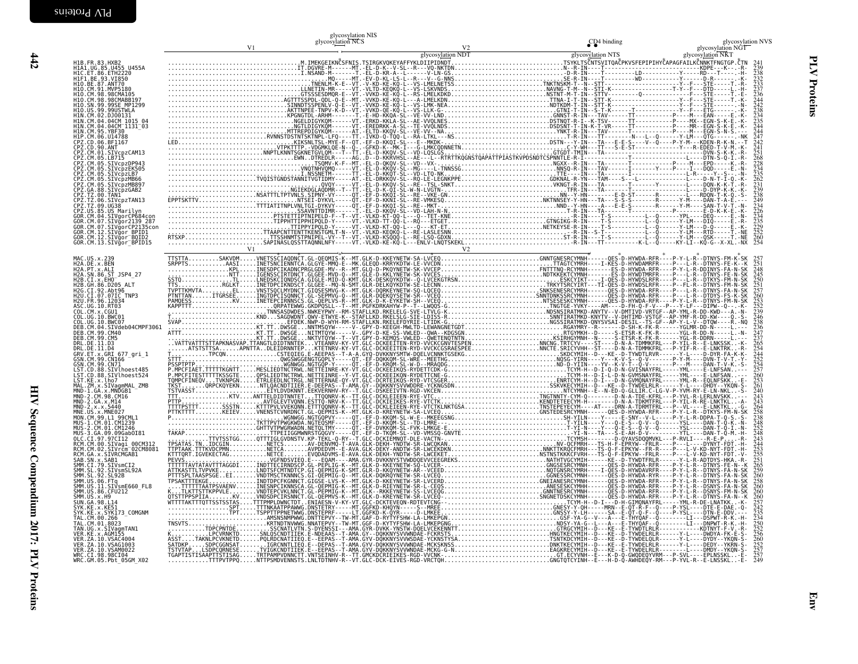|                                                                                                                                                                                                                                                              |  | glycosylation NIS<br>glycosylation NCS |  |  |
|--------------------------------------------------------------------------------------------------------------------------------------------------------------------------------------------------------------------------------------------------------------|--|----------------------------------------|--|--|
|                                                                                                                                                                                                                                                              |  |                                        |  |  |
| H1B.FR.83.HXB2<br>H1A1.UG.85.U455 U455A<br>H1C.ET.86.ETH2220                                                                                                                                                                                                 |  |                                        |  |  |
| H1F1.BE.93.VI850                                                                                                                                                                                                                                             |  |                                        |  |  |
| H10.BE.87.ANT70<br>H10.CM.91.MVP5180<br>H10.CM.98.98CMA105                                                                                                                                                                                                   |  |                                        |  |  |
| H1N.CM.98.98CMARR19<br>H10.SN.99.99SE MP1299<br>H10.US.99.99USTWLA                                                                                                                                                                                           |  |                                        |  |  |
| H1N.CM.02.DJ00131<br>HIN.CM.04.04CM 1015                                                                                                                                                                                                                     |  |                                        |  |  |
| HIN.CM.04.04CM II3I 03<br>HIN.CM.95.YBF30<br>H1P.CM.06.U14788                                                                                                                                                                                                |  |                                        |  |  |
|                                                                                                                                                                                                                                                              |  |                                        |  |  |
| PZ.CM.05.LB715<br>2Z.CM.05.SIVCPzDP943                                                                                                                                                                                                                       |  |                                        |  |  |
| SIVcpzEK505<br>PZ.CM.05.SIVcpzLB7                                                                                                                                                                                                                            |  |                                        |  |  |
|                                                                                                                                                                                                                                                              |  |                                        |  |  |
| CP2.CM.05.SIVCP2LB66<br>CP2.CM.05.SIVCP2MB897<br>CP2.CM.08.SIVCP2MB897<br>CP2.T2.00.TAN1<br>CP2.TZ.00.SIVCP2TAN13<br>CP2.TZ.09.UG38<br>CP2.TZ.09.UG38<br>CP2.US.85.USTMarrIVE04.                                                                             |  |                                        |  |  |
| .va.uvao<br>.85.US Marilyn<br>.04.SIVgorCP684con                                                                                                                                                                                                             |  |                                        |  |  |
| OR.CM.07.SIVgor2139 287<br>GOR.CM.07.SIVgorCP2135con<br>GOR.CM.12.SIVgor BPID1                                                                                                                                                                               |  |                                        |  |  |
| GOR.CM.12.SIVgor=BOID2<br>GOR.CM.12.SIVgor=BOID2<br>GOR.CM.13.SIVgor_BPID15                                                                                                                                                                                  |  |                                        |  |  |
|                                                                                                                                                                                                                                                              |  |                                        |  |  |
| H2A.DE.x.BEN<br>H2A.DE.x.BEN<br>H2A.PT.x.ALI<br>H2A.SN.86.ST_JSP4_27                                                                                                                                                                                         |  |                                        |  |  |
| H2B.CI.x.EHO<br>H2B.GH.86.D205 ALT                                                                                                                                                                                                                           |  |                                        |  |  |
| H2G.CI.92.Abt96<br>H2U.CI.07.07IC TNP3                                                                                                                                                                                                                       |  |                                        |  |  |
| ASC.UG.10.RT03                                                                                                                                                                                                                                               |  |                                        |  |  |
| COL.UG.10.BWC01<br>10.BWC07<br>DEB.CM.04.SIVdeb04CMPF3061                                                                                                                                                                                                    |  |                                        |  |  |
| DEB.CM.99.CM40<br>DEB.CM.99.CM5                                                                                                                                                                                                                              |  |                                        |  |  |
| DRL.DE.11.D3<br>DRL.DE.11.D4<br>DRL.DE.11.D4<br>GSN.CM.99.CN166<br>GSN.CM.99.CN166<br>CSN.CM.99.CN71                                                                                                                                                         |  |                                        |  |  |
|                                                                                                                                                                                                                                                              |  |                                        |  |  |
| usw.cm.ss.crvihoest485<br>LST.CD.88.SIVlhoest524<br>LST.CD.88.SIVlhoest524<br>LST.KE.x.lho7<br>LST.KE.x.lho7<br>MAL.ZM.x.SIVaqmMAL ZME                                                                                                                       |  |                                        |  |  |
| MND-1.GA.x.MNDGB1<br>MND-2.CM.98.CM16                                                                                                                                                                                                                        |  |                                        |  |  |
| MND-2.GA.x.M14<br>MND-2.GA.x.M14                                                                                                                                                                                                                             |  |                                        |  |  |
| MUS-1.CM.01.CM1239                                                                                                                                                                                                                                           |  |                                        |  |  |
| MUS-2.CM.01.CM1246<br>MUS-3.GA.09.09Gab0I81<br>OLC.CI.97.97CI12                                                                                                                                                                                              |  |                                        |  |  |
| RCM.CM.00.SIVaqi 00CM312<br>RCM.CM.02.SIVrcm <sup>-</sup> 02CM8081                                                                                                                                                                                           |  |                                        |  |  |
|                                                                                                                                                                                                                                                              |  |                                        |  |  |
|                                                                                                                                                                                                                                                              |  |                                        |  |  |
| RCM. CM. 82, SIVFCM<br>RCM. CM. 2. SIVFCMGAB1<br>SMM. CI. 79, SIVFCMGAB1<br>SMM. CI. 79, SIVSMGT2<br>SMM. CI. 79, SIVSMGT2<br>SMM. US. 92, SIVSMGT2<br>SMM. US. 10, ST07<br>SMM. US. 10, ST07<br>SMM. US. 10, ST07<br>SMM. US. 10, ST07<br>SMM. US. 10, ST07 |  |                                        |  |  |
| SUN.GA.98.L14<br>SYK.KE.x.KE51                                                                                                                                                                                                                               |  |                                        |  |  |
| SYK.KE.x.SYK173 COMGNM<br>TAL.CM.00.266<br>TAL.CM.01.8023                                                                                                                                                                                                    |  |                                        |  |  |
| TAN.UG.x.SIVagmTAN1<br>VER.KE.x.AGM155                                                                                                                                                                                                                       |  |                                        |  |  |
| VER. ZA. 10. VSAC4004<br>VER.ZA.10.VSAG1003<br>VER. ZA. 10. VSAM0022                                                                                                                                                                                         |  |                                        |  |  |
| wRC.CI.98.98CI04<br>WRC.CI.98.98CI04<br>WRC.GM.05.Pbt_05GM_X02                                                                                                                                                                                               |  |                                        |  |  |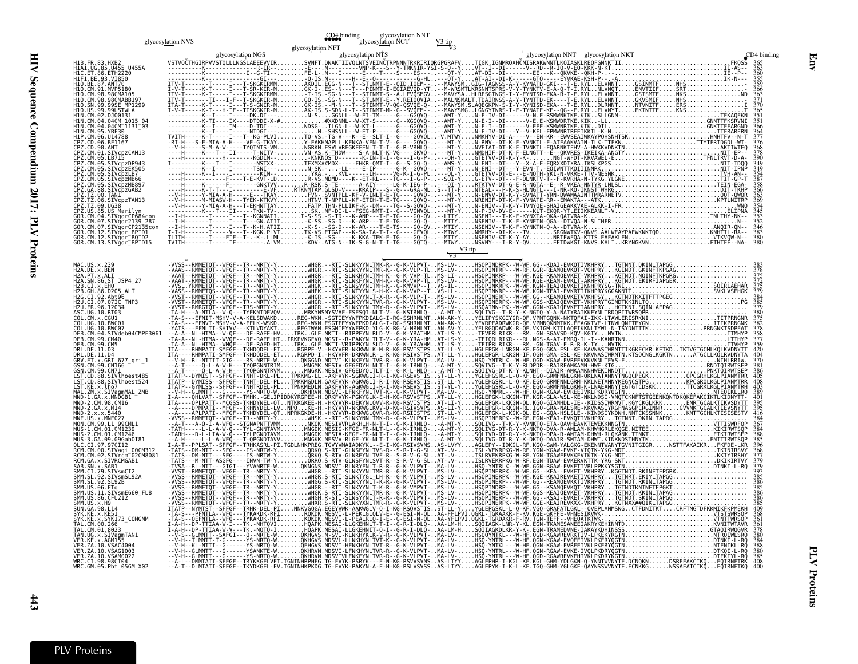|                                                                                                                                                                                                                                                                                                                                                                                                                                                                                                                                                                                                                                                                                                                                                                                                                                                                                                                                                                                                                                                                                                                                                                                                                | glycosylation NVS | <b>CD4</b> binding | g<br>glycosy <u>lati</u> on NCT<br>glycosy <u>lati</u> on NCT |        |  |                           |
|----------------------------------------------------------------------------------------------------------------------------------------------------------------------------------------------------------------------------------------------------------------------------------------------------------------------------------------------------------------------------------------------------------------------------------------------------------------------------------------------------------------------------------------------------------------------------------------------------------------------------------------------------------------------------------------------------------------------------------------------------------------------------------------------------------------------------------------------------------------------------------------------------------------------------------------------------------------------------------------------------------------------------------------------------------------------------------------------------------------------------------------------------------------------------------------------------------------|-------------------|--------------------|---------------------------------------------------------------|--------|--|---------------------------|
| H1B.FR.83.HXB2<br>H1A1.UG.85.U455 U455A<br>H1C.ET.86.ETH2220<br>H1F1.BE.93.VI850<br>H1O.BE.87.ANT70<br>H1Q.CM.91.MVP5180<br>H10.CM.98.98CMA105<br>H10.CM.98.98CMABB197<br>H10.SN.99.99SE MP1299<br>H10.US.99.99USTWLA<br>H1N.CM.02.DJ00131<br>H1N.CM.04.04CM 1015 04<br>H1N. CM. 04. 04CM<br>H1N. CM. 04. 04CM<br>H1N. CM. 95. YBF30<br>H1P. CM. 06. U147888<br>CPZ. CD. 06. BF1167<br>CPZ. CD. 90. ANT<br>CPZ.CM.01.SIVcpzCAM13<br>CPZ.CM.05.LB715<br>SIVcpzDP943<br>SIVcpzEK505<br>SIVcpzLB7<br>SIVcpzMB66<br>CPZ.CM.05<br>SIVcpzMB897<br>CPZ.GA.88.SIVcpzGAB2<br>CP2.T2.00.TAN1<br>CP2.TZ.00.SIVcpzTAN13<br>CP2.TZ.09.UG38<br>CP2.US.85.US Marilyn<br>COR.CM.04.SIVgorCP684con<br>GOR.CM.04.SIVgorCP684con<br>GOR.CM.07.SIVăor2139 287<br>GOR.CM.07.SIVgorCP2135con<br>GOR.CM.12.SIVgor_BPID1<br>GOR.CM.12.SIVgor_BPID1<br>GOR.CM.12.SIVgor_BQID2<br>GOR.CM.13.SIVgor_BPID15                                                                                                                                                                                                                                                                                                                                |                   | glycosylation NFT  |                                                               | V3 tip |  | CD4 binding<br>383<br>380 |
| MAC.US.x.239<br>HAL. 05. x. 25<br>H2A. DE. x. ALI<br>H2A. SN. 86. ST_JSP4_27<br>H2B. CI. x. EH0_______<br>H2B.GH.86.D205 ALT<br>H2G.CI.92.Abt96<br>H2U.CI.07.07IC_TNP3<br>H2U.FR.96.12034<br>ASC.UG.10.RT03<br>COL.CM.x.CGU1<br>COL.UG.10.BWC01<br>COL.UG.10.BWC07<br>DEB.CM.04.SIVdeb04CMPF3061<br>DEB. CM. 99. CM40<br>DEB.CM.99.CM49<br>DRL.DE.11.D3<br>DRL.DE.11.D3<br>GRV.ET.x.GRI 677_gri_1<br>GSN.CM.99.CN166<br>CSN.CM.99.CN166<br>GSN.CM.99.CN71<br>GSN.CM: 99.CM/1<br>LST.CD.88.SIVlhoest485<br>LST.CD.88.SIVlhoest524<br>LST.KE.x.lho7<br>MND-1.GA.x.SIVangmMAL_ZMB<br>MND-1.GA.x.MNDGB1<br>MND-2.GA.x.AMDGB1<br>MND-2.GA.x.AMQGB1<br>MND-2.GA.x.AG440<br>MND-2.GA.x.AG440<br>MND-2.GA.x.AG4407<br>MNE. US. x. MNE027<br>MON.CM.99.L1 99CML1<br>MUS-1.CM.01.CM1239<br>MUS: 1.7 (2018)<br>MUS: 2.0 (1.8 (2018)<br>MUS: 2.0 (1.9 (2018)<br>MUS: 2.0 (1.9 (2018)<br>MUS: 2.0 (1.9 (2018)<br>REM. CM. 2.0 (2018)<br>REM. CM. 2.0 (2018)<br>REM. CM. 2.0 (2018)<br>SAB: SN. x. SAB1<br>SMN. CM. 2.0 (2018)<br>SAB: SN. x. SAB<br>CM.01.8023<br>TAN.UG.x.SIVagmTAN1<br>VER.KE.x.AGM155<br>VER. ZA. 10. VSAC4004<br>VER.ZA.10.VSAG1003<br>VER.ZA.10.VSAM0022<br>WRC.CI.98.98CI04<br>WRC.GM.05.Pbt_05GM_X02 |                   |                    |                                                               |        |  | 370<br>381<br>368         |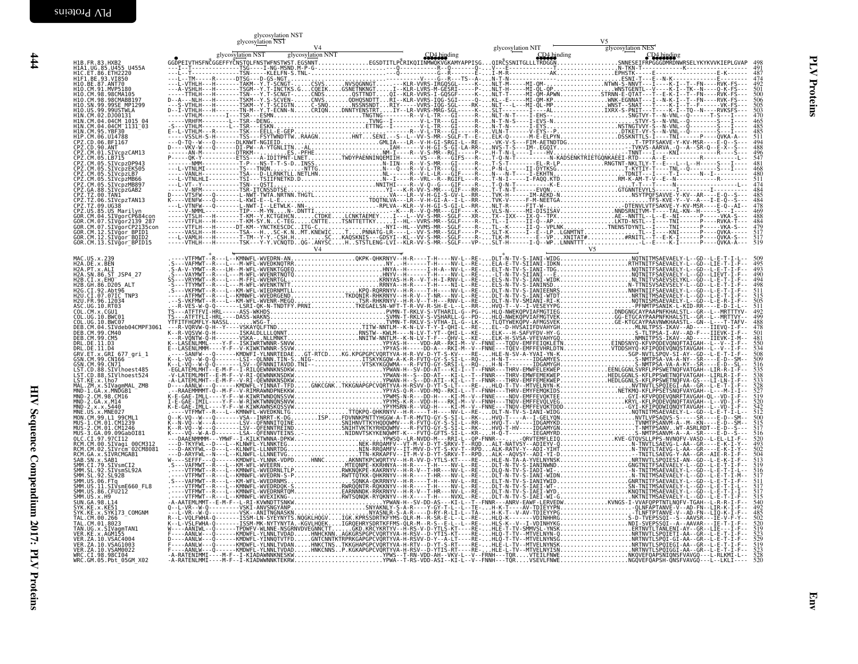$\frac{444}{4}$ 

|                                                                                                                                                                                                                               | glycosylation NST<br>glycosylation NST |  |  |
|-------------------------------------------------------------------------------------------------------------------------------------------------------------------------------------------------------------------------------|----------------------------------------|--|--|
|                                                                                                                                                                                                                               |                                        |  |  |
| H1B. FR. 83. HXB2<br>H1A1.UG.85.U455 U455A                                                                                                                                                                                    |                                        |  |  |
| H1F1.BE.93.VI850<br>H10.BE.87.ANT70                                                                                                                                                                                           |                                        |  |  |
| HIO.CM.91.MVP5180<br>H1O.CM.98.98CMA105                                                                                                                                                                                       |                                        |  |  |
| H10.CM.98.98CMABB197<br>I10.SN.99.99SE MP1299                                                                                                                                                                                 |                                        |  |  |
| 0.US.99.99USTWLA<br>H1N.CM.02.DJ00131<br>H1N.CM.04.04CM 1015 04                                                                                                                                                               |                                        |  |  |
| HIN.CM.04.04CM II3I 03<br>HIN.CM.95.YBF30                                                                                                                                                                                     |                                        |  |  |
|                                                                                                                                                                                                                               |                                        |  |  |
| HIP.CM.06.U14788<br>CPZ.CD.06.BF1167<br>CPZ.CD.06.BF1167<br>CPZ.CM.01.SIVCPZCAM13<br>CPZ.CM.05.SIVCPZCP943<br>CPZ.CM.05.SIVCPZPP943<br>CPZ.CM.05.SIVCPZPP943<br>CPZ.CM.05.SIVCPZPP943                                         |                                        |  |  |
| CPZ.CM.05.SIVcpzLB7                                                                                                                                                                                                           |                                        |  |  |
| CPZ.CM.05.SIVcpzMB66<br>CPZ.CM.05.SIVcbzMB897                                                                                                                                                                                 |                                        |  |  |
| CPZ.GA.88.SIVcpzGAB2                                                                                                                                                                                                          |                                        |  |  |
| CPZ.TZ.06.SIVcpzTAN1<br>CPZ.TZ.09.UG38<br>CPZ.US.85.US Marilyn                                                                                                                                                                |                                        |  |  |
| GOR.CM.04.SIVgorCP684cor<br>GOR.CM.07.SIVğor2139 287                                                                                                                                                                          |                                        |  |  |
| GOR.CM.07.SIVğorCP2135con<br>GOR.CM.12.STVgor_BPTD1<br>GOR.CM.12.STVgor_BOID2<br>GOR.CM.13.STVgor_BPID15                                                                                                                      |                                        |  |  |
|                                                                                                                                                                                                                               |                                        |  |  |
| H2A.DE.x.BEN                                                                                                                                                                                                                  |                                        |  |  |
| H2A.PT.x.ALI<br>H2A.PT.x.ALI<br>H2A.SN.86.ST JSP4 27                                                                                                                                                                          |                                        |  |  |
| H2B.CI.X.EHO<br>H2B.GH.86.D205_ALT                                                                                                                                                                                            |                                        |  |  |
| H2G.CI.92.Abt96<br>H2U.CI.07.07IC TNP3<br>H2U.FR.96.12034                                                                                                                                                                     |                                        |  |  |
| ASC.UG.10.RT03<br>COL.CM.x.CGU1<br>COL. UG. 10. BWC01                                                                                                                                                                         |                                        |  |  |
| COL.UG.10.BWC07<br>DEB.CM.04.SIVdeb04CMPF3061                                                                                                                                                                                 |                                        |  |  |
| DEB.CM.99.CM40<br>DEB.CM.99.CM5<br>DRL.DE.11.D3                                                                                                                                                                               |                                        |  |  |
| DRL.DE.11.D4<br>GRV.ET.x.GRI 677 gri 1                                                                                                                                                                                        |                                        |  |  |
| GSN.CM.99.CN166<br>GSN.CM.99.CN71                                                                                                                                                                                             |                                        |  |  |
| LST.CD.88.SIVlhoest485<br>LST.CD.88.SIVlhoest524                                                                                                                                                                              |                                        |  |  |
| LST.KE.x.lho7<br>MAL.ZM.x.SIVaqmMAL ZMB<br>MND-1.GA.x.MNDGB1<br>MND-2.CM.98.CM16                                                                                                                                              |                                        |  |  |
| $MND-2.GA.x.M14$<br>MND-2.x.x.5440                                                                                                                                                                                            |                                        |  |  |
| MNE.US.x.MNE027<br>MON.CM.99.LI 99CML1                                                                                                                                                                                        |                                        |  |  |
| MUS-3.GA.09.09Gab0I81                                                                                                                                                                                                         |                                        |  |  |
| OLC.CI.97.97CI12<br>RCM.CM.00.SIVaqi 00CM312                                                                                                                                                                                  |                                        |  |  |
| RCM.CM.02.SIVrcm <sup>-</sup> 02CM8081<br>RCM.GA.x.SIVRCMGAB1                                                                                                                                                                 |                                        |  |  |
|                                                                                                                                                                                                                               |                                        |  |  |
|                                                                                                                                                                                                                               |                                        |  |  |
| RCHI. GATA: SASI VRCHUGABI<br>SAB. SN. X. SAB1<br>SMM. SL. 92. SIVSMCI22A<br>SMM. SL. 92. SIVSMCI22A<br>SMM. US. 92. SIVSMCI28<br>SMM. US. 11. SIVSME660<br>SMM. US. 36. CFU212<br>SMM. US. 36. CFU212<br>SMM. US. 36. CFU212 |                                        |  |  |
| SPIP 1.03.2.1.2<br>SVK.KE.x.KE51<br>SYK.KE.x.KE51<br>SYK.KE.x.SYK173_COMGNM                                                                                                                                                   |                                        |  |  |
| TAL.CM.00.266<br>TAL.CM.01.8023                                                                                                                                                                                               |                                        |  |  |
| TAN.UG.x.SIVagmTAN1<br>VER. KE. x. AGM155<br>VER. ZA. 10. VSAC4004                                                                                                                                                            |                                        |  |  |
| VER.ZA.10.VSAG1003<br>VER. ZA. 10. VSAM0022                                                                                                                                                                                   |                                        |  |  |
| WRC.CI.98.98CI04<br>WRC.GM.05.Pbt 05GM X02                                                                                                                                                                                    |                                        |  |  |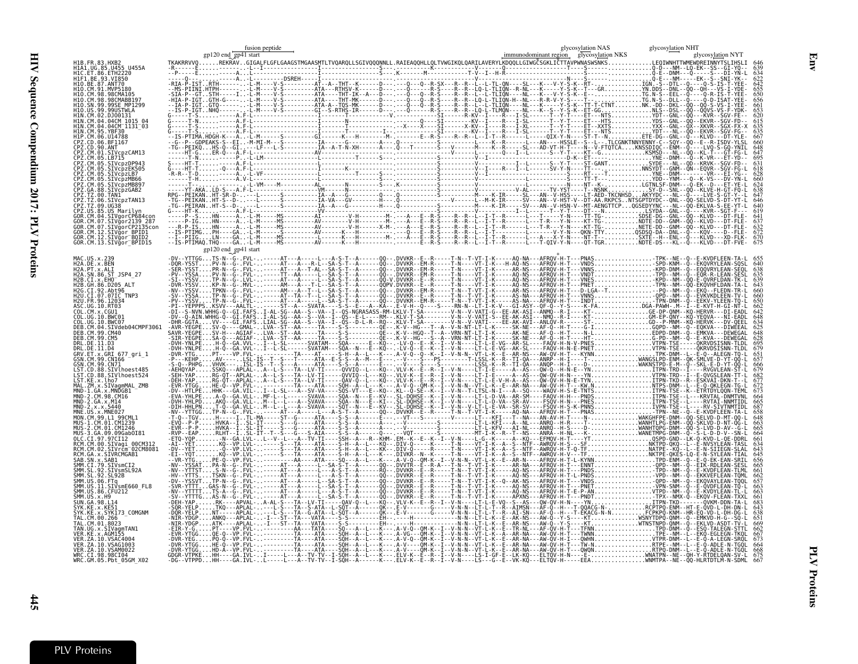| 11B.FR.83.HXB2                                   |                      |                                                                                                                 |  |
|--------------------------------------------------|----------------------|-----------------------------------------------------------------------------------------------------------------|--|
| HIA1.UG.85.U455 U455A                            |                      |                                                                                                                 |  |
| MVP518                                           |                      |                                                                                                                 |  |
|                                                  |                      |                                                                                                                 |  |
| SIVcnzDP943                                      |                      |                                                                                                                 |  |
| IVcpzEK505<br>VcpzMB897                          |                      |                                                                                                                 |  |
|                                                  |                      |                                                                                                                 |  |
| SIVãor BPID1<br>.CM.12.SIVğor <sup>-</sup> BQID2 |                      |                                                                                                                 |  |
| GOR.CM.13.SIVğor <sup>-</sup> BPID15             | gp120 end_gp41 start |                                                                                                                 |  |
|                                                  |                      |                                                                                                                 |  |
|                                                  |                      |                                                                                                                 |  |
| Vdeb04CMPF3061                                   |                      |                                                                                                                 |  |
|                                                  |                      |                                                                                                                 |  |
| 38.SIVlhoest485<br>SIVlhoest524                  |                      |                                                                                                                 |  |
|                                                  |                      |                                                                                                                 |  |
|                                                  |                      |                                                                                                                 |  |
| .SIVagi<br>iIVrčm <sup>−</sup> 02CM8081          |                      |                                                                                                                 |  |
| SIVsmSL92A<br>SIVsmE660 FL8<br>:FU212            |                      |                                                                                                                 |  |
| K173 COMGNM                                      |                      |                                                                                                                 |  |
|                                                  |                      |                                                                                                                 |  |
|                                                  |                      | .N--VT-L-K--E--AR-NA---AW-QV-H-T---QWONRTPO-DNM--L--E<br>----LS-I-GF-E--LK-KQ---ELTQV-H-N----E-NNATPN--NE--QH-Y |  |

Env

 $\frac{445}{12}$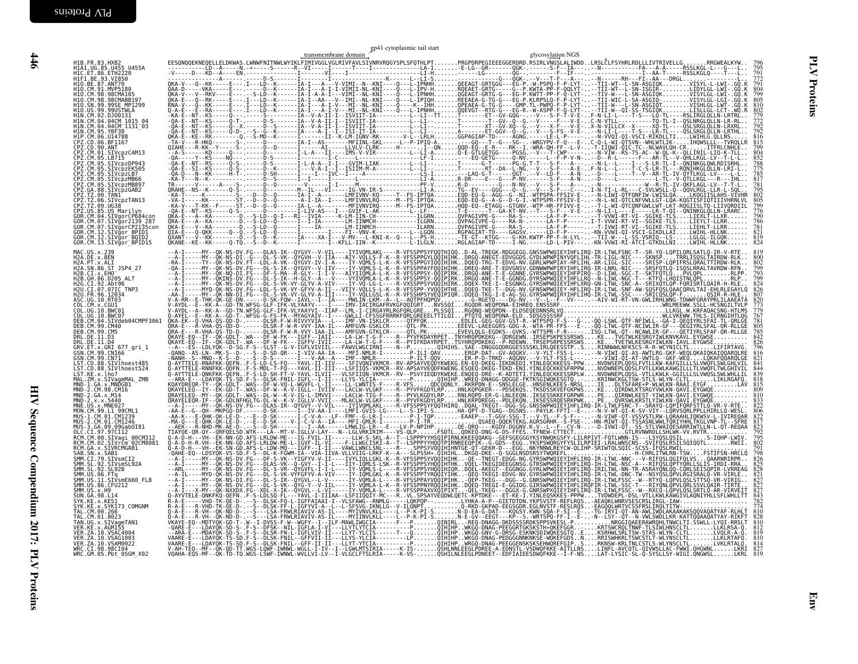|                                                                                                                                                                                                                                                                                                                                                                                                                                                                                                                                                                                                                                                                                                                                                                                                                                                                           |  | transmembrane domain $\mathcal{E}$ gp41 cytoplasmic tail start |  | glycosylation NGS |  |
|---------------------------------------------------------------------------------------------------------------------------------------------------------------------------------------------------------------------------------------------------------------------------------------------------------------------------------------------------------------------------------------------------------------------------------------------------------------------------------------------------------------------------------------------------------------------------------------------------------------------------------------------------------------------------------------------------------------------------------------------------------------------------------------------------------------------------------------------------------------------------|--|----------------------------------------------------------------|--|-------------------|--|
| H1B.FR.83.HXB2<br>H1A1.UG.85.U455 U455A<br>H1C.ET.86.ETH2220                                                                                                                                                                                                                                                                                                                                                                                                                                                                                                                                                                                                                                                                                                                                                                                                              |  |                                                                |  |                   |  |
| H1F1.BE.93.VI850<br>H10.BE.87.ANT70<br>H10.CM.91.MVP5180<br>H10. CM. 98. 98CMA105<br>H10.CM.98.98CMABB197<br>H10.SN.99.99SE_MP1299<br>H10.US.99.99USTWLA<br>H1N.CM.02.DJ00131<br>HIN.CM.04.04CM_1015_04<br>HIN.CM.04.04CM_1131_03<br>HIN.CM.94.94<br>HIN.CM.95.YBF30<br>CPZ.CD.90.ANT<br>CPZ.CD.90.ANT<br>CPZ.CD.90.ANT<br>CPZ.CM.01.SIVcpzCAM13<br>CPZ.CM.05.SIVcpzPP943<br>CPZ.CM.05.SIVcpzPP943<br>CPZ.CM.05.SIVcpzPP943<br>CPZ.CM.05.SIVcpzPP943<br>CPZ.CM.05.SIVCpzLB7<br>CPZ.CM.05.SIVCpzLB7<br>CPZ.CM.05.SIVCpzMB66<br>CPZ.CM.05.SIVCpzMB897<br>CPZ.GA.88.SIVCpzGAB2<br>СР2.04.00.31vСр20Ab2<br>CPZ.TZ.00.TAN1<br>CPZ.TZ.00.SIVcpzTAN13<br>CPZ.TZ.09.UG38<br>CPZ.US.85.US_Marilyn<br>GOR.CM.04.SIVgorCP684con<br>GOR.CM.07.SIVgor2139_287<br>GOR.CM.07.SIVğorCP2135con<br>GOR.CM.12.SIVgor_BPID1<br>GOR.CM.12.SIVgor_BQID2<br>GOR.CM.13.SIVgor <sup>-</sup> BPID15 |  |                                                                |  |                   |  |
| MAC.US.x.239<br>H2A.DE.X.BEN<br>H2A.PT.X.ALI<br>H2A. SN. 86. ST_JSP4_27<br>H2B.CI.X.EHO<br>H2B.GH.86.D205 ALT<br>H2G.CI.92.Abt96<br>H2U.CI.07.07IC_TNP3<br>H2U.FR.96.12034<br>ASC.UG.10.RT03                                                                                                                                                                                                                                                                                                                                                                                                                                                                                                                                                                                                                                                                              |  |                                                                |  |                   |  |
| COL.CM.X.CGUI<br>COL.UG.10.BWC01<br>COL.UG.10.BWC07<br>DEB.CM.04.SIVdeb04CMPF3061<br>DEB.CM.99.CM40<br>DEB.CM.99.CM5<br>DRL.DE.11.D3                                                                                                                                                                                                                                                                                                                                                                                                                                                                                                                                                                                                                                                                                                                                      |  |                                                                |  |                   |  |
| DRL.DE.11.D4<br>GRV.ET.x.GRI 677_gri_1<br>GSN. CM. 99. CN166<br>GSN.CM.99.CN71<br>UST.CD.88.SIVlhoest485<br>LST.CD.88.SIVlhoest524<br>LST.KE.x.lho7<br>MAL.ZM.x.SIVagmMAL ZMB                                                                                                                                                                                                                                                                                                                                                                                                                                                                                                                                                                                                                                                                                             |  |                                                                |  |                   |  |
| MND - 1. GA. x - MNDGB1<br>MND - 2 . CM. 98 . CM16<br>MND - 2 . GA. x . M14<br>MND - 2 . x . x . 5440<br>MNE.US.x.MNE027<br>MON.CM.99.L1 99CML1<br>MUS-1.CM.01.CM1239<br>MUS-2.CM.01.CM1239<br>MUS-3.GA.09.09GabOI81                                                                                                                                                                                                                                                                                                                                                                                                                                                                                                                                                                                                                                                      |  |                                                                |  |                   |  |
| OLC.CI.97.97CI12<br>RCM.CM.00.SIVagi 00CM312<br>RCM.CM.02.SIVrcm 02CM8081<br>RCM. GA. x. SIVRCMGAB1<br>SAB. SN. x. SAB1<br>SMM. CI. 79. SIVSmCI2<br>SMM. SL. 92. SIVSmSL92A<br>SMM. SL. 92. SL92B<br>SMM. NLS. 86. SL92B                                                                                                                                                                                                                                                                                                                                                                                                                                                                                                                                                                                                                                                  |  |                                                                |  |                   |  |
| SMM.US.06.FTq<br>SMM.US.11.SIVsmE660 FL8<br>SMM. US.86. CFU212<br>SMM.US.x.H9<br>SUN. 64.98. L14<br>SYK. KE. x. KE51<br>SYK. KE. x. SYK173_COMGNM<br>TAL. CM. 00. 266_                                                                                                                                                                                                                                                                                                                                                                                                                                                                                                                                                                                                                                                                                                    |  |                                                                |  |                   |  |
| TAL.CM.01.8023<br>TAN.UG.x.SIVagmTAN1<br>VER.KE.x.AGM155<br>VER. ZA. 10. VSAC4004<br>VER.ZA.10.VSAG1003<br>VER.ZA.10.VSAM0022<br>WRC.CI.98.98CI04<br>WRC.GM.05.Pbt_05GM_X02                                                                                                                                                                                                                                                                                                                                                                                                                                                                                                                                                                                                                                                                                               |  |                                                                |  |                   |  |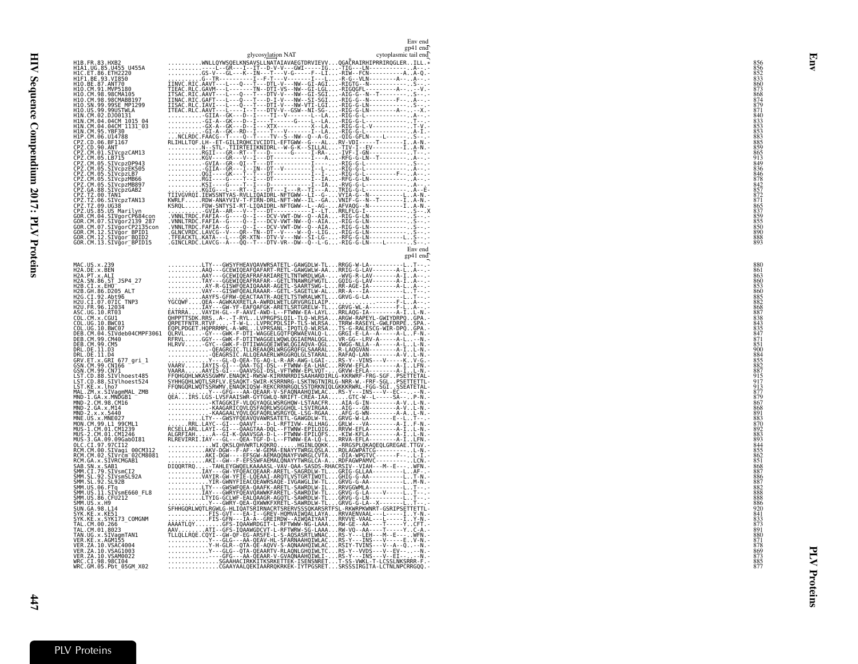|                                                                                                                                                                                                                                                                            |                                                                                                                                                                                                                                                                                                                                                                                                                                                                     | Env end<br>gp41 end   |
|----------------------------------------------------------------------------------------------------------------------------------------------------------------------------------------------------------------------------------------------------------------------------|---------------------------------------------------------------------------------------------------------------------------------------------------------------------------------------------------------------------------------------------------------------------------------------------------------------------------------------------------------------------------------------------------------------------------------------------------------------------|-----------------------|
|                                                                                                                                                                                                                                                                            | glycosylation NAT                                                                                                                                                                                                                                                                                                                                                                                                                                                   | cytoplasmic tail end  |
| H1B. FR. 83. HXB2<br>H1A1. UG. 85. U455<br>H1C. ET. 86. ETH2220<br>H1C. ET. 86. ETH2220<br>H1O. BE. 87. ANT70<br>H1O. CM. 91. MPT0188<br>H1O. CM. 98. 98CMABB197<br>H1O. CM. 98. 99CMABB197<br>H1O. CM. 99. 9915TWLA<br>H1N. CM. 04. 040M 1131_04<br>H1N. CM               | $\begin{tabular}{ c c c c c c c c c} \hline & \textbf{g}(ycos\chi)\textbf{data} & \textbf{c}(ycos\chi)\textbf{data} & \textbf{c}(ycos\chi)\textbf{data} & \textbf{c}(ycos\chi)\textbf{data} & \textbf{c}(ycos\chi)\textbf{data} & \textbf{c}(ycos\chi)\textbf{data} & \textbf{c}(ycos\chi)\textbf{data} & \textbf{c}(ycos\chi)\textbf{data} & \textbf{c}(ycos\chi)\textbf{data} & \textbf{c}(ycos\chi)\textbf{data} & \textbf{c}(ycos\chi)\textbf{data} & \textbf{$ |                       |
|                                                                                                                                                                                                                                                                            |                                                                                                                                                                                                                                                                                                                                                                                                                                                                     |                       |
|                                                                                                                                                                                                                                                                            |                                                                                                                                                                                                                                                                                                                                                                                                                                                                     |                       |
|                                                                                                                                                                                                                                                                            |                                                                                                                                                                                                                                                                                                                                                                                                                                                                     |                       |
|                                                                                                                                                                                                                                                                            |                                                                                                                                                                                                                                                                                                                                                                                                                                                                     |                       |
|                                                                                                                                                                                                                                                                            |                                                                                                                                                                                                                                                                                                                                                                                                                                                                     |                       |
|                                                                                                                                                                                                                                                                            |                                                                                                                                                                                                                                                                                                                                                                                                                                                                     |                       |
|                                                                                                                                                                                                                                                                            |                                                                                                                                                                                                                                                                                                                                                                                                                                                                     |                       |
|                                                                                                                                                                                                                                                                            |                                                                                                                                                                                                                                                                                                                                                                                                                                                                     |                       |
|                                                                                                                                                                                                                                                                            |                                                                                                                                                                                                                                                                                                                                                                                                                                                                     |                       |
|                                                                                                                                                                                                                                                                            |                                                                                                                                                                                                                                                                                                                                                                                                                                                                     |                       |
|                                                                                                                                                                                                                                                                            |                                                                                                                                                                                                                                                                                                                                                                                                                                                                     |                       |
|                                                                                                                                                                                                                                                                            |                                                                                                                                                                                                                                                                                                                                                                                                                                                                     |                       |
|                                                                                                                                                                                                                                                                            |                                                                                                                                                                                                                                                                                                                                                                                                                                                                     |                       |
| H1N. CM .95. YBF790<br>H1N. CM .95. YBF790<br>CPZ. CD. 06. 06. H1151_03<br>CPZ. CM .00. 06. H1167<br>CPZ. CM .00. 2015.<br>TV2. CM .00. STATE PROPORATION<br>CPZ. CM .00. STATE PROPORATION<br>CPZ. CM .00. STATE PROPORATION<br>CPZ. CM .00. STATE PR                     |                                                                                                                                                                                                                                                                                                                                                                                                                                                                     |                       |
|                                                                                                                                                                                                                                                                            |                                                                                                                                                                                                                                                                                                                                                                                                                                                                     | Env end<br>$gp41$ end |
| MAC.US.x.239<br>H2A.DE.x.BEN<br>H2A.PT.x.ALI                                                                                                                                                                                                                               |                                                                                                                                                                                                                                                                                                                                                                                                                                                                     |                       |
| H2A. SN. 86. ST_JSP4_27<br>H2B. CI. X. EH0___.                                                                                                                                                                                                                             |                                                                                                                                                                                                                                                                                                                                                                                                                                                                     |                       |
| H2B: CT. X: EHD <sup>----</sup> 2-<br>H2B: CT. X: EHD-202<br>H2B: CT. 302. Abt96<br>H2U: FR: 96. 1203.<br>H2U: FR: 96. 1203.<br>Abt9. CT. 300. 1203.<br>CDL: UG: X: CGU1<br>CDL: UG: 76. 2011<br>DEB: CM: 99. CM46<br>DEB: CM: 99. CM46<br>DRL: DE: 11. D3<br>DRL: DE: 11. |                                                                                                                                                                                                                                                                                                                                                                                                                                                                     |                       |
|                                                                                                                                                                                                                                                                            |                                                                                                                                                                                                                                                                                                                                                                                                                                                                     |                       |
|                                                                                                                                                                                                                                                                            |                                                                                                                                                                                                                                                                                                                                                                                                                                                                     |                       |
|                                                                                                                                                                                                                                                                            |                                                                                                                                                                                                                                                                                                                                                                                                                                                                     |                       |
|                                                                                                                                                                                                                                                                            |                                                                                                                                                                                                                                                                                                                                                                                                                                                                     |                       |
|                                                                                                                                                                                                                                                                            |                                                                                                                                                                                                                                                                                                                                                                                                                                                                     |                       |
|                                                                                                                                                                                                                                                                            |                                                                                                                                                                                                                                                                                                                                                                                                                                                                     |                       |
| GSN.CM.99.CN71<br>LST.CD.88.SIVlhoest485<br>LST.CD.88.SIVlhoest524                                                                                                                                                                                                         |                                                                                                                                                                                                                                                                                                                                                                                                                                                                     |                       |
|                                                                                                                                                                                                                                                                            |                                                                                                                                                                                                                                                                                                                                                                                                                                                                     |                       |
|                                                                                                                                                                                                                                                                            |                                                                                                                                                                                                                                                                                                                                                                                                                                                                     |                       |
|                                                                                                                                                                                                                                                                            |                                                                                                                                                                                                                                                                                                                                                                                                                                                                     |                       |
|                                                                                                                                                                                                                                                                            |                                                                                                                                                                                                                                                                                                                                                                                                                                                                     |                       |
|                                                                                                                                                                                                                                                                            |                                                                                                                                                                                                                                                                                                                                                                                                                                                                     |                       |
|                                                                                                                                                                                                                                                                            |                                                                                                                                                                                                                                                                                                                                                                                                                                                                     |                       |
|                                                                                                                                                                                                                                                                            |                                                                                                                                                                                                                                                                                                                                                                                                                                                                     |                       |
|                                                                                                                                                                                                                                                                            |                                                                                                                                                                                                                                                                                                                                                                                                                                                                     |                       |
|                                                                                                                                                                                                                                                                            |                                                                                                                                                                                                                                                                                                                                                                                                                                                                     |                       |
| LST. CD. 288 - STV. head of the STV hosts of the STV (100 est STV hosts 2-4<br>LST. CD. 88. STV hosts 2-7<br>MAL. ZM. x. STV and MAL. ZMB<br>MND-2. GM. STV (100 est STV and MAL. 2011<br>NND-2. CM. 98. CMB061<br>MND-2. cM. 99. L1 990(ML1)                              |                                                                                                                                                                                                                                                                                                                                                                                                                                                                     |                       |
|                                                                                                                                                                                                                                                                            |                                                                                                                                                                                                                                                                                                                                                                                                                                                                     |                       |
|                                                                                                                                                                                                                                                                            |                                                                                                                                                                                                                                                                                                                                                                                                                                                                     |                       |
|                                                                                                                                                                                                                                                                            |                                                                                                                                                                                                                                                                                                                                                                                                                                                                     |                       |
|                                                                                                                                                                                                                                                                            |                                                                                                                                                                                                                                                                                                                                                                                                                                                                     |                       |
|                                                                                                                                                                                                                                                                            |                                                                                                                                                                                                                                                                                                                                                                                                                                                                     |                       |
|                                                                                                                                                                                                                                                                            |                                                                                                                                                                                                                                                                                                                                                                                                                                                                     |                       |

Env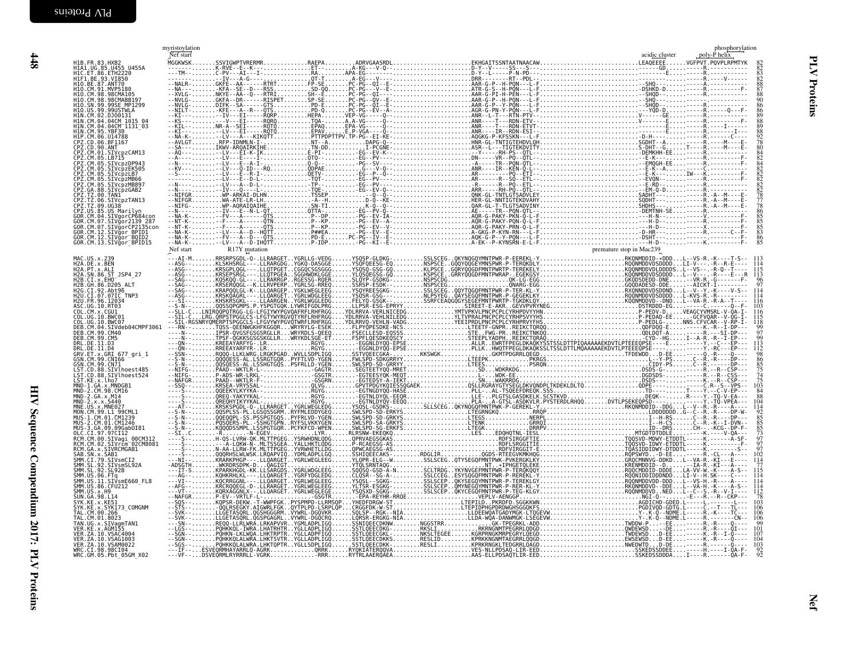<span id="page-37-0"></span>

|                                                                                                                                                                                                                                                                    | myristoylation<br>Nef start |  | phosphorylation                                            |
|--------------------------------------------------------------------------------------------------------------------------------------------------------------------------------------------------------------------------------------------------------------------|-----------------------------|--|------------------------------------------------------------|
| H1B.FR.83.HXB2<br>H1A1.UG.85.U455 U455A<br>H1C.ET.86.ETH2220<br>H1F1.BE.93.VI850<br>H1O.CM.91.MVP5180<br>H1O.CM.91.MVP5180<br>H1O.CM.93.98CMAB65                                                                                                                   |                             |  |                                                            |
|                                                                                                                                                                                                                                                                    |                             |  |                                                            |
|                                                                                                                                                                                                                                                                    |                             |  |                                                            |
| H10. CM. 98. 98CMA105<br>H10. SN. 99. 99SCMABB197<br>H10. US. 99. 99USTMLA<br>H1N. CM. 92. 99. 99USTMLA<br>H1N. CM. 04. 04CM 1015 04<br>H1N. CM. 04. 04CM 1015 04<br>H1N. CM. 05. VBF30<br>H1P. CM. 06. UL4788<br>CPZ. CD. 06. BF1167<br>CPZ. CD. 06. BF1          |                             |  |                                                            |
|                                                                                                                                                                                                                                                                    |                             |  |                                                            |
|                                                                                                                                                                                                                                                                    |                             |  |                                                            |
| CPZ.CM.01.STVcpzCAM13<br>CPZ.CM.05.LB715<br>CPZ.CM.05.STVcpzDP943<br>CPZ.CM.05.STVcpzEK505<br>CPZ.CM.05.STVcpzLB7                                                                                                                                                  |                             |  |                                                            |
|                                                                                                                                                                                                                                                                    |                             |  |                                                            |
| CPZ.CM.05.SIVCpzMB66<br>CPZ.CM.05.SIVCpzMB807<br>CPZ.GA.88.SIVCpzMB897<br>CPZ.TZ.00.TAN1<br>CPZ.TZ.06.SIVCpzTAN13                                                                                                                                                  |                             |  |                                                            |
|                                                                                                                                                                                                                                                                    |                             |  |                                                            |
| CPZ.TZ.09.UG38<br>CPZ.TZ.09.UG38<br>CPZ.US.85.US Marilyn<br>GOR.CM.04.SIVgorCP684con<br>GOR.CM.07.SIVgor2139_287                                                                                                                                                   |                             |  |                                                            |
| GOR.CM.07.SIVgorCP2135con<br>GOR.CM.12.SIVgor_BPID1<br>GOR.CM.12.SIVgor_BPID1<br>GOR.CM.13.SIVgor_BQID2<br>GOR.CM.13.SIVgor_BPID15                                                                                                                                 |                             |  |                                                            |
|                                                                                                                                                                                                                                                                    |                             |  |                                                            |
| MAC.US.x.239<br>H2A.DE.x.BEN<br>H2A.PT.x.ALI<br>H2A.SN.86.ST_JSP4_27                                                                                                                                                                                               |                             |  |                                                            |
| H2B.CI.X.EHO<br>H2B.GH.86.D205 ALT                                                                                                                                                                                                                                 |                             |  | $\frac{96}{97}$                                            |
|                                                                                                                                                                                                                                                                    |                             |  | $\frac{116}{103}$                                          |
| H2G. CT. 92. Abt96<br>H2G. CT. 92. Abt96<br>H2U. FR. 96. 12033<br>H2U. FR. 96. 12033<br>COL. CM. x. CGU1<br>COL. UG. 19. BWC01<br>COL. UG. 19. BWC07<br>DEB. CM. 04. 2MVdeb04CMPF3061<br>DEB. CM. 04. 2MVdeb04CMPF3061                                             |                             |  |                                                            |
| DEB. CM. 99. CM40                                                                                                                                                                                                                                                  |                             |  | $\frac{116}{115}$<br>$\frac{115}{99}$<br>$\frac{99}{97}$   |
| DEB. CM. 99. CM5                                                                                                                                                                                                                                                   |                             |  | őģ                                                         |
| DRL.DE.11.D3<br>DRL.DE.11.D4<br>GRV.ET.x.GRI 677_gri_1<br>GSN.CM.99.CN166<br>GŚN.CM.99.CN71                                                                                                                                                                        |                             |  |                                                            |
| GSN.CM.99.CM71<br>LST.CD.88.SIVlhoest485<br>LST.CD.88.SIVlhoest524<br>LST.KE.x.lho7<br>MND-2.GM.A.X.NMDGB1<br>MND-2.GM.98.CM16<br>MND-2.GA.x.NM4<br>MND-2.K.x.NM40<br>MND-2.K.x.NM40<br>MND-CD.X.NMHDGD7<br>MND-CD.X.NMHDGD907<br>MND-CD.X.NMHDGD907<br>MND-CD.X.N |                             |  | 98685757475                                                |
|                                                                                                                                                                                                                                                                    |                             |  |                                                            |
|                                                                                                                                                                                                                                                                    |                             |  |                                                            |
| MUS-1.CM.01.CM1239<br>MUS-2.CM.01.CM1246<br>MUS-3.GA.09.09Gab0181<br>OLC.CT.97.97CT12<br>RCM.CM.00.SIVagi_00CM312.                                                                                                                                                 |                             |  |                                                            |
|                                                                                                                                                                                                                                                                    |                             |  | 84884104414428585537377777                                 |
| RCM. CM. 82. SIVagri 90CM312<br>RCM. GM. 82. SIVACMGAB1<br>SAB. SN. x. SIVACMGAB1<br>SAB. SN. x. SAB1<br>SMM. CL. 79. SIVACMGAB1<br>SMM. SL. 92. SIVSMSL92A<br>SMM. US. 91. 512<br>SMM. US. 81. 512<br>SMM. US. 81. 512<br>SMM. US. 81. 512<br>SMM. US. 81.        |                             |  | 1Ó2                                                        |
|                                                                                                                                                                                                                                                                    |                             |  | $\frac{114}{77}$<br>$\frac{115}{114}$<br>$\frac{114}{114}$ |
|                                                                                                                                                                                                                                                                    |                             |  |                                                            |
| SMM. US. x. H9<br>SUN. GA. 98. L14                                                                                                                                                                                                                                 |                             |  | 103                                                        |
| SYK.KE.x.KE51<br>SYK.KE.x.SYK173_COMGNM<br>TAL.CM.00.266<br>TAL.CM.01.8023_____                                                                                                                                                                                    |                             |  | 106<br>106                                                 |
| TAN. UG. x . SIVagmTAN1<br>VER. KE. x . AGM155<br>VER. ZA. 10. VSAC4004<br>VER. ZA. 10. VSAG1003<br>VER. ZA. 10. VSAG1003<br>VER. ZA. 10. VSAM0022                                                                                                                 |                             |  | 101<br>107                                                 |
|                                                                                                                                                                                                                                                                    |                             |  | 104<br>103                                                 |
| WRC.CI.98.98CI04<br>WRC.CI.98.98CI04<br>WRC.GM.05.Pbt 05GM X02                                                                                                                                                                                                     |                             |  | $\frac{92}{92}$                                            |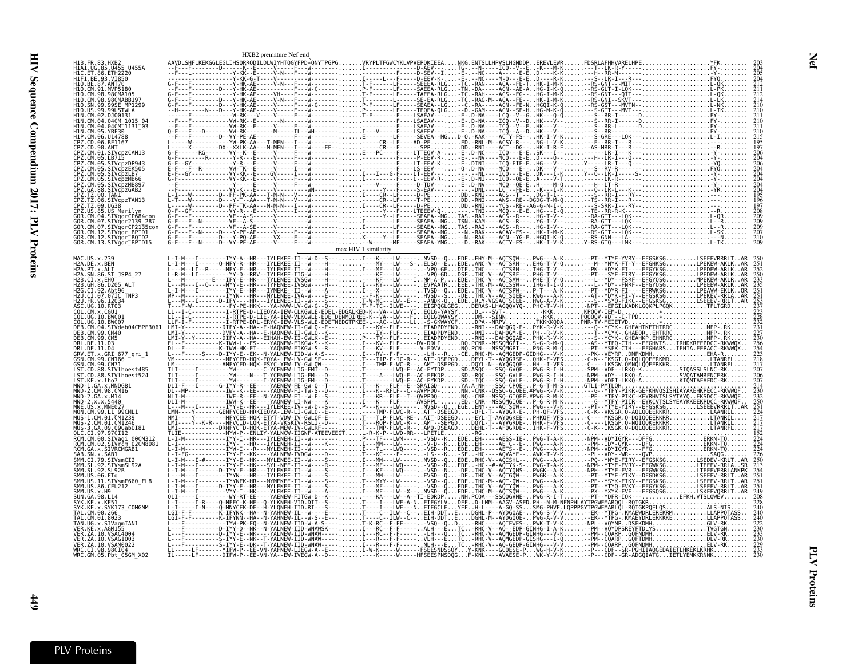|                                                                                                     | HXB2 premature Nef end |  |  |  |
|-----------------------------------------------------------------------------------------------------|------------------------|--|--|--|
| H1B.FR.83.HXB2<br>H1A1.UG.85.U455 U455A<br>H1C.ET.86.ETH2220                                        |                        |  |  |  |
| H1F1.BE.93.VI850<br>H10.BE.87.ANT70                                                                 |                        |  |  |  |
| H10.CM.91.MVP5180<br>98CMARR197                                                                     |                        |  |  |  |
| 99SE MP1299<br>US.99.99USTWLA                                                                       |                        |  |  |  |
| CM.02.DJ00131<br>H1N.CM.04.04CM 1015 04<br>.04CM <sup>-</sup> 1131 <sup>-</sup> 03                  |                        |  |  |  |
| CM.06.U14788                                                                                        |                        |  |  |  |
| CPZ.CD.06.BF1167<br>CPZ.CD.90.ANT<br>ČPŽ.ČM.O1.SIVcpzCAM13                                          |                        |  |  |  |
| CM.05.LB715<br>SIVcpzDP943<br>CM.05.SIVcpzEK505                                                     |                        |  |  |  |
| 05.SIVcpzLB7<br>05.SIVcpzMB66                                                                       |                        |  |  |  |
| SIVcpzMB897<br>SIVcpzGAB2                                                                           |                        |  |  |  |
| CPZ.TZ.06.SIVcpzTAN13<br>:PZ.TZ.09.UG38<br>US.85.US Marilvn                                         |                        |  |  |  |
| GOR.CM.04.SIVaorCP684co<br>CM.07.SIVgor2139 287                                                     |                        |  |  |  |
| GOR.CM.07.SIVaorCP2135con<br>CM.12.SIVğor BPID1                                                     |                        |  |  |  |
| GOR.CM.12.SIVgor BOID2<br>GOR.CM.13.SIVgor BPID15                                                   |                        |  |  |  |
| MAC.US.x.239                                                                                        |                        |  |  |  |
| H2A.DE.x.BEN<br>H2A.PT.x.ALI<br>H2A.SN.86.ST_JSP4_27<br>.CT.x.EHO                                   |                        |  |  |  |
| H2B.GH.86.D205                                                                                      |                        |  |  |  |
| H2U.CI.07.07IC TNP3<br>H <sub>2U</sub> FR 96 12034<br>ASC.UG.10.RT03                                |                        |  |  |  |
| COL.CM.x.CGU1<br>COL.UG.10.BWC01<br>.UG. 10. BWC07                                                  |                        |  |  |  |
| CM.04.SIVdeb04CMPF3061<br>DEB.CM.99.CM40                                                            |                        |  |  |  |
| DRL.DE.11.D4<br>GRV.ET.x.GRI_677_gri_1                                                              |                        |  |  |  |
| GSN.CM.99.CN166<br>GSN. CM. 99. CN71                                                                |                        |  |  |  |
| LST.CD.88.SIVlhoest485<br>LST.CD.88.SIVlhoest524                                                    |                        |  |  |  |
| LST.KE.x.lho7<br>MND-1.GA.x.MNDGB1<br>MND-2.CM.98.CM16                                              |                        |  |  |  |
|                                                                                                     |                        |  |  |  |
|                                                                                                     |                        |  |  |  |
| MUS-3.GA.09.09Gab0I81<br>CT.97.97CT12                                                               |                        |  |  |  |
| RCM.CM.00.SIVagi 00CM312<br>CM.02.SIVrcm <sup>-02CM8081</sup><br>RCM.GA.x.SIVRCMGAB1                |                        |  |  |  |
| SMM.CI.79.SIVsmCI2                                                                                  |                        |  |  |  |
| SMM.SL.92.SIVSMSL92A<br>SMM.SL.92.SL92B                                                             |                        |  |  |  |
| SMM . US . 06 . FTg<br>SMM . US . 11 . SIVsmE660_FL8<br>SMM . US . 86 . CFU212<br>SMM . US . x . H9 |                        |  |  |  |
| SUN. GA. 98. L14                                                                                    |                        |  |  |  |
| .x.SYK173 COMGNM<br>TAL.CM.00.266<br>TAL.CM.01.8023                                                 |                        |  |  |  |
| TAN.UG.x.SIVagmTAN1<br>VER.KE.x.AGM155                                                              |                        |  |  |  |
| VER. ZA. 10. VSAC4004<br>VER.ZA.10.VSAG1003<br>VER. ZA. 10. VSAM0022                                |                        |  |  |  |
| WRC.CI.98.98CI04<br>WRC.GM.05.Pbt 05GM X02                                                          |                        |  |  |  |